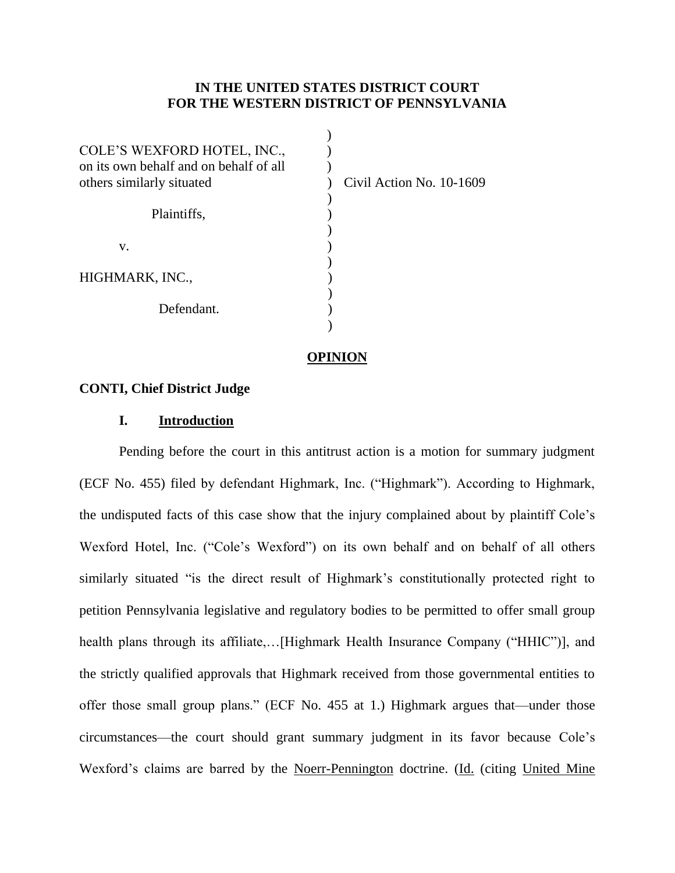## **IN THE UNITED STATES DISTRICT COURT FOR THE WESTERN DISTRICT OF PENNSYLVANIA**

Civil Action No. 10-1609

#### **OPINION**

### **CONTI, Chief District Judge**

### **I. Introduction**

Pending before the court in this antitrust action is a motion for summary judgment (ECF No. 455) filed by defendant Highmark, Inc. ("Highmark"). According to Highmark, the undisputed facts of this case show that the injury complained about by plaintiff Cole's Wexford Hotel, Inc. ("Cole's Wexford") on its own behalf and on behalf of all others similarly situated "is the direct result of Highmark's constitutionally protected right to petition Pennsylvania legislative and regulatory bodies to be permitted to offer small group health plans through its affiliate,...[Highmark Health Insurance Company ("HHIC")], and the strictly qualified approvals that Highmark received from those governmental entities to offer those small group plans." (ECF No. 455 at 1.) Highmark argues that—under those circumstances—the court should grant summary judgment in its favor because Cole's Wexford's claims are barred by the Noerr-Pennington doctrine. (Id. (citing United Mine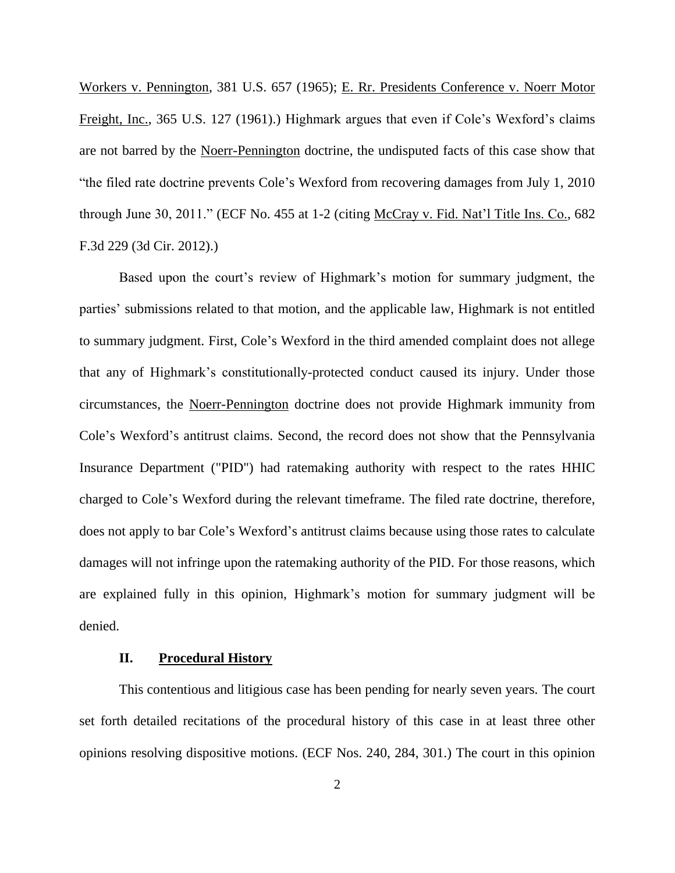Workers v. Pennington, 381 U.S. 657 (1965); E. Rr. Presidents Conference v. Noerr Motor Freight, Inc., 365 U.S. 127 (1961).) Highmark argues that even if Cole's Wexford's claims are not barred by the Noerr-Pennington doctrine, the undisputed facts of this case show that "the filed rate doctrine prevents Cole's Wexford from recovering damages from July 1, 2010 through June 30, 2011." (ECF No. 455 at 1-2 (citing McCray v. Fid. Nat'l Title Ins. Co., 682 F.3d 229 (3d Cir. 2012).)

Based upon the court's review of Highmark's motion for summary judgment, the parties' submissions related to that motion, and the applicable law, Highmark is not entitled to summary judgment. First, Cole's Wexford in the third amended complaint does not allege that any of Highmark's constitutionally-protected conduct caused its injury. Under those circumstances, the Noerr-Pennington doctrine does not provide Highmark immunity from Cole's Wexford's antitrust claims. Second, the record does not show that the Pennsylvania Insurance Department ("PID") had ratemaking authority with respect to the rates HHIC charged to Cole's Wexford during the relevant timeframe. The filed rate doctrine, therefore, does not apply to bar Cole's Wexford's antitrust claims because using those rates to calculate damages will not infringe upon the ratemaking authority of the PID. For those reasons, which are explained fully in this opinion, Highmark's motion for summary judgment will be denied.

#### **II. Procedural History**

This contentious and litigious case has been pending for nearly seven years. The court set forth detailed recitations of the procedural history of this case in at least three other opinions resolving dispositive motions. (ECF Nos. 240, 284, 301.) The court in this opinion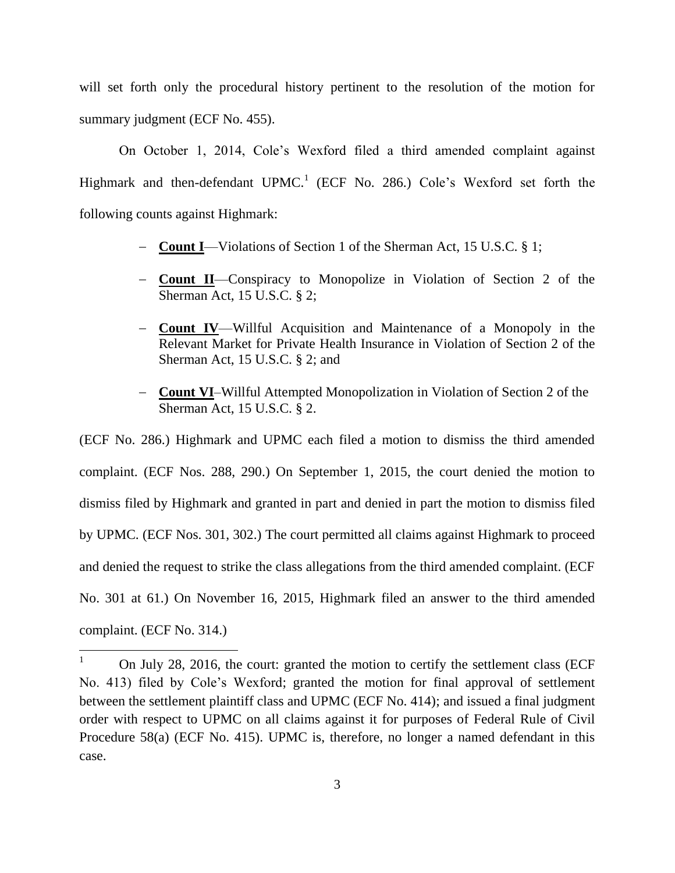will set forth only the procedural history pertinent to the resolution of the motion for summary judgment (ECF No. 455).

On October 1, 2014, Cole's Wexford filed a third amended complaint against Highmark and then-defendant UPMC.<sup>1</sup> (ECF No. 286.) Cole's Wexford set forth the following counts against Highmark:

- **Count I**—Violations of Section 1 of the Sherman Act, 15 U.S.C. § 1;
- **Count II**—Conspiracy to Monopolize in Violation of Section 2 of the Sherman Act, 15 U.S.C. § 2;
- **Count IV**—Willful Acquisition and Maintenance of a Monopoly in the Relevant Market for Private Health Insurance in Violation of Section 2 of the Sherman Act, 15 U.S.C. § 2; and
- **Count VI**–Willful Attempted Monopolization in Violation of Section 2 of the Sherman Act, 15 U.S.C. § 2.

(ECF No. 286.) Highmark and UPMC each filed a motion to dismiss the third amended complaint. (ECF Nos. 288, 290.) On September 1, 2015, the court denied the motion to dismiss filed by Highmark and granted in part and denied in part the motion to dismiss filed by UPMC. (ECF Nos. 301, 302.) The court permitted all claims against Highmark to proceed and denied the request to strike the class allegations from the third amended complaint. (ECF No. 301 at 61.) On November 16, 2015, Highmark filed an answer to the third amended complaint. (ECF No. 314.)

 $\mathbf{1}$ <sup>1</sup> On July 28, 2016, the court: granted the motion to certify the settlement class (ECF No. 413) filed by Cole's Wexford; granted the motion for final approval of settlement between the settlement plaintiff class and UPMC (ECF No. 414); and issued a final judgment order with respect to UPMC on all claims against it for purposes of Federal Rule of Civil Procedure 58(a) (ECF No. 415). UPMC is, therefore, no longer a named defendant in this case.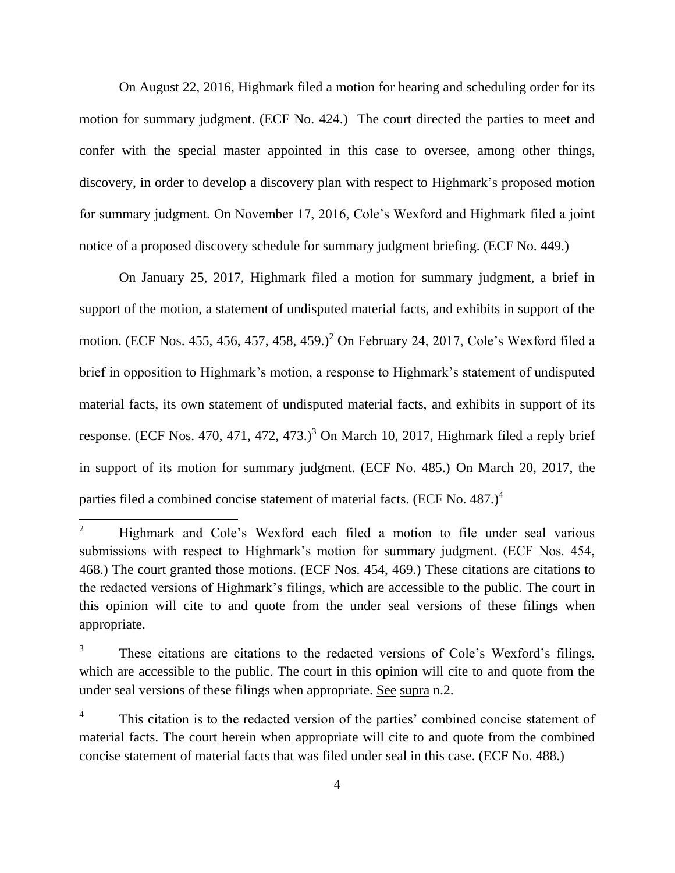On August 22, 2016, Highmark filed a motion for hearing and scheduling order for its motion for summary judgment. (ECF No. 424.) The court directed the parties to meet and confer with the special master appointed in this case to oversee, among other things, discovery, in order to develop a discovery plan with respect to Highmark's proposed motion for summary judgment. On November 17, 2016, Cole's Wexford and Highmark filed a joint notice of a proposed discovery schedule for summary judgment briefing. (ECF No. 449.)

On January 25, 2017, Highmark filed a motion for summary judgment, a brief in support of the motion, a statement of undisputed material facts, and exhibits in support of the motion. (ECF Nos. 455, 456, 457, 458, 459.)<sup>2</sup> On February 24, 2017, Cole's Wexford filed a brief in opposition to Highmark's motion, a response to Highmark's statement of undisputed material facts, its own statement of undisputed material facts, and exhibits in support of its response. (ECF Nos. 470, 471, 472, 473.)<sup>3</sup> On March 10, 2017, Highmark filed a reply brief in support of its motion for summary judgment. (ECF No. 485.) On March 20, 2017, the parties filed a combined concise statement of material facts. (ECF No. 487.)<sup>4</sup>

 $\overline{2}$ <sup>2</sup> Highmark and Cole's Wexford each filed a motion to file under seal various submissions with respect to Highmark's motion for summary judgment. (ECF Nos. 454, 468.) The court granted those motions. (ECF Nos. 454, 469.) These citations are citations to the redacted versions of Highmark's filings, which are accessible to the public. The court in this opinion will cite to and quote from the under seal versions of these filings when appropriate.

<sup>&</sup>lt;sup>3</sup> These citations are citations to the redacted versions of Cole's Wexford's filings, which are accessible to the public. The court in this opinion will cite to and quote from the under seal versions of these filings when appropriate. See supra n.2.

This citation is to the redacted version of the parties' combined concise statement of material facts. The court herein when appropriate will cite to and quote from the combined concise statement of material facts that was filed under seal in this case. (ECF No. 488.)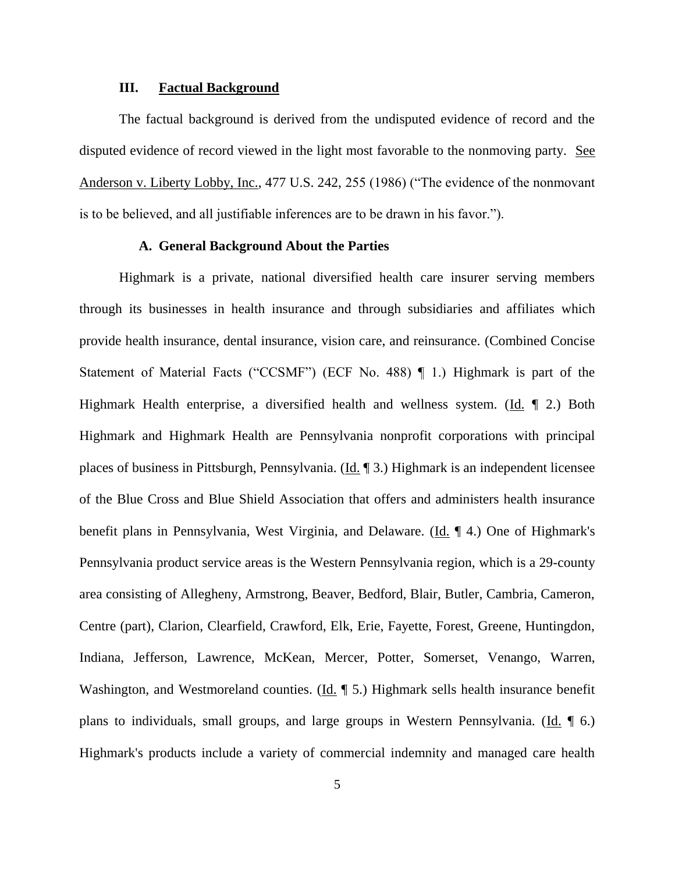### **III. Factual Background**

The factual background is derived from the undisputed evidence of record and the disputed evidence of record viewed in the light most favorable to the nonmoving party. See Anderson v. Liberty Lobby, Inc., 477 U.S. 242, 255 (1986) ("The evidence of the nonmovant is to be believed, and all justifiable inferences are to be drawn in his favor.").

### **A. General Background About the Parties**

Highmark is a private, national diversified health care insurer serving members through its businesses in health insurance and through subsidiaries and affiliates which provide health insurance, dental insurance, vision care, and reinsurance. (Combined Concise Statement of Material Facts ("CCSMF") (ECF No. 488) ¶ 1.) Highmark is part of the Highmark Health enterprise, a diversified health and wellness system. (Id. ¶ 2.) Both Highmark and Highmark Health are Pennsylvania nonprofit corporations with principal places of business in Pittsburgh, Pennsylvania. (Id. ¶ 3.) Highmark is an independent licensee of the Blue Cross and Blue Shield Association that offers and administers health insurance benefit plans in Pennsylvania, West Virginia, and Delaware. (Id. ¶ 4.) One of Highmark's Pennsylvania product service areas is the Western Pennsylvania region, which is a 29-county area consisting of Allegheny, Armstrong, Beaver, Bedford, Blair, Butler, Cambria, Cameron, Centre (part), Clarion, Clearfield, Crawford, Elk, Erie, Fayette, Forest, Greene, Huntingdon, Indiana, Jefferson, Lawrence, McKean, Mercer, Potter, Somerset, Venango, Warren, Washington, and Westmoreland counties. ( $\underline{Id}$ . [5.] Highmark sells health insurance benefit plans to individuals, small groups, and large groups in Western Pennsylvania. (Id. 16.) Highmark's products include a variety of commercial indemnity and managed care health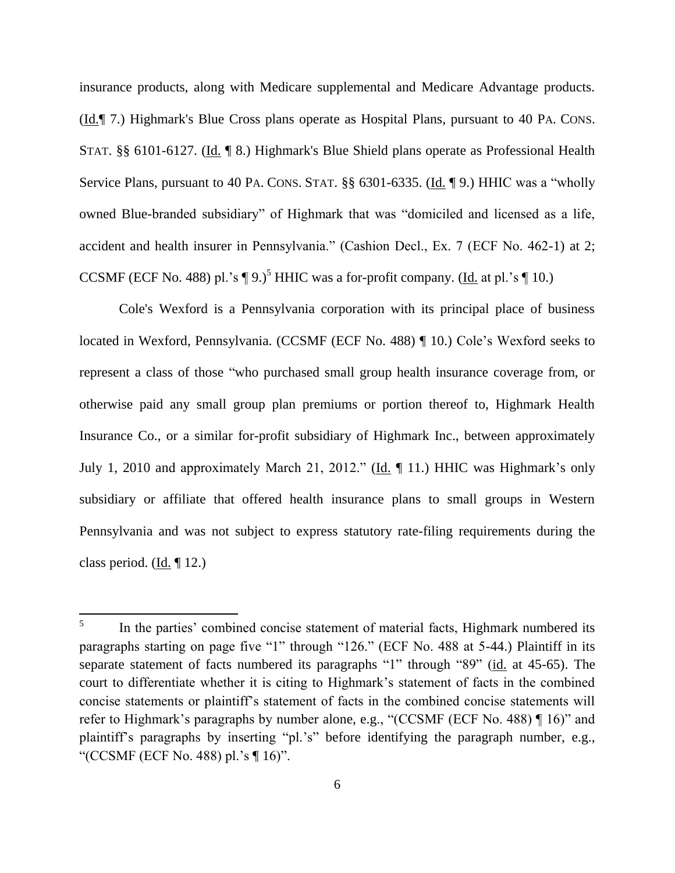insurance products, along with Medicare supplemental and Medicare Advantage products. (Id.¶ 7.) Highmark's Blue Cross plans operate as Hospital Plans, pursuant to 40 PA. CONS. STAT. §§ 6101-6127. (Id. ¶ 8.) Highmark's Blue Shield plans operate as Professional Health Service Plans, pursuant to 40 PA. CONS. STAT. §§ 6301-6335. (Id. ¶ 9.) HHIC was a "wholly owned Blue-branded subsidiary" of Highmark that was "domiciled and licensed as a life, accident and health insurer in Pennsylvania." (Cashion Decl., Ex. 7 (ECF No. 462-1) at 2; CCSMF (ECF No. 488) pl.'s  $\P$  9.)<sup>5</sup> HHIC was a for-profit company. (Id. at pl.'s  $\P$  10.)

Cole's Wexford is a Pennsylvania corporation with its principal place of business located in Wexford, Pennsylvania. (CCSMF (ECF No. 488) ¶ 10.) Cole's Wexford seeks to represent a class of those "who purchased small group health insurance coverage from, or otherwise paid any small group plan premiums or portion thereof to, Highmark Health Insurance Co., or a similar for-profit subsidiary of Highmark Inc., between approximately July 1, 2010 and approximately March 21, 2012." (Id. ¶ 11.) HHIC was Highmark's only subsidiary or affiliate that offered health insurance plans to small groups in Western Pennsylvania and was not subject to express statutory rate-filing requirements during the class period. (Id.  $\P$  12.)

 5 In the parties' combined concise statement of material facts, Highmark numbered its paragraphs starting on page five "1" through "126." (ECF No. 488 at 5-44.) Plaintiff in its separate statement of facts numbered its paragraphs "1" through "89" (id. at 45-65). The court to differentiate whether it is citing to Highmark's statement of facts in the combined concise statements or plaintiff's statement of facts in the combined concise statements will refer to Highmark's paragraphs by number alone, e.g., "(CCSMF (ECF No. 488) ¶ 16)" and plaintiff's paragraphs by inserting "pl.'s" before identifying the paragraph number, e.g., "(CCSMF (ECF No. 488) pl.'s ¶ 16)".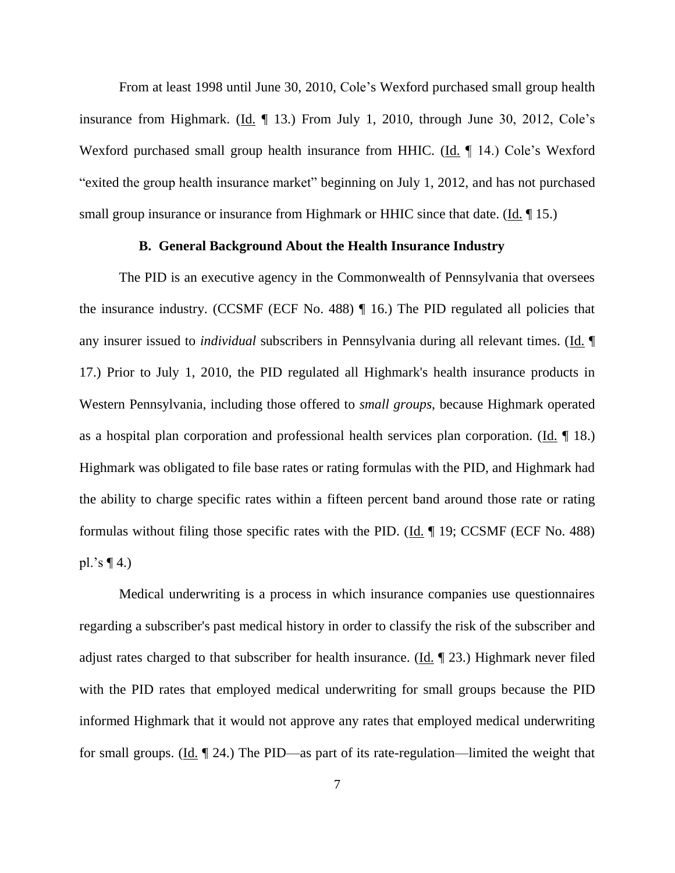From at least 1998 until June 30, 2010, Cole's Wexford purchased small group health insurance from Highmark. (Id. ¶ 13.) From July 1, 2010, through June 30, 2012, Cole's Wexford purchased small group health insurance from HHIC. (Id. 14.) Cole's Wexford "exited the group health insurance market" beginning on July 1, 2012, and has not purchased small group insurance or insurance from Highmark or HHIC since that date. (Id. 15.)

### **B. General Background About the Health Insurance Industry**

The PID is an executive agency in the Commonwealth of Pennsylvania that oversees the insurance industry. (CCSMF (ECF No. 488) ¶ 16.) The PID regulated all policies that any insurer issued to *individual* subscribers in Pennsylvania during all relevant times. (Id. ¶ 17.) Prior to July 1, 2010, the PID regulated all Highmark's health insurance products in Western Pennsylvania, including those offered to *small groups*, because Highmark operated as a hospital plan corporation and professional health services plan corporation. ( $\underline{Id}$ ,  $\P$  18.) Highmark was obligated to file base rates or rating formulas with the PID, and Highmark had the ability to charge specific rates within a fifteen percent band around those rate or rating formulas without filing those specific rates with the PID.  $(\underline{Id}$ .  $\P$  19; CCSMF (ECF No. 488) pl.'s  $\P$  4.)

Medical underwriting is a process in which insurance companies use questionnaires regarding a subscriber's past medical history in order to classify the risk of the subscriber and adjust rates charged to that subscriber for health insurance. (Id.  $\parallel$  23.) Highmark never filed with the PID rates that employed medical underwriting for small groups because the PID informed Highmark that it would not approve any rates that employed medical underwriting for small groups. (Id. ¶ 24.) The PID—as part of its rate-regulation—limited the weight that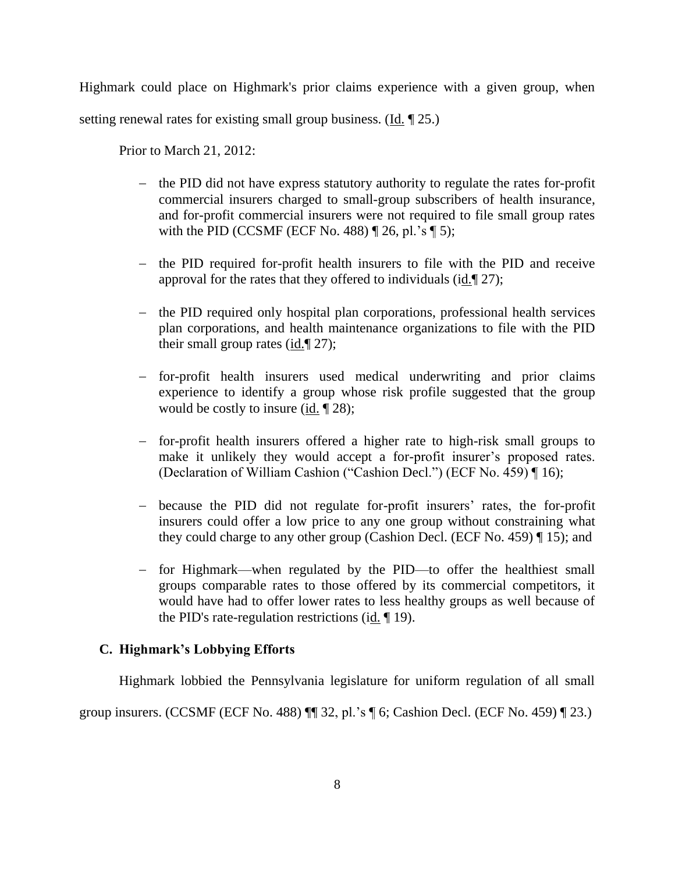Highmark could place on Highmark's prior claims experience with a given group, when setting renewal rates for existing small group business. (Id. ¶ 25.)

Prior to March 21, 2012:

- the PID did not have express statutory authority to regulate the rates for-profit commercial insurers charged to small-group subscribers of health insurance, and for-profit commercial insurers were not required to file small group rates with the PID (CCSMF (ECF No. 488)  $\P$  26, pl.'s  $\P$  5);
- the PID required for-profit health insurers to file with the PID and receive approval for the rates that they offered to individuals (id.¶ 27);
- the PID required only hospital plan corporations, professional health services plan corporations, and health maintenance organizations to file with the PID their small group rates (id.¶ 27);
- for-profit health insurers used medical underwriting and prior claims experience to identify a group whose risk profile suggested that the group would be costly to insure (id.  $\P$ 28);
- for-profit health insurers offered a higher rate to high-risk small groups to make it unlikely they would accept a for-profit insurer's proposed rates. (Declaration of William Cashion ("Cashion Decl.") (ECF No. 459) ¶ 16);
- because the PID did not regulate for-profit insurers' rates, the for-profit insurers could offer a low price to any one group without constraining what they could charge to any other group (Cashion Decl. (ECF No. 459) ¶ 15); and
- for Highmark—when regulated by the PID—to offer the healthiest small groups comparable rates to those offered by its commercial competitors, it would have had to offer lower rates to less healthy groups as well because of the PID's rate-regulation restrictions (id.  $\P$  19).

## **C. Highmark's Lobbying Efforts**

Highmark lobbied the Pennsylvania legislature for uniform regulation of all small

group insurers. (CCSMF (ECF No. 488) ¶¶ 32, pl.'s ¶ 6; Cashion Decl. (ECF No. 459) ¶ 23.)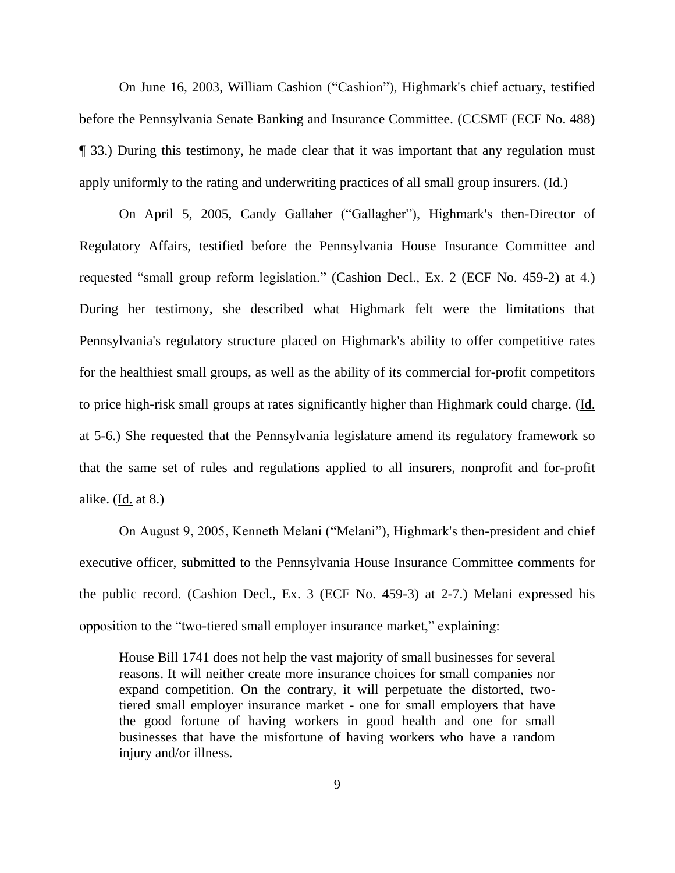On June 16, 2003, William Cashion ("Cashion"), Highmark's chief actuary, testified before the Pennsylvania Senate Banking and Insurance Committee. (CCSMF (ECF No. 488) ¶ 33.) During this testimony, he made clear that it was important that any regulation must apply uniformly to the rating and underwriting practices of all small group insurers. (Id.)

On April 5, 2005, Candy Gallaher ("Gallagher"), Highmark's then-Director of Regulatory Affairs, testified before the Pennsylvania House Insurance Committee and requested "small group reform legislation." (Cashion Decl., Ex. 2 (ECF No. 459-2) at 4.) During her testimony, she described what Highmark felt were the limitations that Pennsylvania's regulatory structure placed on Highmark's ability to offer competitive rates for the healthiest small groups, as well as the ability of its commercial for-profit competitors to price high-risk small groups at rates significantly higher than Highmark could charge. (Id. at 5-6.) She requested that the Pennsylvania legislature amend its regulatory framework so that the same set of rules and regulations applied to all insurers, nonprofit and for-profit alike. (Id. at 8.)

On August 9, 2005, Kenneth Melani ("Melani"), Highmark's then-president and chief executive officer, submitted to the Pennsylvania House Insurance Committee comments for the public record. (Cashion Decl., Ex. 3 (ECF No. 459-3) at 2-7.) Melani expressed his opposition to the "two-tiered small employer insurance market," explaining:

House Bill 1741 does not help the vast majority of small businesses for several reasons. It will neither create more insurance choices for small companies nor expand competition. On the contrary, it will perpetuate the distorted, twotiered small employer insurance market - one for small employers that have the good fortune of having workers in good health and one for small businesses that have the misfortune of having workers who have a random injury and/or illness.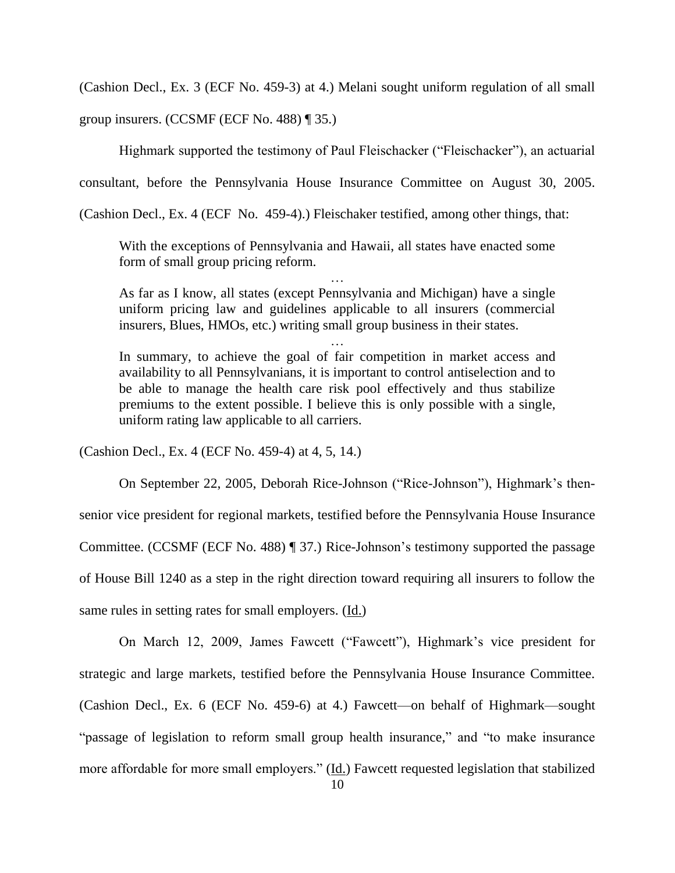(Cashion Decl., Ex. 3 (ECF No. 459-3) at 4.) Melani sought uniform regulation of all small

group insurers. (CCSMF (ECF No. 488) ¶ 35.)

Highmark supported the testimony of Paul Fleischacker ("Fleischacker"), an actuarial

consultant, before the Pennsylvania House Insurance Committee on August 30, 2005.

(Cashion Decl., Ex. 4 (ECF No. 459-4).) Fleischaker testified, among other things, that:

With the exceptions of Pennsylvania and Hawaii, all states have enacted some form of small group pricing reform.

…

As far as I know, all states (except Pennsylvania and Michigan) have a single uniform pricing law and guidelines applicable to all insurers (commercial insurers, Blues, HMOs, etc.) writing small group business in their states.

…

In summary, to achieve the goal of fair competition in market access and availability to all Pennsylvanians, it is important to control antiselection and to be able to manage the health care risk pool effectively and thus stabilize premiums to the extent possible. I believe this is only possible with a single, uniform rating law applicable to all carriers.

(Cashion Decl., Ex. 4 (ECF No. 459-4) at 4, 5, 14.)

On September 22, 2005, Deborah Rice-Johnson ("Rice-Johnson"), Highmark's thensenior vice president for regional markets, testified before the Pennsylvania House Insurance Committee. (CCSMF (ECF No. 488) ¶ 37.) Rice-Johnson's testimony supported the passage of House Bill 1240 as a step in the right direction toward requiring all insurers to follow the same rules in setting rates for small employers. (Id.)

On March 12, 2009, James Fawcett ("Fawcett"), Highmark's vice president for strategic and large markets, testified before the Pennsylvania House Insurance Committee. (Cashion Decl., Ex. 6 (ECF No. 459-6) at 4.) Fawcett—on behalf of Highmark—sought "passage of legislation to reform small group health insurance," and "to make insurance more affordable for more small employers." (Id.) Fawcett requested legislation that stabilized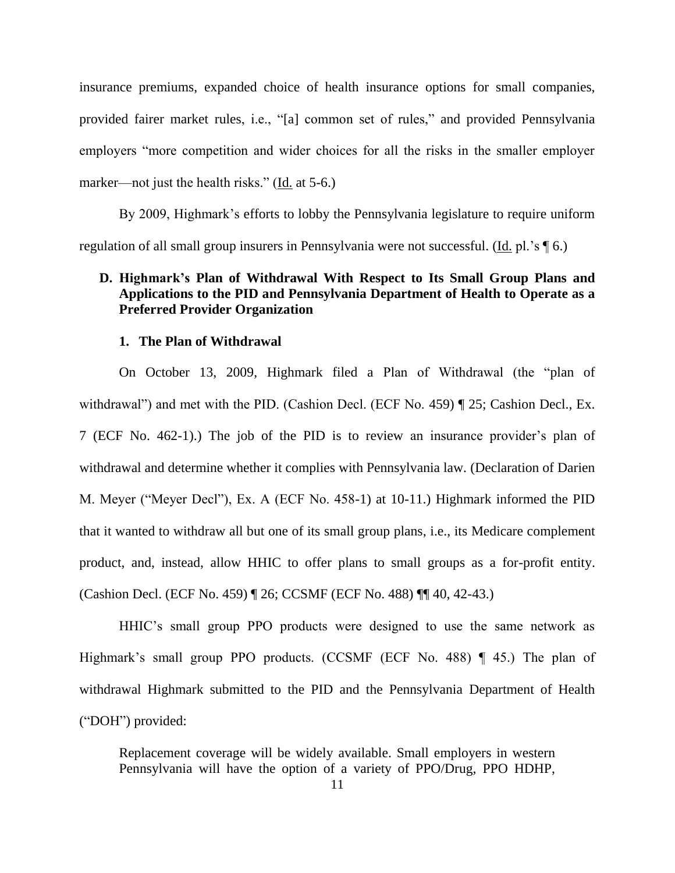insurance premiums, expanded choice of health insurance options for small companies, provided fairer market rules, i.e., "[a] common set of rules," and provided Pennsylvania employers "more competition and wider choices for all the risks in the smaller employer marker—not just the health risks." (Id. at 5-6.)

By 2009, Highmark's efforts to lobby the Pennsylvania legislature to require uniform regulation of all small group insurers in Pennsylvania were not successful. (Id. pl.'s \[ 6.)

## **D. Highmark's Plan of Withdrawal With Respect to Its Small Group Plans and Applications to the PID and Pennsylvania Department of Health to Operate as a Preferred Provider Organization**

### **1. The Plan of Withdrawal**

On October 13, 2009, Highmark filed a Plan of Withdrawal (the "plan of withdrawal") and met with the PID. (Cashion Decl. (ECF No. 459) ¶ 25; Cashion Decl., Ex. 7 (ECF No. 462-1).) The job of the PID is to review an insurance provider's plan of withdrawal and determine whether it complies with Pennsylvania law. (Declaration of Darien M. Meyer ("Meyer Decl"), Ex. A (ECF No. 458-1) at 10-11.) Highmark informed the PID that it wanted to withdraw all but one of its small group plans, i.e., its Medicare complement product, and, instead, allow HHIC to offer plans to small groups as a for-profit entity. (Cashion Decl. (ECF No. 459) ¶ 26; CCSMF (ECF No. 488) ¶¶ 40, 42-43.)

HHIC's small group PPO products were designed to use the same network as Highmark's small group PPO products. (CCSMF (ECF No. 488) ¶ 45.) The plan of withdrawal Highmark submitted to the PID and the Pennsylvania Department of Health ("DOH") provided:

Replacement coverage will be widely available. Small employers in western Pennsylvania will have the option of a variety of PPO/Drug, PPO HDHP,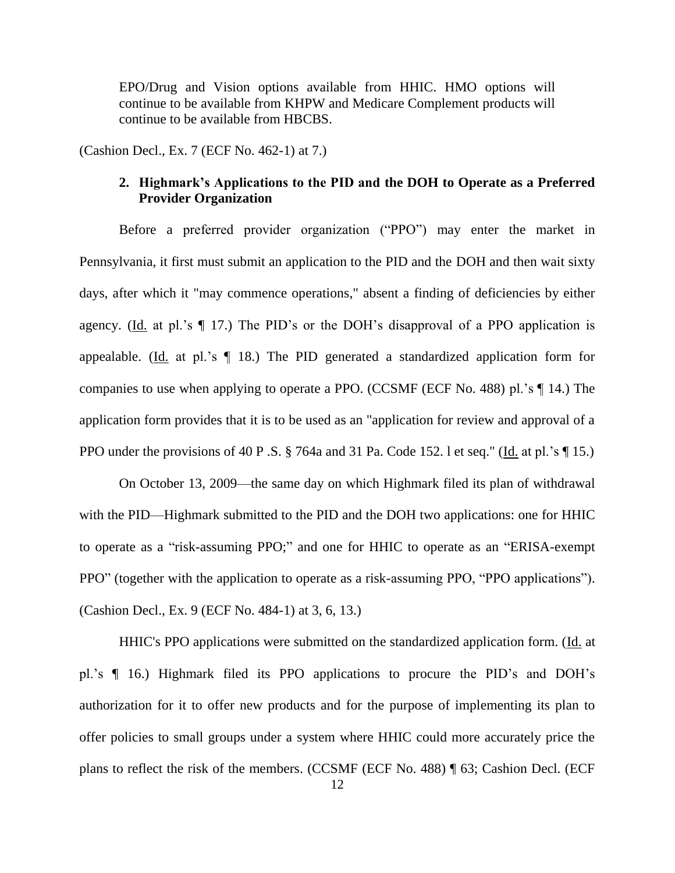EPO/Drug and Vision options available from HHIC. HMO options will continue to be available from KHPW and Medicare Complement products will continue to be available from HBCBS.

(Cashion Decl., Ex. 7 (ECF No. 462-1) at 7.)

## **2. Highmark's Applications to the PID and the DOH to Operate as a Preferred Provider Organization**

Before a preferred provider organization ("PPO") may enter the market in Pennsylvania, it first must submit an application to the PID and the DOH and then wait sixty days, after which it "may commence operations," absent a finding of deficiencies by either agency. (Id. at pl.'s  $\P$  17.) The PID's or the DOH's disapproval of a PPO application is appealable. (Id. at pl.'s  $\P$  18.) The PID generated a standardized application form for companies to use when applying to operate a PPO. (CCSMF (ECF No. 488) pl.'s ¶ 14.) The application form provides that it is to be used as an "application for review and approval of a PPO under the provisions of 40 P .S. § 764a and 31 Pa. Code 152. l et seq." (Id. at pl.'s \[\eq. 15.)

On October 13, 2009—the same day on which Highmark filed its plan of withdrawal with the PID—Highmark submitted to the PID and the DOH two applications: one for HHIC to operate as a "risk-assuming PPO;" and one for HHIC to operate as an "ERISA-exempt PPO" (together with the application to operate as a risk-assuming PPO, "PPO applications"). (Cashion Decl., Ex. 9 (ECF No. 484-1) at 3, 6, 13.)

HHIC's PPO applications were submitted on the standardized application form. (Id. at pl.'s ¶ 16.) Highmark filed its PPO applications to procure the PID's and DOH's authorization for it to offer new products and for the purpose of implementing its plan to offer policies to small groups under a system where HHIC could more accurately price the plans to reflect the risk of the members. (CCSMF (ECF No. 488) ¶ 63; Cashion Decl. (ECF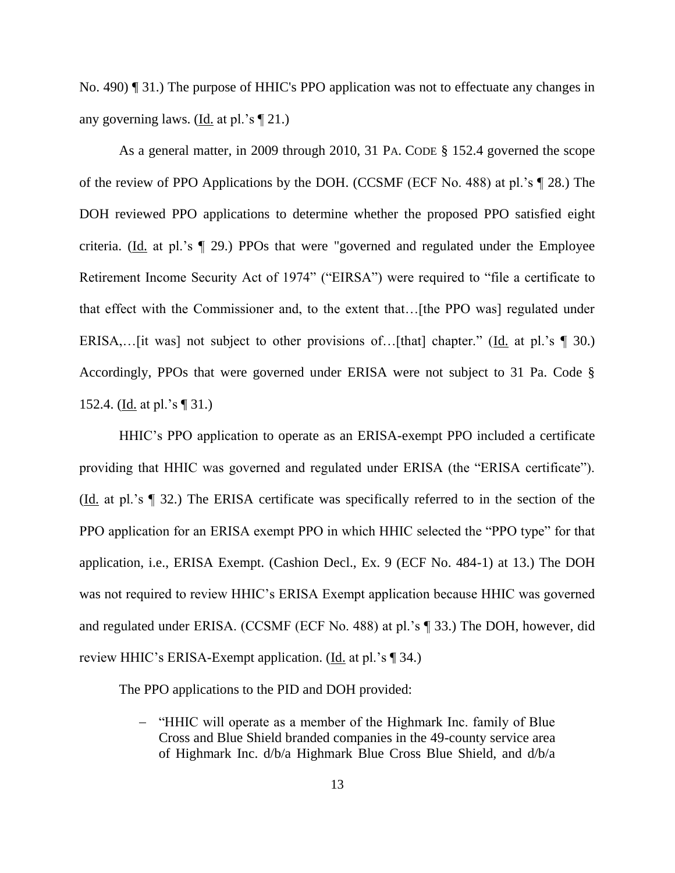No. 490) ¶ 31.) The purpose of HHIC's PPO application was not to effectuate any changes in any governing laws. (Id. at pl.'s  $\P$  21.)

As a general matter, in 2009 through 2010, 31 PA. CODE § 152.4 governed the scope of the review of PPO Applications by the DOH. (CCSMF (ECF No. 488) at pl.'s ¶ 28.) The DOH reviewed PPO applications to determine whether the proposed PPO satisfied eight criteria. (Id. at pl.'s ¶ 29.) PPOs that were "governed and regulated under the Employee Retirement Income Security Act of 1974" ("EIRSA") were required to "file a certificate to that effect with the Commissioner and, to the extent that…[the PPO was] regulated under ERISA,... [it was] not subject to other provisions of... [that] chapter." (Id. at pl.'s  $\P$  30.) Accordingly, PPOs that were governed under ERISA were not subject to 31 Pa. Code § 152.4. (Id. at pl.'s ¶ 31.)

HHIC's PPO application to operate as an ERISA-exempt PPO included a certificate providing that HHIC was governed and regulated under ERISA (the "ERISA certificate"). (Id. at pl.'s ¶ 32.) The ERISA certificate was specifically referred to in the section of the PPO application for an ERISA exempt PPO in which HHIC selected the "PPO type" for that application, i.e., ERISA Exempt. (Cashion Decl., Ex. 9 (ECF No. 484-1) at 13.) The DOH was not required to review HHIC's ERISA Exempt application because HHIC was governed and regulated under ERISA. (CCSMF (ECF No. 488) at pl.'s ¶ 33.) The DOH, however, did review HHIC's ERISA-Exempt application. (Id. at pl.'s [ 34.)

The PPO applications to the PID and DOH provided:

- "HHIC will operate as a member of the Highmark Inc. family of Blue Cross and Blue Shield branded companies in the 49-county service area of Highmark Inc. d/b/a Highmark Blue Cross Blue Shield, and d/b/a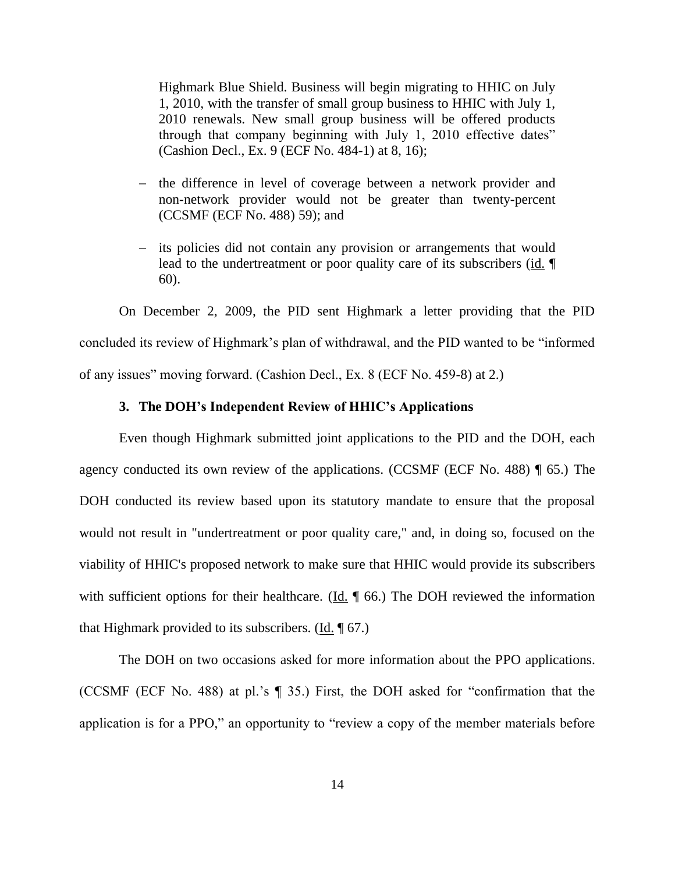Highmark Blue Shield. Business will begin migrating to HHIC on July 1, 2010, with the transfer of small group business to HHIC with July 1, 2010 renewals. New small group business will be offered products through that company beginning with July 1, 2010 effective dates" (Cashion Decl., Ex. 9 (ECF No. 484-1) at 8, 16);

- the difference in level of coverage between a network provider and non-network provider would not be greater than twenty-percent (CCSMF (ECF No. 488) 59); and
- its policies did not contain any provision or arrangements that would lead to the undertreatment or poor quality care of its subscribers (id. ¶ 60).

On December 2, 2009, the PID sent Highmark a letter providing that the PID concluded its review of Highmark's plan of withdrawal, and the PID wanted to be "informed of any issues" moving forward. (Cashion Decl., Ex. 8 (ECF No. 459-8) at 2.)

## **3. The DOH's Independent Review of HHIC's Applications**

Even though Highmark submitted joint applications to the PID and the DOH, each agency conducted its own review of the applications. (CCSMF (ECF No. 488) ¶ 65.) The DOH conducted its review based upon its statutory mandate to ensure that the proposal would not result in "undertreatment or poor quality care," and, in doing so, focused on the viability of HHIC's proposed network to make sure that HHIC would provide its subscribers with sufficient options for their healthcare. ( $\underline{Id}$ ,  $\P$  66.) The DOH reviewed the information that Highmark provided to its subscribers. (Id.  $\sqrt{67}$ .)

The DOH on two occasions asked for more information about the PPO applications. (CCSMF (ECF No. 488) at pl.'s ¶ 35.) First, the DOH asked for "confirmation that the application is for a PPO," an opportunity to "review a copy of the member materials before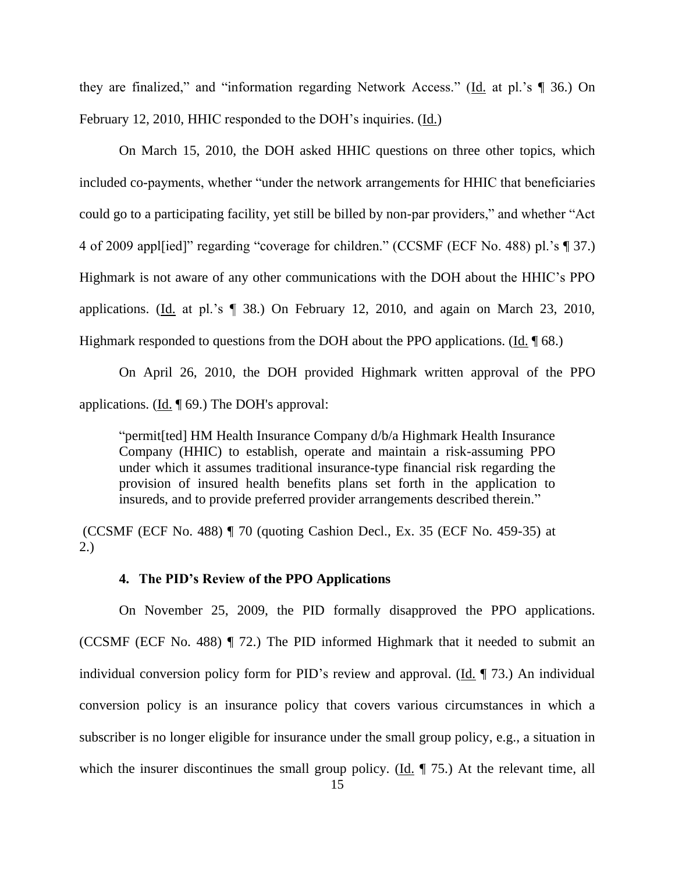they are finalized," and "information regarding Network Access." (Id. at pl.'s ¶ 36.) On February 12, 2010, HHIC responded to the DOH's inquiries. (Id.)

On March 15, 2010, the DOH asked HHIC questions on three other topics, which included co-payments, whether "under the network arrangements for HHIC that beneficiaries could go to a participating facility, yet still be billed by non-par providers," and whether "Act 4 of 2009 appl[ied]" regarding "coverage for children." (CCSMF (ECF No. 488) pl.'s ¶ 37.) Highmark is not aware of any other communications with the DOH about the HHIC's PPO applications. (Id. at pl.'s ¶ 38.) On February 12, 2010, and again on March 23, 2010, Highmark responded to questions from the DOH about the PPO applications. (Id. ¶ 68.)

On April 26, 2010, the DOH provided Highmark written approval of the PPO applications. (Id. ¶ 69.) The DOH's approval:

"permit[ted] HM Health Insurance Company d/b/a Highmark Health Insurance Company (HHIC) to establish, operate and maintain a risk-assuming PPO under which it assumes traditional insurance-type financial risk regarding the provision of insured health benefits plans set forth in the application to insureds, and to provide preferred provider arrangements described therein."

(CCSMF (ECF No. 488) ¶ 70 (quoting Cashion Decl., Ex. 35 (ECF No. 459-35) at 2.)

## **4. The PID's Review of the PPO Applications**

On November 25, 2009, the PID formally disapproved the PPO applications. (CCSMF (ECF No. 488) ¶ 72.) The PID informed Highmark that it needed to submit an individual conversion policy form for PID's review and approval. (Id. ¶ 73.) An individual conversion policy is an insurance policy that covers various circumstances in which a subscriber is no longer eligible for insurance under the small group policy, e.g., a situation in which the insurer discontinues the small group policy. (Id.  $\parallel$  75.) At the relevant time, all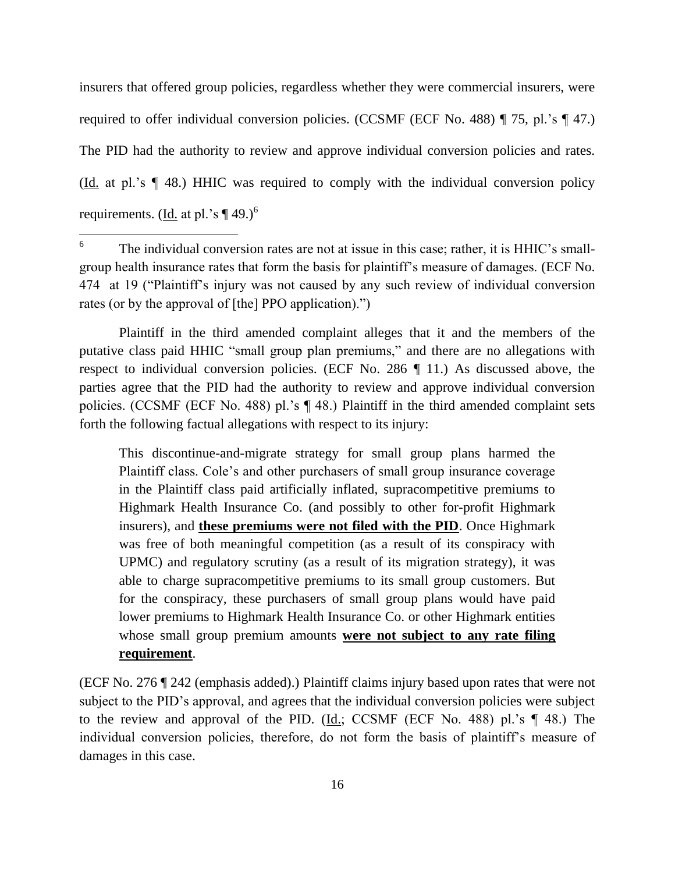insurers that offered group policies, regardless whether they were commercial insurers, were required to offer individual conversion policies. (CCSMF (ECF No. 488) ¶ 75, pl.'s ¶ 47.) The PID had the authority to review and approve individual conversion policies and rates. (Id. at pl.'s ¶ 48.) HHIC was required to comply with the individual conversion policy requirements. (Id. at pl.'s  $\P$  49.)<sup>6</sup>

Plaintiff in the third amended complaint alleges that it and the members of the putative class paid HHIC "small group plan premiums," and there are no allegations with respect to individual conversion policies. (ECF No. 286 ¶ 11.) As discussed above, the parties agree that the PID had the authority to review and approve individual conversion policies. (CCSMF (ECF No. 488) pl.'s ¶ 48.) Plaintiff in the third amended complaint sets forth the following factual allegations with respect to its injury:

This discontinue-and-migrate strategy for small group plans harmed the Plaintiff class. Cole's and other purchasers of small group insurance coverage in the Plaintiff class paid artificially inflated, supracompetitive premiums to Highmark Health Insurance Co. (and possibly to other for-profit Highmark insurers), and **these premiums were not filed with the PID**. Once Highmark was free of both meaningful competition (as a result of its conspiracy with UPMC) and regulatory scrutiny (as a result of its migration strategy), it was able to charge supracompetitive premiums to its small group customers. But for the conspiracy, these purchasers of small group plans would have paid lower premiums to Highmark Health Insurance Co. or other Highmark entities whose small group premium amounts **were not subject to any rate filing requirement**.

(ECF No. 276 ¶ 242 (emphasis added).) Plaintiff claims injury based upon rates that were not subject to the PID's approval, and agrees that the individual conversion policies were subject to the review and approval of the PID. (Id.; CCSMF (ECF No. 488) pl.'s ¶ 48.) The individual conversion policies, therefore, do not form the basis of plaintiff's measure of damages in this case.

<sup>6</sup> The individual conversion rates are not at issue in this case; rather, it is HHIC's smallgroup health insurance rates that form the basis for plaintiff's measure of damages. (ECF No. 474 at 19 ("Plaintiff's injury was not caused by any such review of individual conversion rates (or by the approval of [the] PPO application).")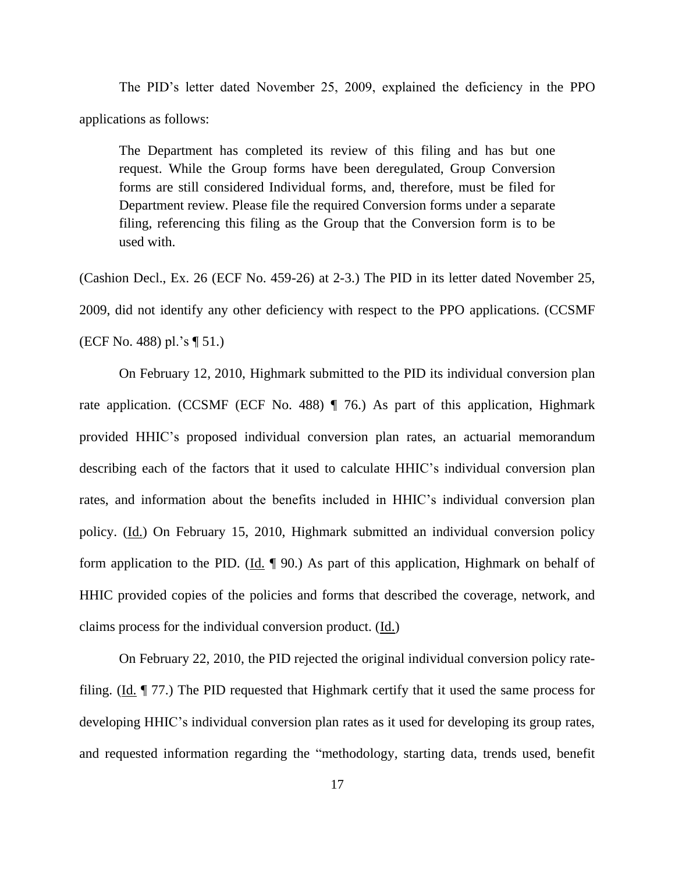The PID's letter dated November 25, 2009, explained the deficiency in the PPO applications as follows:

The Department has completed its review of this filing and has but one request. While the Group forms have been deregulated, Group Conversion forms are still considered Individual forms, and, therefore, must be filed for Department review. Please file the required Conversion forms under a separate filing, referencing this filing as the Group that the Conversion form is to be used with.

(Cashion Decl., Ex. 26 (ECF No. 459-26) at 2-3.) The PID in its letter dated November 25, 2009, did not identify any other deficiency with respect to the PPO applications. (CCSMF (ECF No. 488) pl.'s ¶ 51.)

On February 12, 2010, Highmark submitted to the PID its individual conversion plan rate application. (CCSMF (ECF No. 488)  $\parallel$  76.) As part of this application, Highmark provided HHIC's proposed individual conversion plan rates, an actuarial memorandum describing each of the factors that it used to calculate HHIC's individual conversion plan rates, and information about the benefits included in HHIC's individual conversion plan policy. (Id.) On February 15, 2010, Highmark submitted an individual conversion policy form application to the PID. ( $\underline{Id}$ ,  $\P$  90.) As part of this application, Highmark on behalf of HHIC provided copies of the policies and forms that described the coverage, network, and claims process for the individual conversion product. (Id.)

On February 22, 2010, the PID rejected the original individual conversion policy ratefiling. (Id. ¶ 77.) The PID requested that Highmark certify that it used the same process for developing HHIC's individual conversion plan rates as it used for developing its group rates, and requested information regarding the "methodology, starting data, trends used, benefit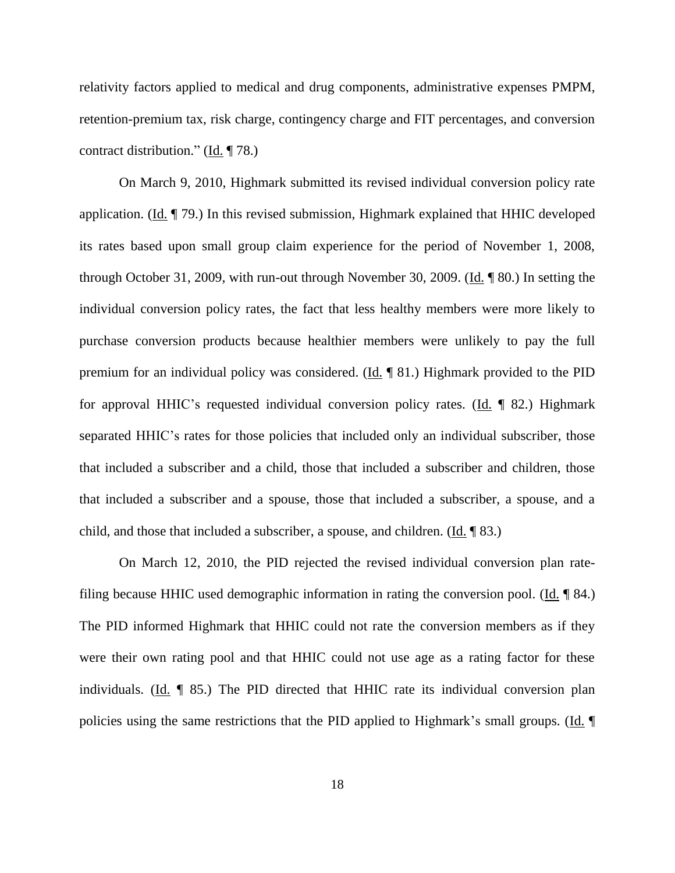relativity factors applied to medical and drug components, administrative expenses PMPM, retention-premium tax, risk charge, contingency charge and FIT percentages, and conversion contract distribution." ( $\underline{Id}$ . [78.)

On March 9, 2010, Highmark submitted its revised individual conversion policy rate application. (Id. ¶ 79.) In this revised submission, Highmark explained that HHIC developed its rates based upon small group claim experience for the period of November 1, 2008, through October 31, 2009, with run-out through November 30, 2009. (Id. ¶ 80.) In setting the individual conversion policy rates, the fact that less healthy members were more likely to purchase conversion products because healthier members were unlikely to pay the full premium for an individual policy was considered. ( $\underline{Id}$ ,  $\P$  81.) Highmark provided to the PID for approval HHIC's requested individual conversion policy rates. (Id. ¶ 82.) Highmark separated HHIC's rates for those policies that included only an individual subscriber, those that included a subscriber and a child, those that included a subscriber and children, those that included a subscriber and a spouse, those that included a subscriber, a spouse, and a child, and those that included a subscriber, a spouse, and children. (Id. ¶ 83.)

On March 12, 2010, the PID rejected the revised individual conversion plan ratefiling because HHIC used demographic information in rating the conversion pool. (Id. ¶ 84.) The PID informed Highmark that HHIC could not rate the conversion members as if they were their own rating pool and that HHIC could not use age as a rating factor for these individuals. (Id. ¶ 85.) The PID directed that HHIC rate its individual conversion plan policies using the same restrictions that the PID applied to Highmark's small groups. (Id. ¶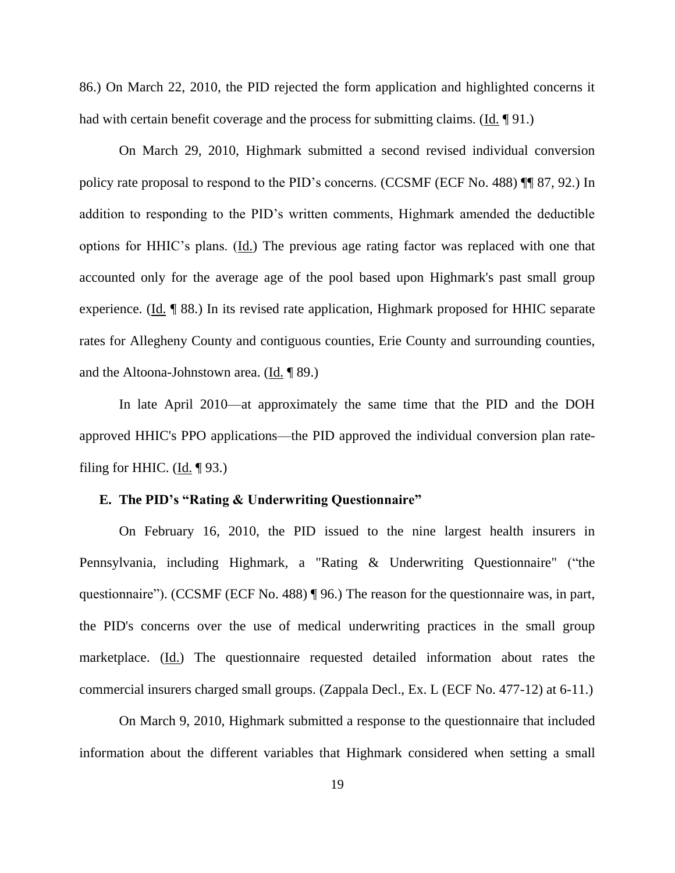86.) On March 22, 2010, the PID rejected the form application and highlighted concerns it had with certain benefit coverage and the process for submitting claims. (Id. 191.)

On March 29, 2010, Highmark submitted a second revised individual conversion policy rate proposal to respond to the PID's concerns. (CCSMF (ECF No. 488) ¶¶ 87, 92.) In addition to responding to the PID's written comments, Highmark amended the deductible options for HHIC's plans. (Id.) The previous age rating factor was replaced with one that accounted only for the average age of the pool based upon Highmark's past small group experience. (Id. ¶ 88.) In its revised rate application, Highmark proposed for HHIC separate rates for Allegheny County and contiguous counties, Erie County and surrounding counties, and the Altoona-Johnstown area.  $(\underline{Id}, \P \ 89)$ .

In late April 2010—at approximately the same time that the PID and the DOH approved HHIC's PPO applications—the PID approved the individual conversion plan ratefiling for HHIC.  $(Id. \P 93.)$ 

## **E. The PID's "Rating & Underwriting Questionnaire"**

On February 16, 2010, the PID issued to the nine largest health insurers in Pennsylvania, including Highmark, a "Rating & Underwriting Questionnaire" ("the questionnaire"). (CCSMF (ECF No. 488) ¶ 96.) The reason for the questionnaire was, in part, the PID's concerns over the use of medical underwriting practices in the small group marketplace. (Id.) The questionnaire requested detailed information about rates the commercial insurers charged small groups. (Zappala Decl., Ex. L (ECF No. 477-12) at 6-11.)

On March 9, 2010, Highmark submitted a response to the questionnaire that included information about the different variables that Highmark considered when setting a small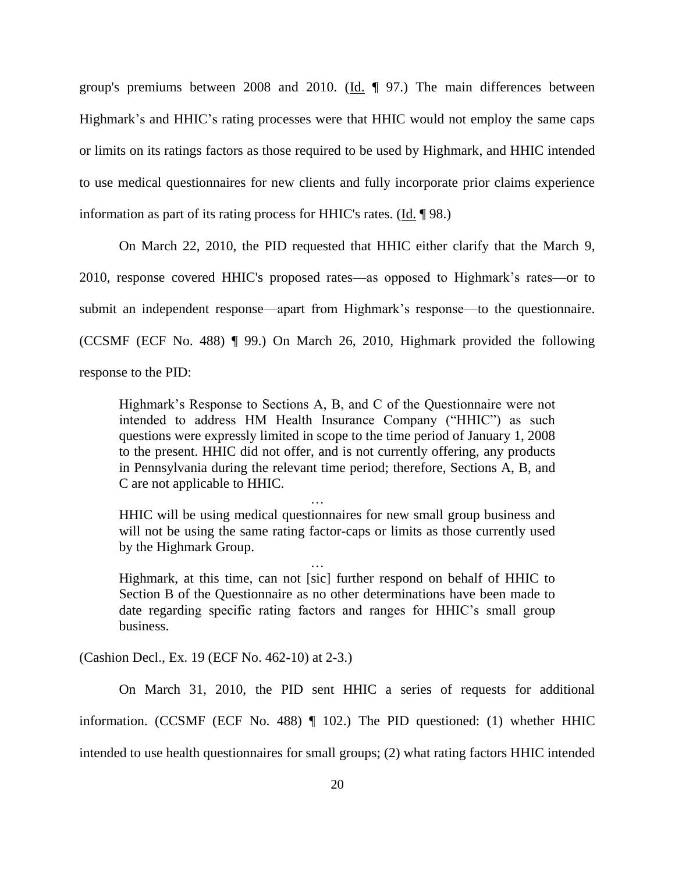group's premiums between 2008 and 2010. ( $\underline{Id}$ .  $\P$  97.) The main differences between Highmark's and HHIC's rating processes were that HHIC would not employ the same caps or limits on its ratings factors as those required to be used by Highmark, and HHIC intended to use medical questionnaires for new clients and fully incorporate prior claims experience information as part of its rating process for HHIC's rates. (Id. ¶ 98.)

On March 22, 2010, the PID requested that HHIC either clarify that the March 9, 2010, response covered HHIC's proposed rates—as opposed to Highmark's rates—or to submit an independent response—apart from Highmark's response—to the questionnaire. (CCSMF (ECF No. 488) ¶ 99.) On March 26, 2010, Highmark provided the following response to the PID:

Highmark's Response to Sections A, B, and C of the Questionnaire were not intended to address HM Health Insurance Company ("HHIC") as such questions were expressly limited in scope to the time period of January 1, 2008 to the present. HHIC did not offer, and is not currently offering, any products in Pennsylvania during the relevant time period; therefore, Sections A, B, and C are not applicable to HHIC.

HHIC will be using medical questionnaires for new small group business and will not be using the same rating factor-caps or limits as those currently used by the Highmark Group.

…

… Highmark, at this time, can not [sic] further respond on behalf of HHIC to Section B of the Questionnaire as no other determinations have been made to date regarding specific rating factors and ranges for HHIC's small group business.

(Cashion Decl., Ex. 19 (ECF No. 462-10) at 2-3.)

On March 31, 2010, the PID sent HHIC a series of requests for additional information. (CCSMF (ECF No. 488) ¶ 102.) The PID questioned: (1) whether HHIC intended to use health questionnaires for small groups; (2) what rating factors HHIC intended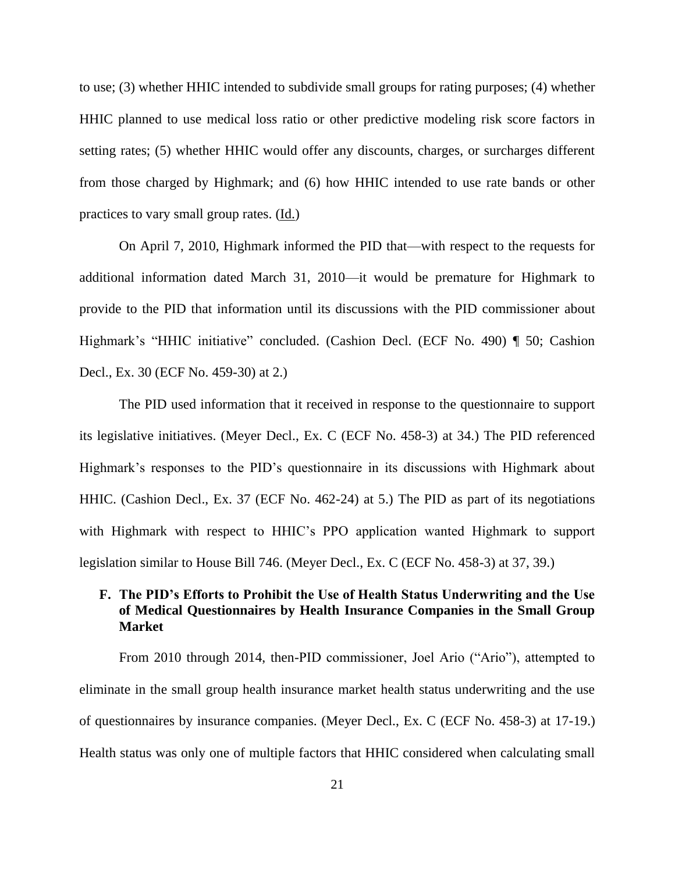to use; (3) whether HHIC intended to subdivide small groups for rating purposes; (4) whether HHIC planned to use medical loss ratio or other predictive modeling risk score factors in setting rates; (5) whether HHIC would offer any discounts, charges, or surcharges different from those charged by Highmark; and (6) how HHIC intended to use rate bands or other practices to vary small group rates. (Id.)

On April 7, 2010, Highmark informed the PID that—with respect to the requests for additional information dated March 31, 2010—it would be premature for Highmark to provide to the PID that information until its discussions with the PID commissioner about Highmark's "HHIC initiative" concluded. (Cashion Decl. (ECF No. 490) ¶ 50; Cashion Decl., Ex. 30 (ECF No. 459-30) at 2.)

The PID used information that it received in response to the questionnaire to support its legislative initiatives. (Meyer Decl., Ex. C (ECF No. 458-3) at 34.) The PID referenced Highmark's responses to the PID's questionnaire in its discussions with Highmark about HHIC. (Cashion Decl., Ex. 37 (ECF No. 462-24) at 5.) The PID as part of its negotiations with Highmark with respect to HHIC's PPO application wanted Highmark to support legislation similar to House Bill 746. (Meyer Decl., Ex. C (ECF No. 458-3) at 37, 39.)

# **F. The PID's Efforts to Prohibit the Use of Health Status Underwriting and the Use of Medical Questionnaires by Health Insurance Companies in the Small Group Market**

From 2010 through 2014, then-PID commissioner, Joel Ario ("Ario"), attempted to eliminate in the small group health insurance market health status underwriting and the use of questionnaires by insurance companies. (Meyer Decl., Ex. C (ECF No. 458-3) at 17-19.) Health status was only one of multiple factors that HHIC considered when calculating small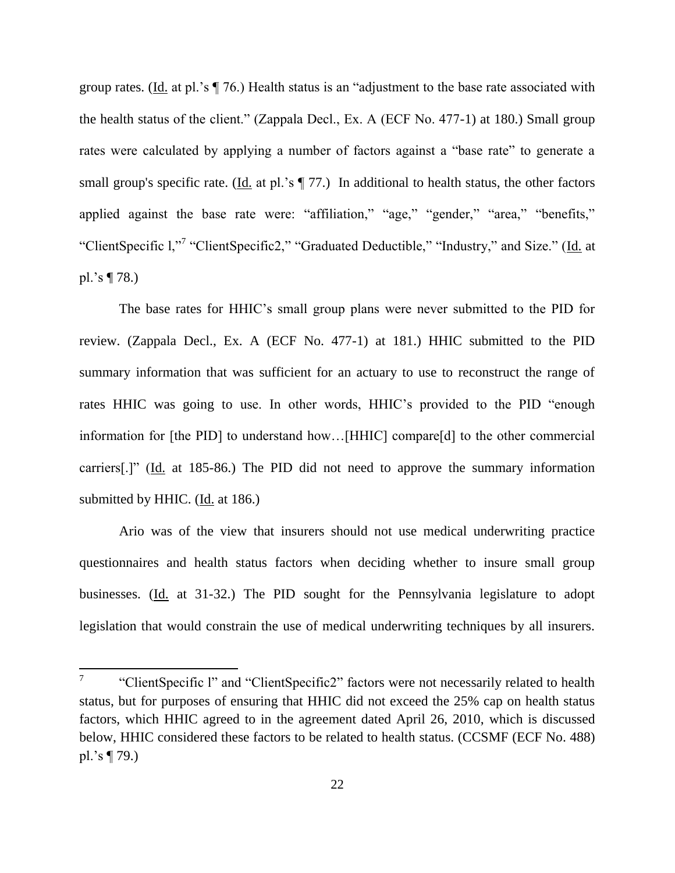group rates. (Id. at pl.'s  $\P$  76.) Health status is an "adjustment to the base rate associated with the health status of the client." (Zappala Decl., Ex. A (ECF No. 477-1) at 180.) Small group rates were calculated by applying a number of factors against a "base rate" to generate a small group's specific rate. (Id. at pl.'s  $\P$  77.) In additional to health status, the other factors applied against the base rate were: "affiliation," "age," "gender," "area," "benefits," "ClientSpecific 1,"7 "ClientSpecific2," "Graduated Deductible," "Industry," and Size." (Id. at pl.'s ¶ 78.)

The base rates for HHIC's small group plans were never submitted to the PID for review. (Zappala Decl., Ex. A (ECF No. 477-1) at 181.) HHIC submitted to the PID summary information that was sufficient for an actuary to use to reconstruct the range of rates HHIC was going to use. In other words, HHIC's provided to the PID "enough information for [the PID] to understand how…[HHIC] compare[d] to the other commercial carriers[.]" (Id. at 185-86.) The PID did not need to approve the summary information submitted by HHIC. (Id. at 186.)

Ario was of the view that insurers should not use medical underwriting practice questionnaires and health status factors when deciding whether to insure small group businesses. (Id. at 31-32.) The PID sought for the Pennsylvania legislature to adopt legislation that would constrain the use of medical underwriting techniques by all insurers.

<sup>—&</sup>lt;br>7 "ClientSpecific l" and "ClientSpecific2" factors were not necessarily related to health status, but for purposes of ensuring that HHIC did not exceed the 25% cap on health status factors, which HHIC agreed to in the agreement dated April 26, 2010, which is discussed below, HHIC considered these factors to be related to health status. (CCSMF (ECF No. 488) pl.'s ¶ 79.)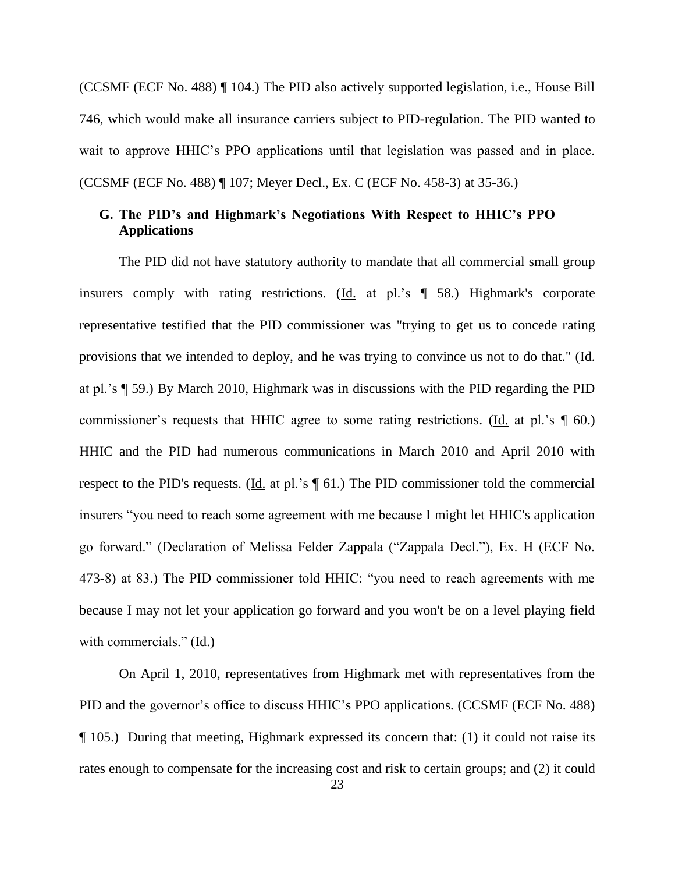(CCSMF (ECF No. 488) ¶ 104.) The PID also actively supported legislation, i.e., House Bill 746, which would make all insurance carriers subject to PID-regulation. The PID wanted to wait to approve HHIC's PPO applications until that legislation was passed and in place. (CCSMF (ECF No. 488) ¶ 107; Meyer Decl., Ex. C (ECF No. 458-3) at 35-36.)

## **G. The PID's and Highmark's Negotiations With Respect to HHIC's PPO Applications**

The PID did not have statutory authority to mandate that all commercial small group insurers comply with rating restrictions. (Id. at pl.'s ¶ 58.) Highmark's corporate representative testified that the PID commissioner was "trying to get us to concede rating provisions that we intended to deploy, and he was trying to convince us not to do that." (Id. at pl.'s ¶ 59.) By March 2010, Highmark was in discussions with the PID regarding the PID commissioner's requests that HHIC agree to some rating restrictions. (Id. at pl.'s ¶ 60.) HHIC and the PID had numerous communications in March 2010 and April 2010 with respect to the PID's requests. (Id. at pl.'s  $\P$  61.) The PID commissioner told the commercial insurers "you need to reach some agreement with me because I might let HHIC's application go forward." (Declaration of Melissa Felder Zappala ("Zappala Decl."), Ex. H (ECF No. 473-8) at 83.) The PID commissioner told HHIC: "you need to reach agreements with me because I may not let your application go forward and you won't be on a level playing field with commercials."  $(\underline{Id.})$ 

On April 1, 2010, representatives from Highmark met with representatives from the PID and the governor's office to discuss HHIC's PPO applications. (CCSMF (ECF No. 488) ¶ 105.) During that meeting, Highmark expressed its concern that: (1) it could not raise its rates enough to compensate for the increasing cost and risk to certain groups; and (2) it could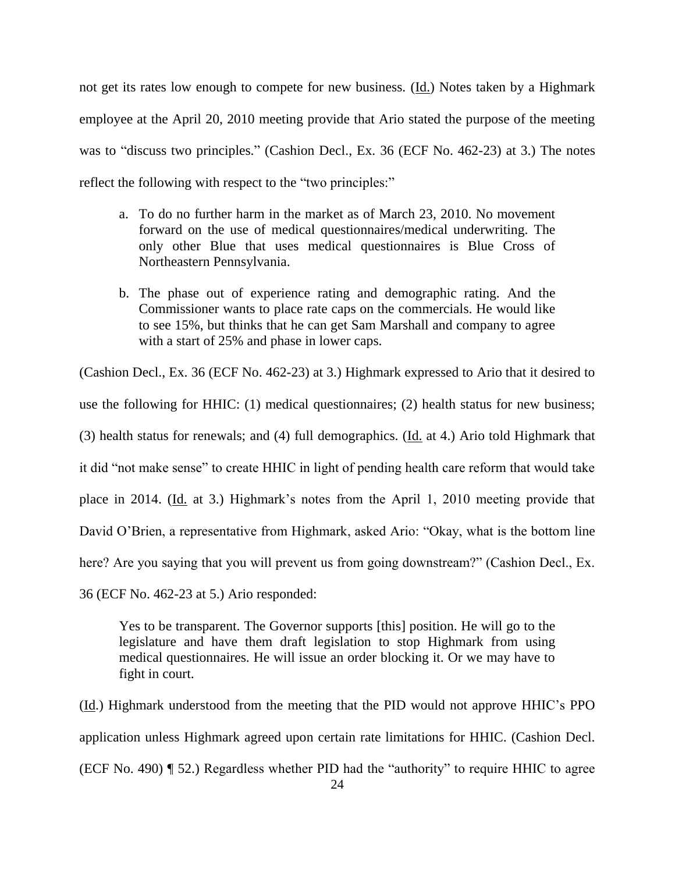not get its rates low enough to compete for new business. (Id.) Notes taken by a Highmark employee at the April 20, 2010 meeting provide that Ario stated the purpose of the meeting was to "discuss two principles." (Cashion Decl., Ex. 36 (ECF No. 462-23) at 3.) The notes reflect the following with respect to the "two principles:"

- a. To do no further harm in the market as of March 23, 2010. No movement forward on the use of medical questionnaires/medical underwriting. The only other Blue that uses medical questionnaires is Blue Cross of Northeastern Pennsylvania.
- b. The phase out of experience rating and demographic rating. And the Commissioner wants to place rate caps on the commercials. He would like to see 15%, but thinks that he can get Sam Marshall and company to agree with a start of 25% and phase in lower caps.

(Cashion Decl., Ex. 36 (ECF No. 462-23) at 3.) Highmark expressed to Ario that it desired to use the following for HHIC: (1) medical questionnaires; (2) health status for new business; (3) health status for renewals; and (4) full demographics. ( $\underline{Id}$ , at 4.) Ario told Highmark that it did "not make sense" to create HHIC in light of pending health care reform that would take place in 2014. (Id. at 3.) Highmark's notes from the April 1, 2010 meeting provide that David O'Brien, a representative from Highmark, asked Ario: "Okay, what is the bottom line here? Are you saying that you will prevent us from going downstream?" (Cashion Decl., Ex. 36 (ECF No. 462-23 at 5.) Ario responded:

Yes to be transparent. The Governor supports [this] position. He will go to the legislature and have them draft legislation to stop Highmark from using medical questionnaires. He will issue an order blocking it. Or we may have to fight in court.

(Id.) Highmark understood from the meeting that the PID would not approve HHIC's PPO application unless Highmark agreed upon certain rate limitations for HHIC. (Cashion Decl. (ECF No. 490) ¶ 52.) Regardless whether PID had the "authority" to require HHIC to agree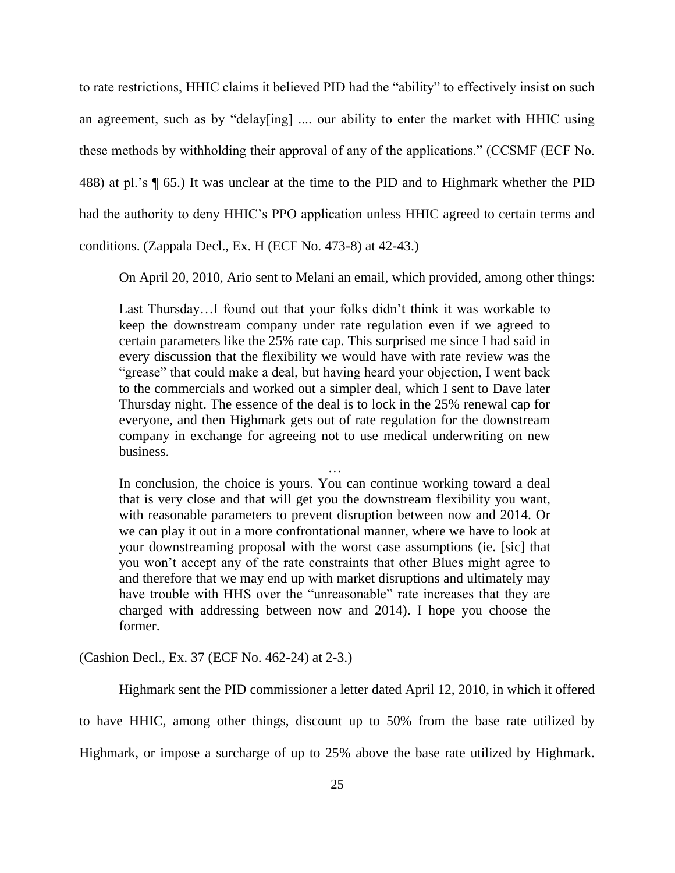to rate restrictions, HHIC claims it believed PID had the "ability" to effectively insist on such an agreement, such as by "delay[ing] .... our ability to enter the market with HHIC using these methods by withholding their approval of any of the applications." (CCSMF (ECF No. 488) at pl.'s ¶ 65.) It was unclear at the time to the PID and to Highmark whether the PID had the authority to deny HHIC's PPO application unless HHIC agreed to certain terms and conditions. (Zappala Decl., Ex. H (ECF No. 473-8) at 42-43.)

On April 20, 2010, Ario sent to Melani an email, which provided, among other things:

Last Thursday…I found out that your folks didn't think it was workable to keep the downstream company under rate regulation even if we agreed to certain parameters like the 25% rate cap. This surprised me since I had said in every discussion that the flexibility we would have with rate review was the "grease" that could make a deal, but having heard your objection, I went back to the commercials and worked out a simpler deal, which I sent to Dave later Thursday night. The essence of the deal is to lock in the 25% renewal cap for everyone, and then Highmark gets out of rate regulation for the downstream company in exchange for agreeing not to use medical underwriting on new business.

…

In conclusion, the choice is yours. You can continue working toward a deal that is very close and that will get you the downstream flexibility you want, with reasonable parameters to prevent disruption between now and 2014. Or we can play it out in a more confrontational manner, where we have to look at your downstreaming proposal with the worst case assumptions (ie. [sic] that you won't accept any of the rate constraints that other Blues might agree to and therefore that we may end up with market disruptions and ultimately may have trouble with HHS over the "unreasonable" rate increases that they are charged with addressing between now and 2014). I hope you choose the former.

(Cashion Decl., Ex. 37 (ECF No. 462-24) at 2-3.)

Highmark sent the PID commissioner a letter dated April 12, 2010, in which it offered to have HHIC, among other things, discount up to 50% from the base rate utilized by Highmark, or impose a surcharge of up to 25% above the base rate utilized by Highmark.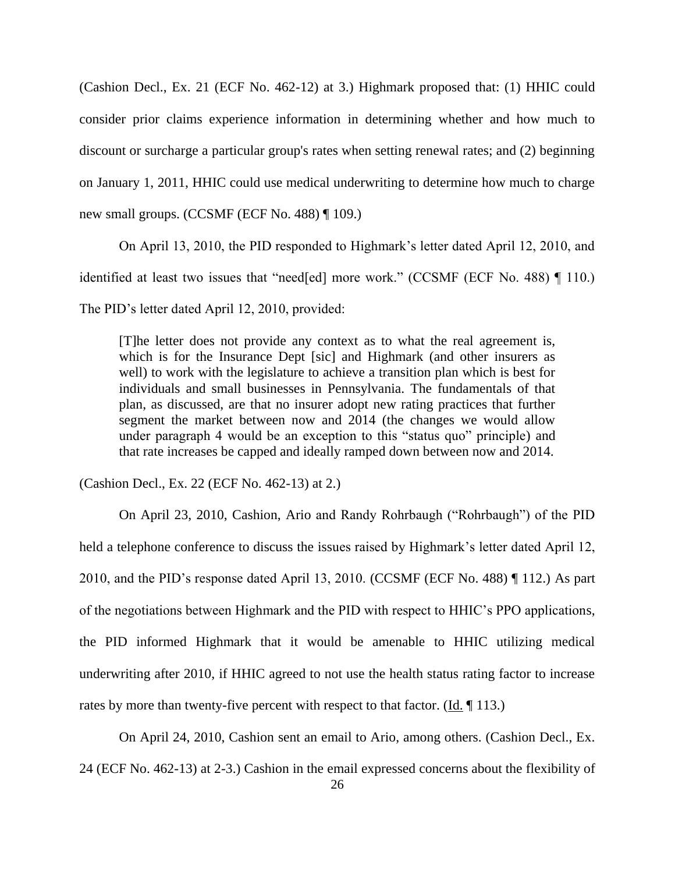(Cashion Decl., Ex. 21 (ECF No. 462-12) at 3.) Highmark proposed that: (1) HHIC could consider prior claims experience information in determining whether and how much to discount or surcharge a particular group's rates when setting renewal rates; and (2) beginning on January 1, 2011, HHIC could use medical underwriting to determine how much to charge new small groups. (CCSMF (ECF No. 488) ¶ 109.)

On April 13, 2010, the PID responded to Highmark's letter dated April 12, 2010, and identified at least two issues that "need[ed] more work." (CCSMF (ECF No. 488) ¶ 110.) The PID's letter dated April 12, 2010, provided:

[T]he letter does not provide any context as to what the real agreement is, which is for the Insurance Dept [sic] and Highmark (and other insurers as well) to work with the legislature to achieve a transition plan which is best for individuals and small businesses in Pennsylvania. The fundamentals of that plan, as discussed, are that no insurer adopt new rating practices that further segment the market between now and 2014 (the changes we would allow under paragraph 4 would be an exception to this "status quo" principle) and that rate increases be capped and ideally ramped down between now and 2014.

(Cashion Decl., Ex. 22 (ECF No. 462-13) at 2.)

On April 23, 2010, Cashion, Ario and Randy Rohrbaugh ("Rohrbaugh") of the PID held a telephone conference to discuss the issues raised by Highmark's letter dated April 12, 2010, and the PID's response dated April 13, 2010. (CCSMF (ECF No. 488) ¶ 112.) As part of the negotiations between Highmark and the PID with respect to HHIC's PPO applications, the PID informed Highmark that it would be amenable to HHIC utilizing medical underwriting after 2010, if HHIC agreed to not use the health status rating factor to increase rates by more than twenty-five percent with respect to that factor.  $(\underline{Id} \cdot \P 113.)$ 

On April 24, 2010, Cashion sent an email to Ario, among others. (Cashion Decl., Ex. 24 (ECF No. 462-13) at 2-3.) Cashion in the email expressed concerns about the flexibility of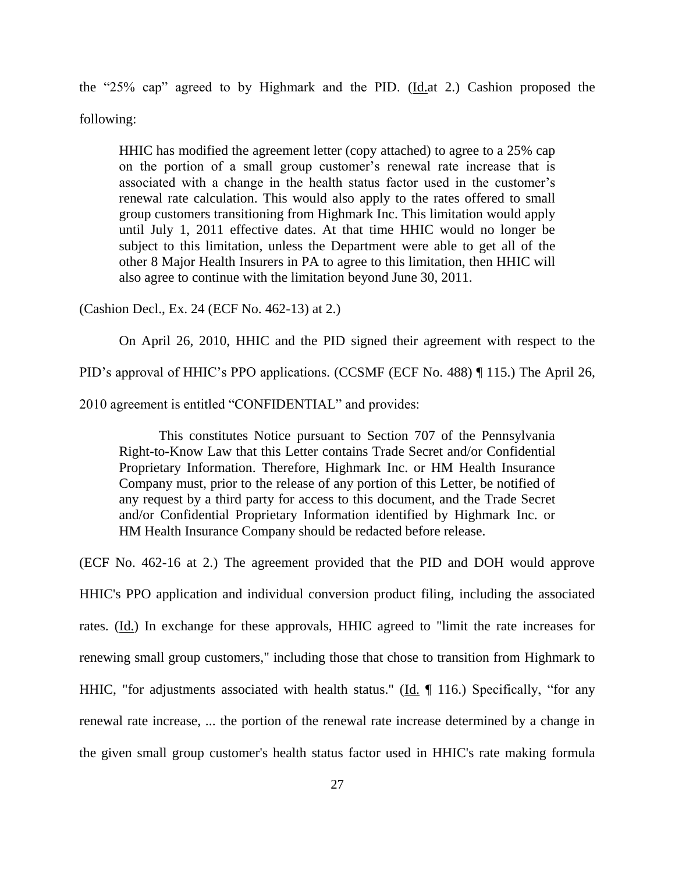the "25% cap" agreed to by Highmark and the PID.  $(\underline{Id}$  at 2.) Cashion proposed the following:

HHIC has modified the agreement letter (copy attached) to agree to a 25% cap on the portion of a small group customer's renewal rate increase that is associated with a change in the health status factor used in the customer's renewal rate calculation. This would also apply to the rates offered to small group customers transitioning from Highmark Inc. This limitation would apply until July 1, 2011 effective dates. At that time HHIC would no longer be subject to this limitation, unless the Department were able to get all of the other 8 Major Health Insurers in PA to agree to this limitation, then HHIC will also agree to continue with the limitation beyond June 30, 2011.

(Cashion Decl., Ex. 24 (ECF No. 462-13) at 2.)

On April 26, 2010, HHIC and the PID signed their agreement with respect to the

PID's approval of HHIC's PPO applications. (CCSMF (ECF No. 488) ¶ 115.) The April 26,

2010 agreement is entitled "CONFIDENTIAL" and provides:

This constitutes Notice pursuant to Section 707 of the Pennsylvania Right-to-Know Law that this Letter contains Trade Secret and/or Confidential Proprietary Information. Therefore, Highmark Inc. or HM Health Insurance Company must, prior to the release of any portion of this Letter, be notified of any request by a third party for access to this document, and the Trade Secret and/or Confidential Proprietary Information identified by Highmark Inc. or HM Health Insurance Company should be redacted before release.

(ECF No. 462-16 at 2.) The agreement provided that the PID and DOH would approve

HHIC's PPO application and individual conversion product filing, including the associated rates. (Id.) In exchange for these approvals, HHIC agreed to "limit the rate increases for renewing small group customers," including those that chose to transition from Highmark to HHIC, "for adjustments associated with health status." (Id. ¶ 116.) Specifically, "for any renewal rate increase, ... the portion of the renewal rate increase determined by a change in the given small group customer's health status factor used in HHIC's rate making formula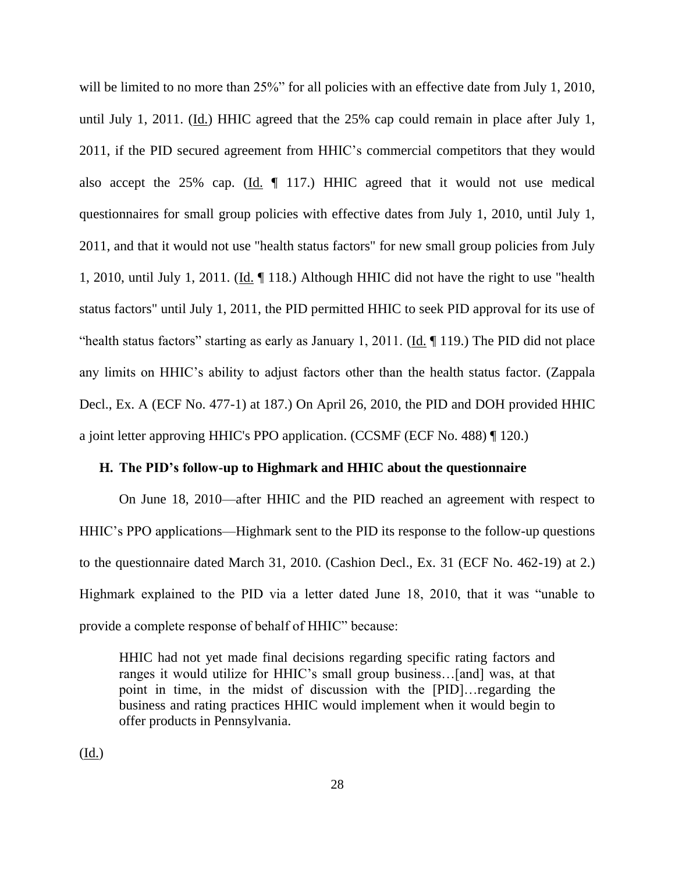will be limited to no more than 25%" for all policies with an effective date from July 1, 2010, until July 1, 2011. (Id.) HHIC agreed that the 25% cap could remain in place after July 1, 2011, if the PID secured agreement from HHIC's commercial competitors that they would also accept the 25% cap. (Id. ¶ 117.) HHIC agreed that it would not use medical questionnaires for small group policies with effective dates from July 1, 2010, until July 1, 2011, and that it would not use "health status factors" for new small group policies from July 1, 2010, until July 1, 2011. ( $\underline{Id}$ .  $\P$  118.) Although HHIC did not have the right to use "health status factors" until July 1, 2011, the PID permitted HHIC to seek PID approval for its use of "health status factors" starting as early as January 1, 2011. (Id. ¶ 119.) The PID did not place any limits on HHIC's ability to adjust factors other than the health status factor. (Zappala Decl., Ex. A (ECF No. 477-1) at 187.) On April 26, 2010, the PID and DOH provided HHIC a joint letter approving HHIC's PPO application. (CCSMF (ECF No. 488) ¶ 120.)

### **H. The PID's follow-up to Highmark and HHIC about the questionnaire**

On June 18, 2010—after HHIC and the PID reached an agreement with respect to HHIC's PPO applications—Highmark sent to the PID its response to the follow-up questions to the questionnaire dated March 31, 2010. (Cashion Decl., Ex. 31 (ECF No. 462-19) at 2.) Highmark explained to the PID via a letter dated June 18, 2010, that it was "unable to provide a complete response of behalf of HHIC" because:

HHIC had not yet made final decisions regarding specific rating factors and ranges it would utilize for HHIC's small group business…[and] was, at that point in time, in the midst of discussion with the [PID]…regarding the business and rating practices HHIC would implement when it would begin to offer products in Pennsylvania.

(Id.)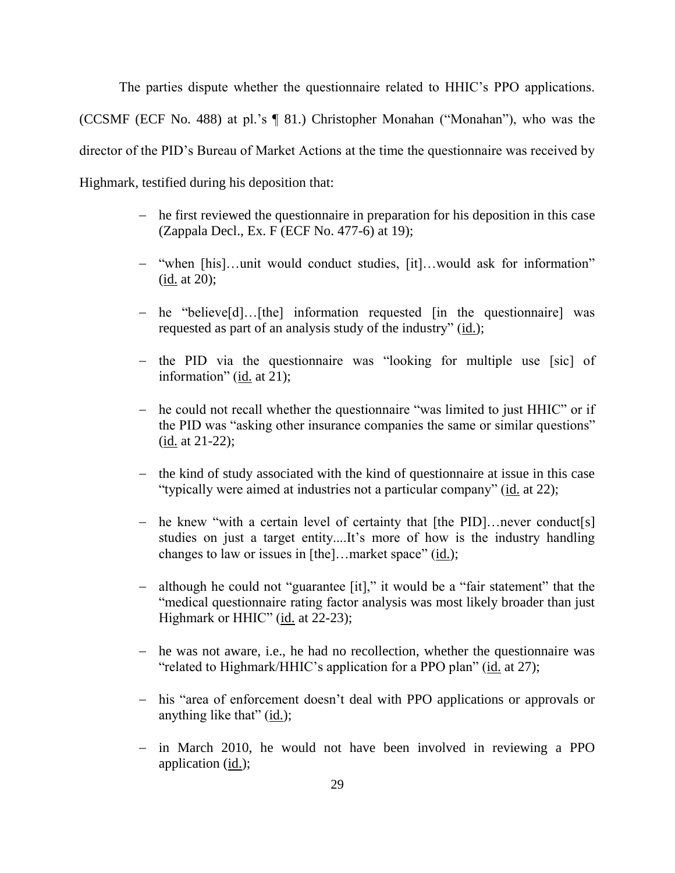The parties dispute whether the questionnaire related to HHIC's PPO applications. (CCSMF (ECF No. 488) at pl.'s ¶ 81.) Christopher Monahan ("Monahan"), who was the director of the PID's Bureau of Market Actions at the time the questionnaire was received by Highmark, testified during his deposition that:

- he first reviewed the questionnaire in preparation for his deposition in this case (Zappala Decl., Ex. F (ECF No. 477-6) at 19);
- "when [his]…unit would conduct studies, [it]…would ask for information" (id. at 20);
- he "believe[d]...[the] information requested [in the questionnaire] was requested as part of an analysis study of the industry" (id.);
- the PID via the questionnaire was "looking for multiple use [sic] of information" (id. at 21);
- he could not recall whether the questionnaire "was limited to just HHIC" or if the PID was "asking other insurance companies the same or similar questions" (id. at 21-22);
- $\theta$  the kind of study associated with the kind of questionnaire at issue in this case "typically were aimed at industries not a particular company" (id. at 22);
- he knew "with a certain level of certainty that  $[the PID] \dots$ never conduct $[s]$ studies on just a target entity....It's more of how is the industry handling changes to law or issues in [the]…market space" (id.);
- although he could not "guarantee [it]," it would be a "fair statement" that the "medical questionnaire rating factor analysis was most likely broader than just Highmark or HHIC" (id. at 22-23);
- he was not aware, i.e., he had no recollection, whether the questionnaire was "related to Highmark/HHIC's application for a PPO plan" (id. at 27);
- his "area of enforcement doesn't deal with PPO applications or approvals or anything like that" (id.);
- in March 2010, he would not have been involved in reviewing a PPO application (id.);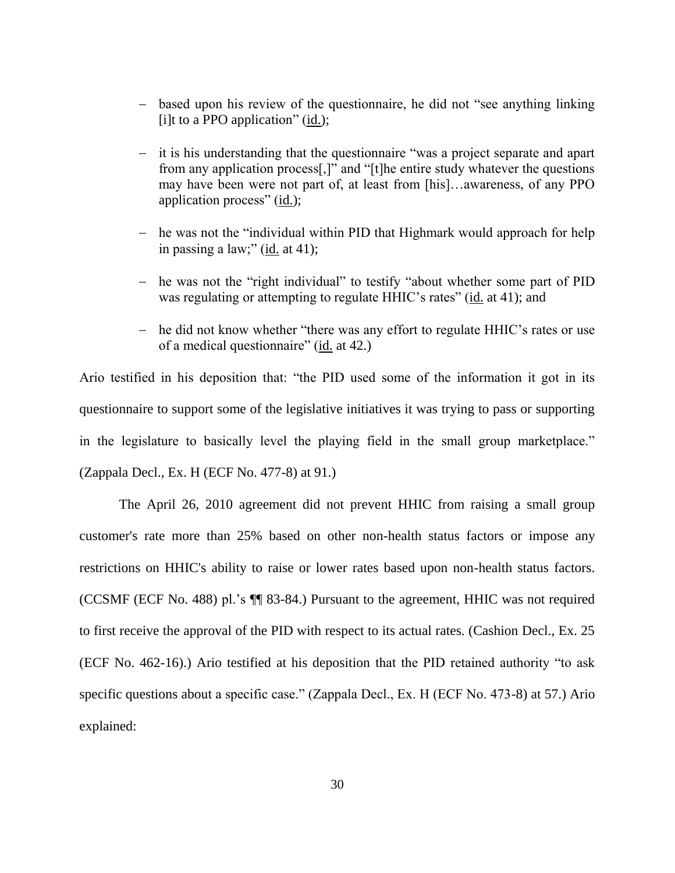- based upon his review of the questionnaire, he did not "see anything linking [i]t to a PPO application"  $(id.);$
- it is his understanding that the questionnaire "was a project separate and apart from any application process[,]" and "[t]he entire study whatever the questions may have been were not part of, at least from [his]…awareness, of any PPO application process" (id.);
- he was not the "individual within PID that Highmark would approach for help in passing a law;" (id. at 41);
- he was not the "right individual" to testify "about whether some part of PID was regulating or attempting to regulate HHIC's rates" (id. at 41); and
- he did not know whether "there was any effort to regulate HHIC's rates or use of a medical questionnaire" (id. at 42.)

Ario testified in his deposition that: "the PID used some of the information it got in its questionnaire to support some of the legislative initiatives it was trying to pass or supporting in the legislature to basically level the playing field in the small group marketplace." (Zappala Decl., Ex. H (ECF No. 477-8) at 91.)

The April 26, 2010 agreement did not prevent HHIC from raising a small group customer's rate more than 25% based on other non-health status factors or impose any restrictions on HHIC's ability to raise or lower rates based upon non-health status factors. (CCSMF (ECF No. 488) pl.'s ¶¶ 83-84.) Pursuant to the agreement, HHIC was not required to first receive the approval of the PID with respect to its actual rates. (Cashion Decl., Ex. 25 (ECF No. 462-16).) Ario testified at his deposition that the PID retained authority "to ask specific questions about a specific case." (Zappala Decl., Ex. H (ECF No. 473-8) at 57.) Ario explained: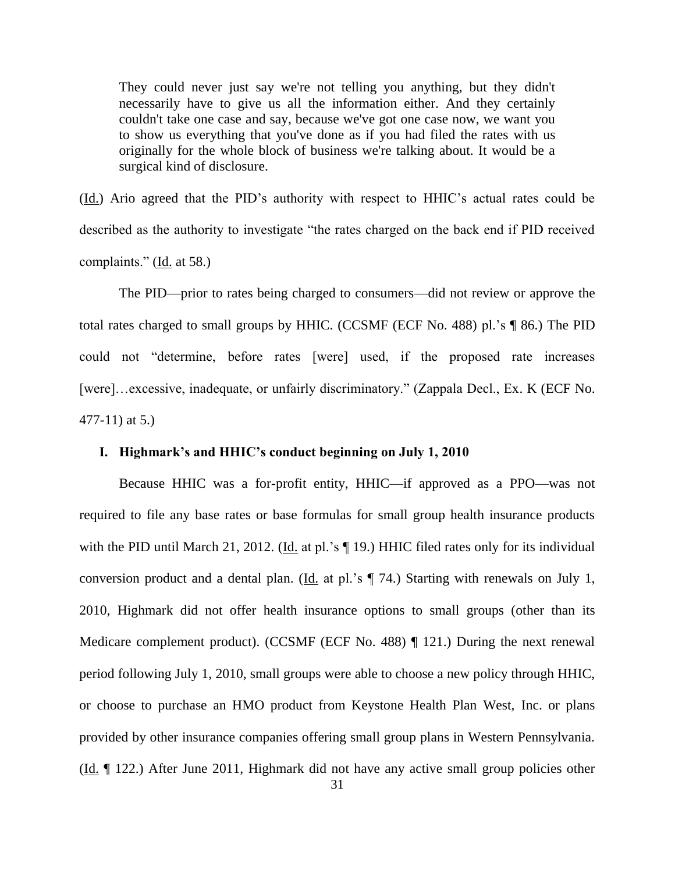They could never just say we're not telling you anything, but they didn't necessarily have to give us all the information either. And they certainly couldn't take one case and say, because we've got one case now, we want you to show us everything that you've done as if you had filed the rates with us originally for the whole block of business we're talking about. It would be a surgical kind of disclosure.

(Id.) Ario agreed that the PID's authority with respect to HHIC's actual rates could be described as the authority to investigate "the rates charged on the back end if PID received complaints." ( $\underline{Id}$ , at 58.)

The PID—prior to rates being charged to consumers—did not review or approve the total rates charged to small groups by HHIC. (CCSMF (ECF No. 488) pl.'s ¶ 86.) The PID could not "determine, before rates [were] used, if the proposed rate increases [were]...excessive, inadequate, or unfairly discriminatory." (Zappala Decl., Ex. K (ECF No.) 477-11) at 5.)

### **I. Highmark's and HHIC's conduct beginning on July 1, 2010**

Because HHIC was a for-profit entity, HHIC—if approved as a PPO—was not required to file any base rates or base formulas for small group health insurance products with the PID until March 21, 2012. (Id. at pl.'s  $\P$  19.) HHIC filed rates only for its individual conversion product and a dental plan. (Id. at pl.'s ¶ 74.) Starting with renewals on July 1, 2010, Highmark did not offer health insurance options to small groups (other than its Medicare complement product). (CCSMF (ECF No. 488) ¶ 121.) During the next renewal period following July 1, 2010, small groups were able to choose a new policy through HHIC, or choose to purchase an HMO product from Keystone Health Plan West, Inc. or plans provided by other insurance companies offering small group plans in Western Pennsylvania. (Id. ¶ 122.) After June 2011, Highmark did not have any active small group policies other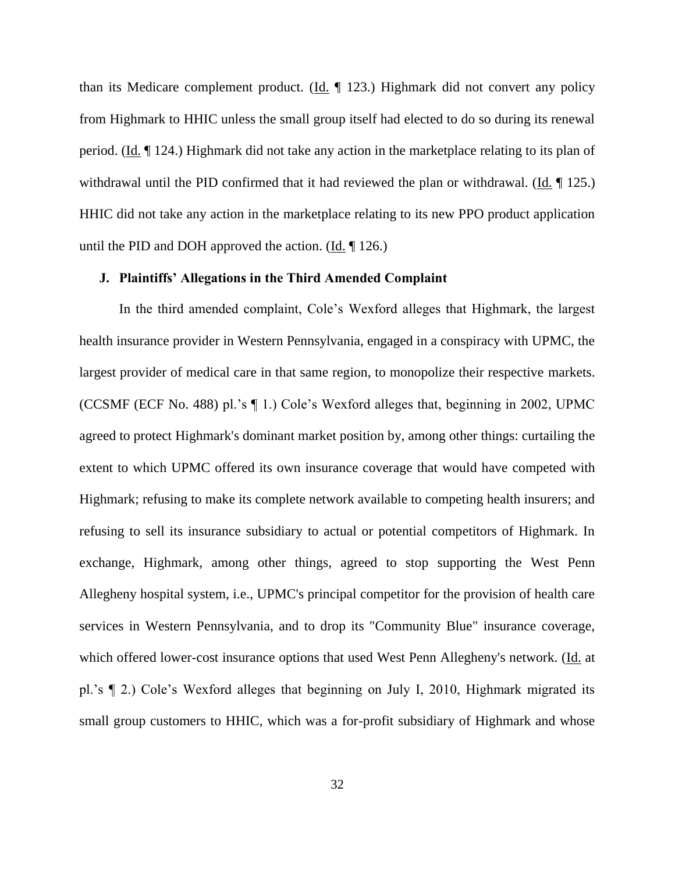than its Medicare complement product. ( $\underline{Id}$ . [123.) Highmark did not convert any policy from Highmark to HHIC unless the small group itself had elected to do so during its renewal period. (Id. ¶ 124.) Highmark did not take any action in the marketplace relating to its plan of withdrawal until the PID confirmed that it had reviewed the plan or withdrawal. (Id. 125.) HHIC did not take any action in the marketplace relating to its new PPO product application until the PID and DOH approved the action. (Id. ¶ 126.)

#### **J. Plaintiffs' Allegations in the Third Amended Complaint**

In the third amended complaint, Cole's Wexford alleges that Highmark, the largest health insurance provider in Western Pennsylvania, engaged in a conspiracy with UPMC, the largest provider of medical care in that same region, to monopolize their respective markets. (CCSMF (ECF No. 488) pl.'s ¶ 1.) Cole's Wexford alleges that, beginning in 2002, UPMC agreed to protect Highmark's dominant market position by, among other things: curtailing the extent to which UPMC offered its own insurance coverage that would have competed with Highmark; refusing to make its complete network available to competing health insurers; and refusing to sell its insurance subsidiary to actual or potential competitors of Highmark. In exchange, Highmark, among other things, agreed to stop supporting the West Penn Allegheny hospital system, i.e., UPMC's principal competitor for the provision of health care services in Western Pennsylvania, and to drop its "Community Blue" insurance coverage, which offered lower-cost insurance options that used West Penn Allegheny's network. (Id. at pl.'s ¶ 2.) Cole's Wexford alleges that beginning on July I, 2010, Highmark migrated its small group customers to HHIC, which was a for-profit subsidiary of Highmark and whose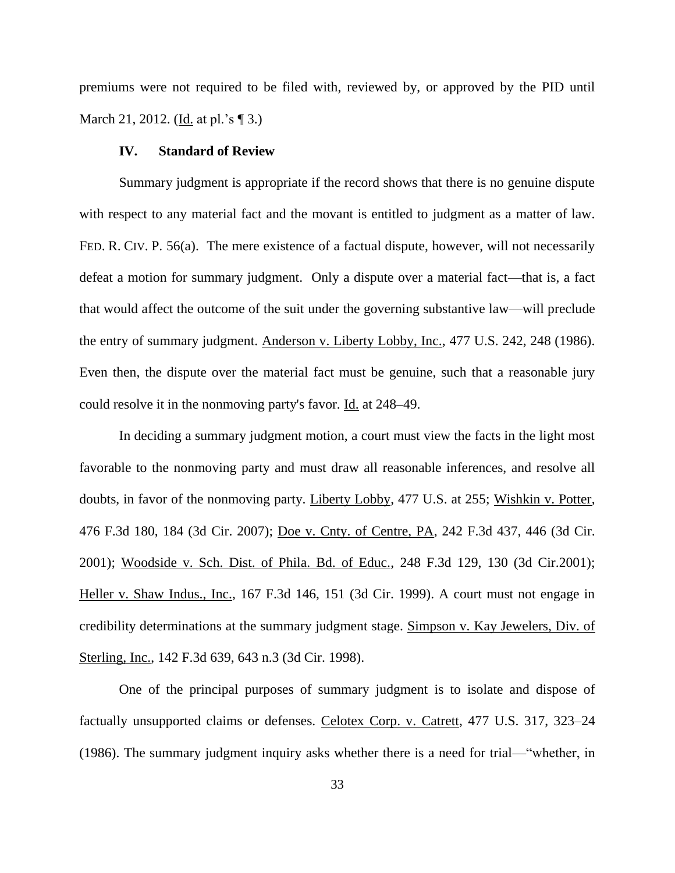premiums were not required to be filed with, reviewed by, or approved by the PID until March 21, 2012. (Id. at pl.'s [ 3.)

### **IV. Standard of Review**

Summary judgment is appropriate if the record shows that there is no genuine dispute with respect to any material fact and the movant is entitled to judgment as a matter of law. FED. R. CIV. P. 56(a). The mere existence of a factual dispute, however, will not necessarily defeat a motion for summary judgment. Only a dispute over a material fact—that is, a fact that would affect the outcome of the suit under the governing substantive law—will preclude the entry of summary judgment. Anderson v. Liberty Lobby, Inc., 477 U.S. 242, 248 (1986). Even then, the dispute over the material fact must be genuine, such that a reasonable jury could resolve it in the nonmoving party's favor. Id. at 248–49.

In deciding a summary judgment motion, a court must view the facts in the light most favorable to the nonmoving party and must draw all reasonable inferences, and resolve all doubts, in favor of the nonmoving party. Liberty Lobby, 477 U.S. at 255; Wishkin v. Potter, 476 F.3d 180, 184 (3d Cir. 2007); Doe v. Cnty. of Centre, PA, 242 F.3d 437, 446 (3d Cir. 2001); Woodside v. Sch. Dist. of Phila. Bd. of Educ., 248 F.3d 129, 130 (3d Cir.2001); Heller v. Shaw Indus., Inc., 167 F.3d 146, 151 (3d Cir. 1999). A court must not engage in credibility determinations at the summary judgment stage. Simpson v. Kay Jewelers, Div. of Sterling, Inc., 142 F.3d 639, 643 n.3 (3d Cir. 1998).

One of the principal purposes of summary judgment is to isolate and dispose of factually unsupported claims or defenses. Celotex Corp. v. Catrett, 477 U.S. 317, 323–24 (1986). The summary judgment inquiry asks whether there is a need for trial—"whether, in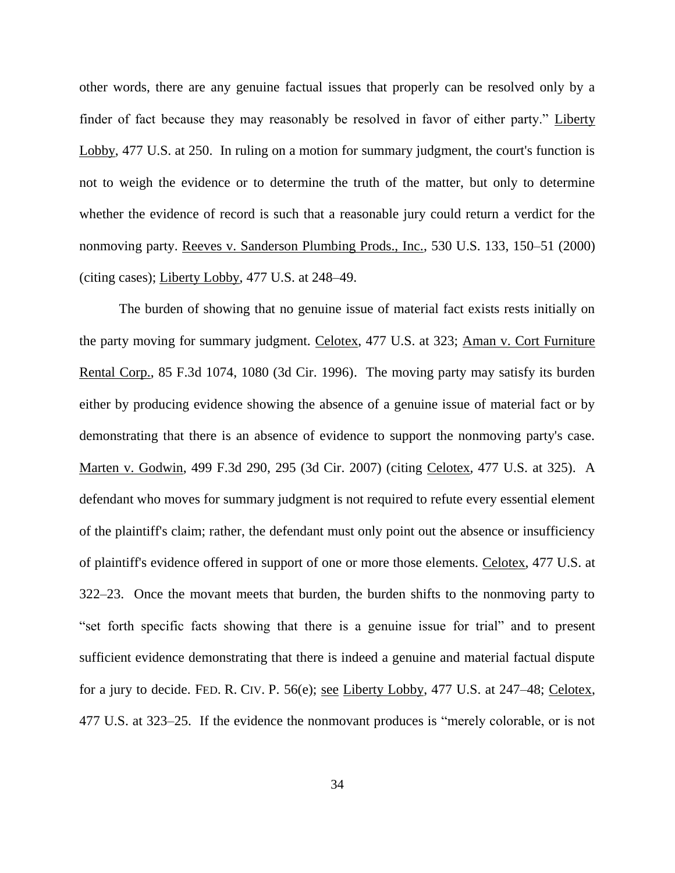other words, there are any genuine factual issues that properly can be resolved only by a finder of fact because they may reasonably be resolved in favor of either party." Liberty Lobby, 477 U.S. at 250. In ruling on a motion for summary judgment, the court's function is not to weigh the evidence or to determine the truth of the matter, but only to determine whether the evidence of record is such that a reasonable jury could return a verdict for the nonmoving party. Reeves v. Sanderson Plumbing Prods., Inc., 530 U.S. 133, 150–51 (2000) (citing cases); Liberty Lobby, 477 U.S. at 248–49.

The burden of showing that no genuine issue of material fact exists rests initially on the party moving for summary judgment. Celotex, 477 U.S. at 323; Aman v. Cort Furniture Rental Corp., 85 F.3d 1074, 1080 (3d Cir. 1996). The moving party may satisfy its burden either by producing evidence showing the absence of a genuine issue of material fact or by demonstrating that there is an absence of evidence to support the nonmoving party's case. Marten v. Godwin, 499 F.3d 290, 295 (3d Cir. 2007) (citing Celotex*,* 477 U.S. at 325). A defendant who moves for summary judgment is not required to refute every essential element of the plaintiff's claim; rather, the defendant must only point out the absence or insufficiency of plaintiff's evidence offered in support of one or more those elements. Celotex, 477 U.S. at 322–23. Once the movant meets that burden, the burden shifts to the nonmoving party to "set forth specific facts showing that there is a genuine issue for trial" and to present sufficient evidence demonstrating that there is indeed a genuine and material factual dispute for a jury to decide. FED. R. CIV. P. 56(e); see Liberty Lobby, 477 U.S. at 247–48; Celotex, 477 U.S. at 323–25. If the evidence the nonmovant produces is "merely colorable, or is not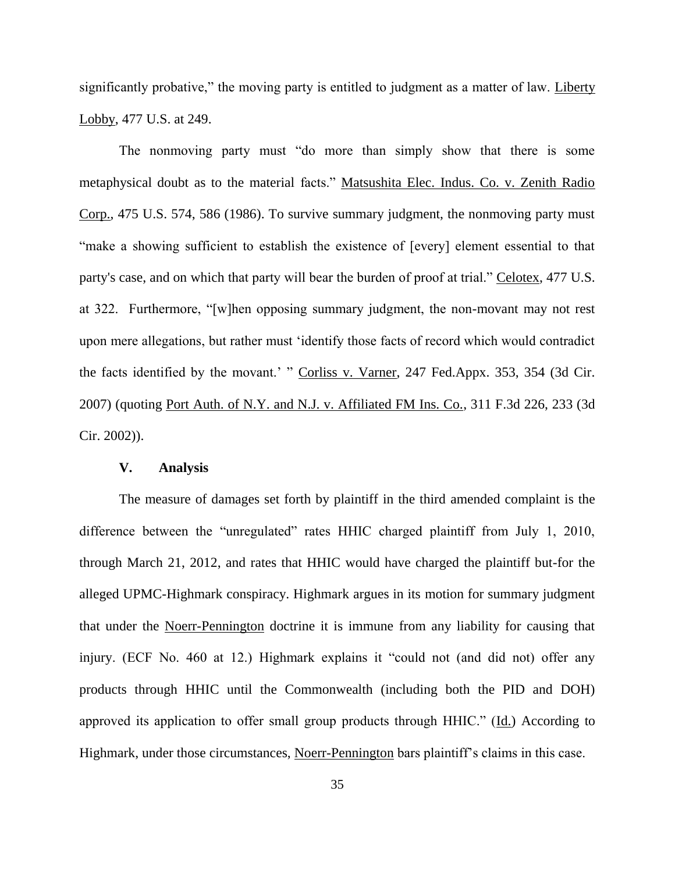significantly probative," the moving party is entitled to judgment as a matter of law. Liberty Lobby, 477 U.S. at 249.

The nonmoving party must "do more than simply show that there is some metaphysical doubt as to the material facts." Matsushita Elec. Indus. Co. v. Zenith Radio Corp., 475 U.S. 574, 586 (1986). To survive summary judgment, the nonmoving party must "make a showing sufficient to establish the existence of [every] element essential to that party's case, and on which that party will bear the burden of proof at trial." Celotex, 477 U.S. at 322. Furthermore, "[w]hen opposing summary judgment, the non-movant may not rest upon mere allegations, but rather must 'identify those facts of record which would contradict the facts identified by the movant.' " Corliss v. Varner, 247 Fed.Appx. 353, 354 (3d Cir. 2007) (quoting Port Auth. of N.Y. and N.J. v. Affiliated FM Ins. Co., 311 F.3d 226, 233 (3d Cir. 2002)).

#### **V. Analysis**

The measure of damages set forth by plaintiff in the third amended complaint is the difference between the "unregulated" rates HHIC charged plaintiff from July 1, 2010, through March 21, 2012, and rates that HHIC would have charged the plaintiff but-for the alleged UPMC-Highmark conspiracy. Highmark argues in its motion for summary judgment that under the Noerr-Pennington doctrine it is immune from any liability for causing that injury. (ECF No. 460 at 12.) Highmark explains it "could not (and did not) offer any products through HHIC until the Commonwealth (including both the PID and DOH) approved its application to offer small group products through HHIC." (Id.) According to Highmark, under those circumstances, Noerr-Pennington bars plaintiff's claims in this case.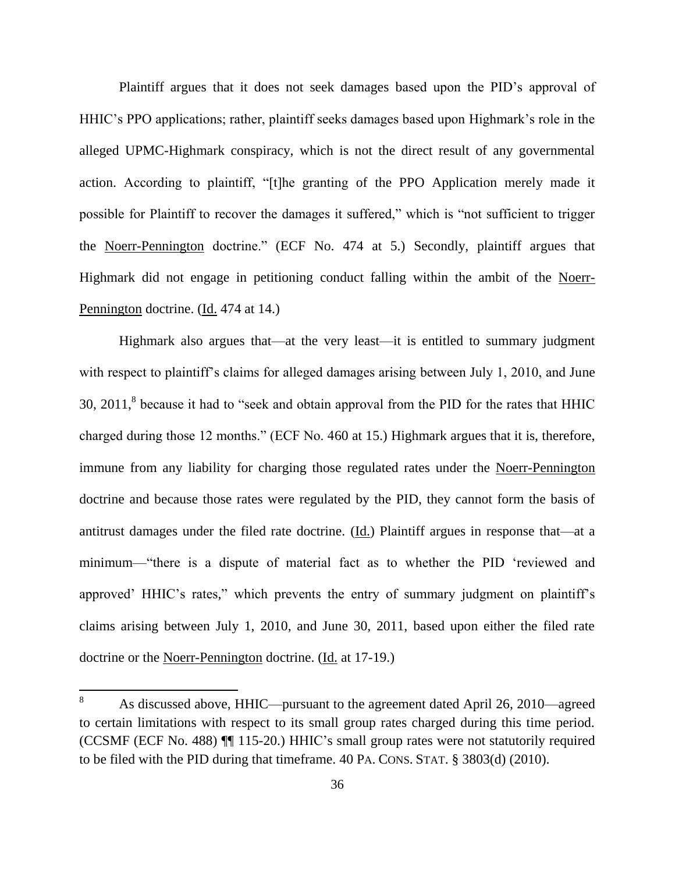Plaintiff argues that it does not seek damages based upon the PID's approval of HHIC's PPO applications; rather, plaintiff seeks damages based upon Highmark's role in the alleged UPMC-Highmark conspiracy, which is not the direct result of any governmental action. According to plaintiff, "[t]he granting of the PPO Application merely made it possible for Plaintiff to recover the damages it suffered," which is "not sufficient to trigger the Noerr-Pennington doctrine." (ECF No. 474 at 5.) Secondly, plaintiff argues that Highmark did not engage in petitioning conduct falling within the ambit of the Noerr-Pennington doctrine. (Id. 474 at 14.)

Highmark also argues that—at the very least—it is entitled to summary judgment with respect to plaintiff's claims for alleged damages arising between July 1, 2010, and June 30,  $2011$ ,<sup>8</sup> because it had to "seek and obtain approval from the PID for the rates that HHIC charged during those 12 months." (ECF No. 460 at 15.) Highmark argues that it is, therefore, immune from any liability for charging those regulated rates under the Noerr-Pennington doctrine and because those rates were regulated by the PID, they cannot form the basis of antitrust damages under the filed rate doctrine. (Id.) Plaintiff argues in response that—at a minimum—"there is a dispute of material fact as to whether the PID 'reviewed and approved' HHIC's rates," which prevents the entry of summary judgment on plaintiff's claims arising between July 1, 2010, and June 30, 2011, based upon either the filed rate doctrine or the Noerr-Pennington doctrine. (Id. at 17-19.)

<sup>8</sup> <sup>8</sup> As discussed above, HHIC—pursuant to the agreement dated April 26, 2010—agreed to certain limitations with respect to its small group rates charged during this time period. (CCSMF (ECF No. 488) ¶¶ 115-20.) HHIC's small group rates were not statutorily required to be filed with the PID during that timeframe. 40 PA. CONS. STAT. § 3803(d) (2010).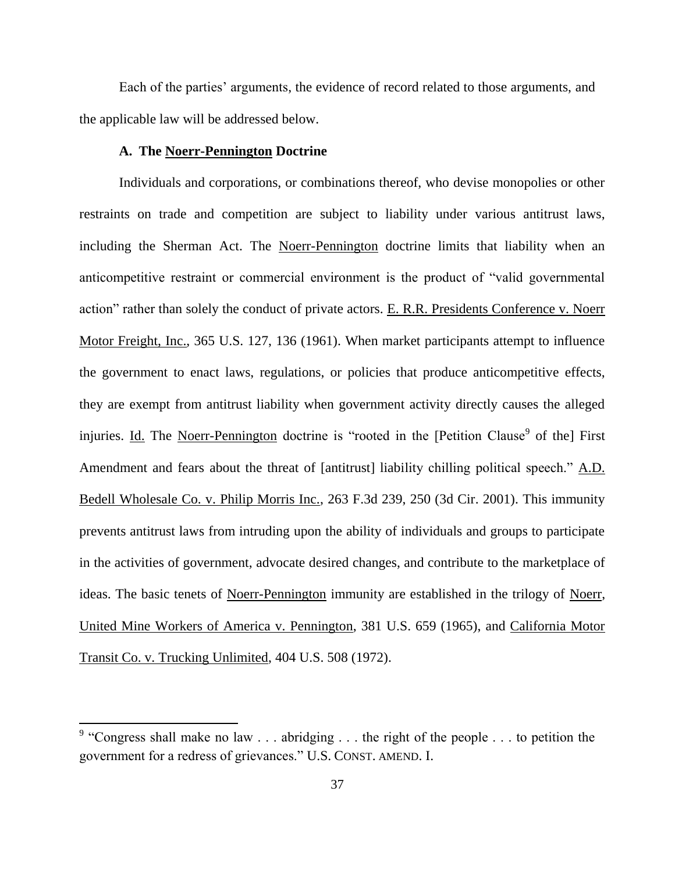Each of the parties' arguments, the evidence of record related to those arguments, and the applicable law will be addressed below.

#### **A. The Noerr-Pennington Doctrine**

Individuals and corporations, or combinations thereof, who devise monopolies or other restraints on trade and competition are subject to liability under various antitrust laws, including the Sherman Act. The Noerr-Pennington doctrine limits that liability when an anticompetitive restraint or commercial environment is the product of "valid governmental action" rather than solely the conduct of private actors. E. R.R. Presidents Conference v. Noerr Motor Freight, Inc., 365 U.S. 127, 136 (1961). When market participants attempt to influence the government to enact laws, regulations, or policies that produce anticompetitive effects, they are exempt from antitrust liability when government activity directly causes the alleged injuries. Id. The Noerr-Pennington doctrine is "rooted in the [Petition Clause<sup>9</sup> of the] First Amendment and fears about the threat of [antitrust] liability chilling political speech." A.D. Bedell Wholesale Co. v. Philip Morris Inc., 263 F.3d 239, 250 (3d Cir. 2001). This immunity prevents antitrust laws from intruding upon the ability of individuals and groups to participate in the activities of government, advocate desired changes, and contribute to the marketplace of ideas. The basic tenets of Noerr-Pennington immunity are established in the trilogy of Noerr, United Mine Workers of America v. Pennington, 381 U.S. 659 (1965), and California Motor Transit Co. v. Trucking Unlimited, 404 U.S. 508 (1972).

<sup>&</sup>lt;sup>9</sup> "Congress shall make no law . . . abridging . . . the right of the people . . . to petition the government for a redress of grievances." U.S. CONST. AMEND. I.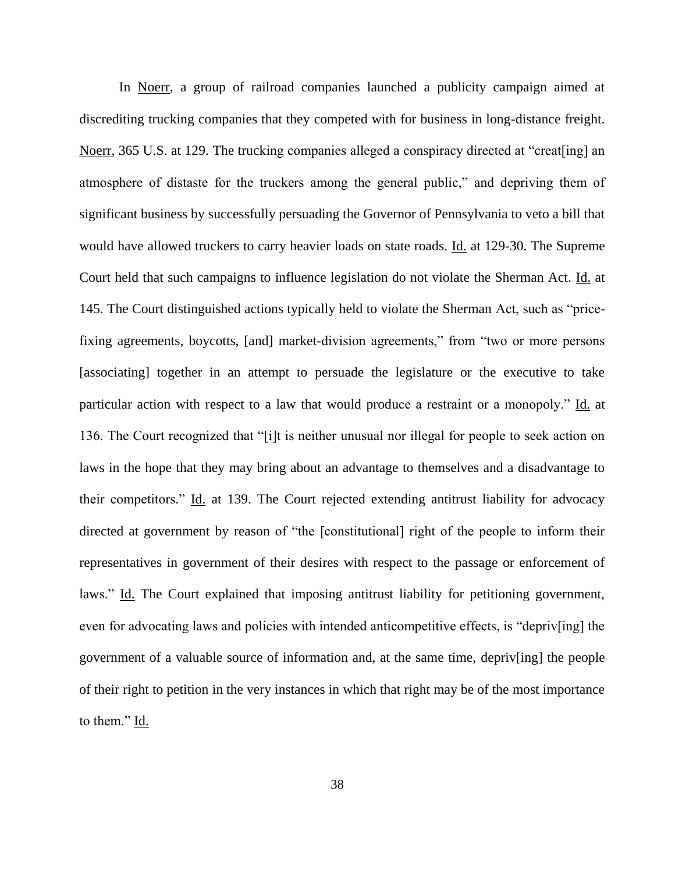In Noerr, a group of railroad companies launched a publicity campaign aimed at discrediting trucking companies that they competed with for business in long-distance freight. Noerr, 365 U.S. at 129. The trucking companies alleged a conspiracy directed at "creat[ing] an atmosphere of distaste for the truckers among the general public," and depriving them of significant business by successfully persuading the Governor of Pennsylvania to veto a bill that would have allowed truckers to carry heavier loads on state roads. Id. at 129-30. The Supreme Court held that such campaigns to influence legislation do not violate the Sherman Act. Id. at 145. The Court distinguished actions typically held to violate the Sherman Act, such as "pricefixing agreements, boycotts, [and] market-division agreements," from "two or more persons [associating] together in an attempt to persuade the legislature or the executive to take particular action with respect to a law that would produce a restraint or a monopoly." Id. at 136. The Court recognized that "[i]t is neither unusual nor illegal for people to seek action on laws in the hope that they may bring about an advantage to themselves and a disadvantage to their competitors." Id. at 139. The Court rejected extending antitrust liability for advocacy directed at government by reason of "the [constitutional] right of the people to inform their representatives in government of their desires with respect to the passage or enforcement of laws." Id. The Court explained that imposing antitrust liability for petitioning government, even for advocating laws and policies with intended anticompetitive effects, is "depriv[ing] the government of a valuable source of information and, at the same time, depriv[ing] the people of their right to petition in the very instances in which that right may be of the most importance to them." Id.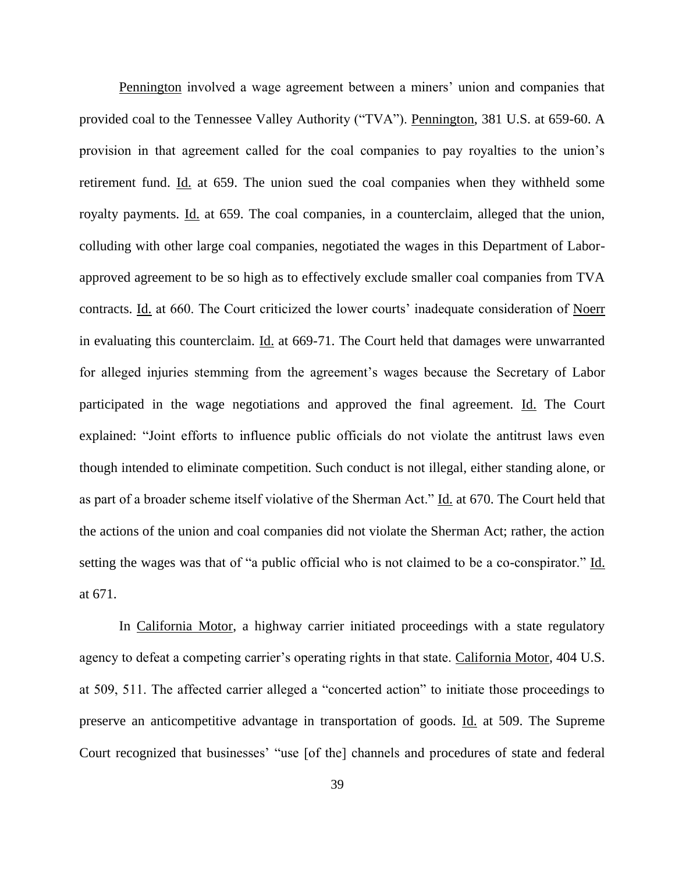Pennington involved a wage agreement between a miners' union and companies that provided coal to the Tennessee Valley Authority ("TVA"). Pennington, 381 U.S. at 659-60. A provision in that agreement called for the coal companies to pay royalties to the union's retirement fund. Id. at 659. The union sued the coal companies when they withheld some royalty payments. Id. at 659. The coal companies, in a counterclaim, alleged that the union, colluding with other large coal companies, negotiated the wages in this Department of Laborapproved agreement to be so high as to effectively exclude smaller coal companies from TVA contracts. Id. at 660. The Court criticized the lower courts' inadequate consideration of Noerr in evaluating this counterclaim. Id. at 669-71. The Court held that damages were unwarranted for alleged injuries stemming from the agreement's wages because the Secretary of Labor participated in the wage negotiations and approved the final agreement. Id. The Court explained: "Joint efforts to influence public officials do not violate the antitrust laws even though intended to eliminate competition. Such conduct is not illegal, either standing alone, or as part of a broader scheme itself violative of the Sherman Act." Id. at 670. The Court held that the actions of the union and coal companies did not violate the Sherman Act; rather, the action setting the wages was that of "a public official who is not claimed to be a co-conspirator." Id. at 671.

In California Motor, a highway carrier initiated proceedings with a state regulatory agency to defeat a competing carrier's operating rights in that state. California Motor, 404 U.S. at 509, 511. The affected carrier alleged a "concerted action" to initiate those proceedings to preserve an anticompetitive advantage in transportation of goods. Id. at 509. The Supreme Court recognized that businesses' "use [of the] channels and procedures of state and federal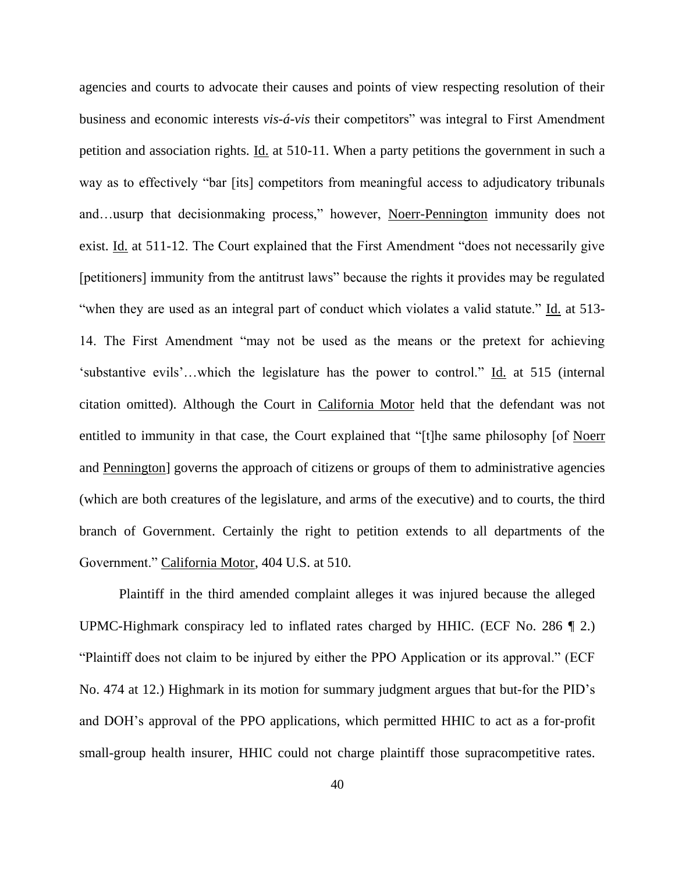agencies and courts to advocate their causes and points of view respecting resolution of their business and economic interests *vis-á-vis* their competitors" was integral to First Amendment petition and association rights. Id. at 510-11. When a party petitions the government in such a way as to effectively "bar [its] competitors from meaningful access to adjudicatory tribunals and…usurp that decisionmaking process," however, Noerr-Pennington immunity does not exist. Id. at 511-12. The Court explained that the First Amendment "does not necessarily give [petitioners] immunity from the antitrust laws" because the rights it provides may be regulated "when they are used as an integral part of conduct which violates a valid statute." Id. at 513- 14. The First Amendment "may not be used as the means or the pretext for achieving 'substantive evils'…which the legislature has the power to control." Id. at 515 (internal citation omitted). Although the Court in California Motor held that the defendant was not entitled to immunity in that case, the Court explained that "[t]he same philosophy [of Noerr and Pennington] governs the approach of citizens or groups of them to administrative agencies (which are both creatures of the legislature, and arms of the executive) and to courts, the third branch of Government. Certainly the right to petition extends to all departments of the Government." California Motor, 404 U.S. at 510.

Plaintiff in the third amended complaint alleges it was injured because the alleged UPMC-Highmark conspiracy led to inflated rates charged by HHIC. (ECF No. 286 ¶ 2.) "Plaintiff does not claim to be injured by either the PPO Application or its approval." (ECF No. 474 at 12.) Highmark in its motion for summary judgment argues that but-for the PID's and DOH's approval of the PPO applications, which permitted HHIC to act as a for-profit small-group health insurer, HHIC could not charge plaintiff those supracompetitive rates.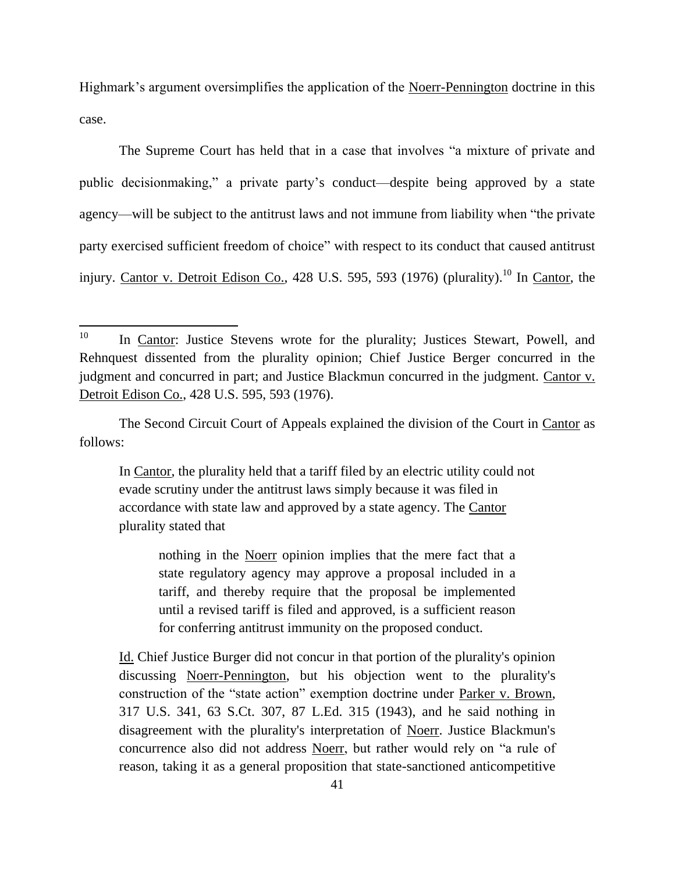Highmark's argument oversimplifies the application of the Noerr-Pennington doctrine in this case.

The Supreme Court has held that in a case that involves "a mixture of private and public decisionmaking," a private party's conduct—despite being approved by a state agency—will be subject to the antitrust laws and not immune from liability when "the private party exercised sufficient freedom of choice" with respect to its conduct that caused antitrust injury. Cantor v. Detroit Edison Co., 428 U.S. 595, 593 (1976) (plurality).<sup>10</sup> In Cantor, the

The Second Circuit Court of Appeals explained the division of the Court in Cantor as follows:

In Cantor, the plurality held that a tariff filed by an electric utility could not evade scrutiny under the antitrust laws simply because it was filed in accordance with state law and approved by a state agency. The Cantor plurality stated that

nothing in the Noerr opinion implies that the mere fact that a state regulatory agency may approve a proposal included in a tariff, and thereby require that the proposal be implemented until a revised tariff is filed and approved, is a sufficient reason for conferring antitrust immunity on the proposed conduct.

Id. Chief Justice Burger did not concur in that portion of the plurality's opinion discussing Noerr-Pennington, but his objection went to the plurality's construction of the "state action" exemption doctrine under Parker v. Brown, 317 U.S. 341, 63 S.Ct. 307, 87 L.Ed. 315 (1943), and he said nothing in disagreement with the plurality's interpretation of Noerr. Justice Blackmun's concurrence also did not address Noerr, but rather would rely on "a rule of reason, taking it as a general proposition that state-sanctioned anticompetitive

 $10\,$ In Cantor: Justice Stevens wrote for the plurality; Justices Stewart, Powell, and Rehnquest dissented from the plurality opinion; Chief Justice Berger concurred in the judgment and concurred in part; and Justice Blackmun concurred in the judgment. Cantor v. Detroit Edison Co., 428 U.S. 595, 593 (1976).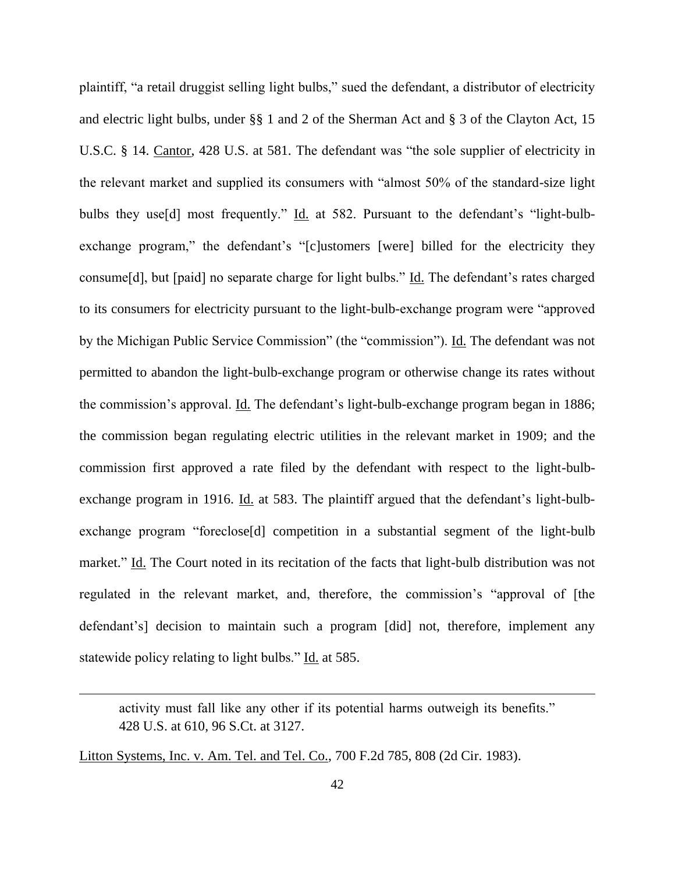plaintiff, "a retail druggist selling light bulbs," sued the defendant, a distributor of electricity and electric light bulbs, under §§ 1 and 2 of the Sherman Act and § 3 of the Clayton Act, 15 U.S.C. § 14. Cantor, 428 U.S. at 581. The defendant was "the sole supplier of electricity in the relevant market and supplied its consumers with "almost 50% of the standard-size light bulbs they use[d] most frequently." Id. at 582. Pursuant to the defendant's "light-bulbexchange program," the defendant's "[c]ustomers [were] billed for the electricity they consume<sup>[d]</sup>, but [paid] no separate charge for light bulbs." <u>Id.</u> The defendant's rates charged to its consumers for electricity pursuant to the light-bulb-exchange program were "approved by the Michigan Public Service Commission" (the "commission"). Id. The defendant was not permitted to abandon the light-bulb-exchange program or otherwise change its rates without the commission's approval. Id. The defendant's light-bulb-exchange program began in 1886; the commission began regulating electric utilities in the relevant market in 1909; and the commission first approved a rate filed by the defendant with respect to the light-bulbexchange program in 1916. Id. at 583. The plaintiff argued that the defendant's light-bulbexchange program "foreclose[d] competition in a substantial segment of the light-bulb market." Id. The Court noted in its recitation of the facts that light-bulb distribution was not regulated in the relevant market, and, therefore, the commission's "approval of [the defendant's] decision to maintain such a program [did] not, therefore, implement any statewide policy relating to light bulbs." Id. at 585.

Litton Systems, Inc. v. Am. Tel. and Tel. Co., 700 F.2d 785, 808 (2d Cir. 1983).

 $\overline{a}$ 

activity must fall like any other if its potential harms outweigh its benefits." 428 U.S. at 610, 96 S.Ct. at 3127.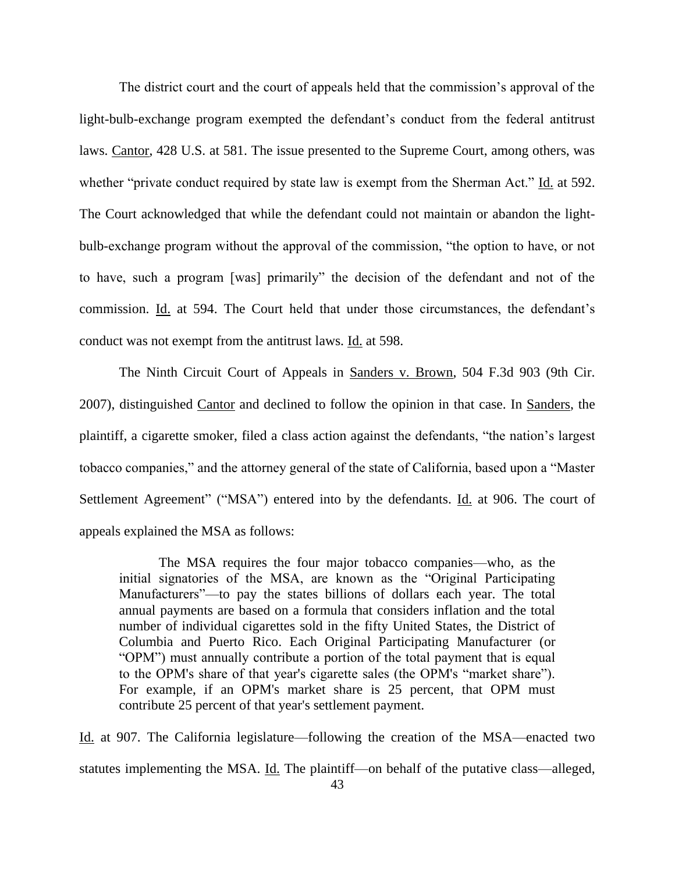The district court and the court of appeals held that the commission's approval of the light-bulb-exchange program exempted the defendant's conduct from the federal antitrust laws. Cantor, 428 U.S. at 581. The issue presented to the Supreme Court, among others, was whether "private conduct required by state law is exempt from the Sherman Act." Id. at 592. The Court acknowledged that while the defendant could not maintain or abandon the lightbulb-exchange program without the approval of the commission, "the option to have, or not to have, such a program [was] primarily" the decision of the defendant and not of the commission. Id. at 594. The Court held that under those circumstances, the defendant's conduct was not exempt from the antitrust laws. Id. at 598.

The Ninth Circuit Court of Appeals in Sanders v. Brown, 504 F.3d 903 (9th Cir. 2007), distinguished Cantor and declined to follow the opinion in that case. In Sanders, the plaintiff, a cigarette smoker, filed a class action against the defendants, "the nation's largest tobacco companies," and the attorney general of the state of California, based upon a "Master Settlement Agreement" ("MSA") entered into by the defendants. Id. at 906. The court of appeals explained the MSA as follows:

The MSA requires the four major tobacco companies—who, as the initial signatories of the MSA, are known as the "Original Participating Manufacturers"—to pay the states billions of dollars each year. The total annual payments are based on a formula that considers inflation and the total number of individual cigarettes sold in the fifty United States, the District of Columbia and Puerto Rico. Each Original Participating Manufacturer (or "OPM") must annually contribute a portion of the total payment that is equal to the OPM's share of that year's cigarette sales (the OPM's "market share"). For example, if an OPM's market share is 25 percent, that OPM must contribute 25 percent of that year's settlement payment.

Id. at 907. The California legislature—following the creation of the MSA—enacted two statutes implementing the MSA. Id. The plaintiff—on behalf of the putative class—alleged,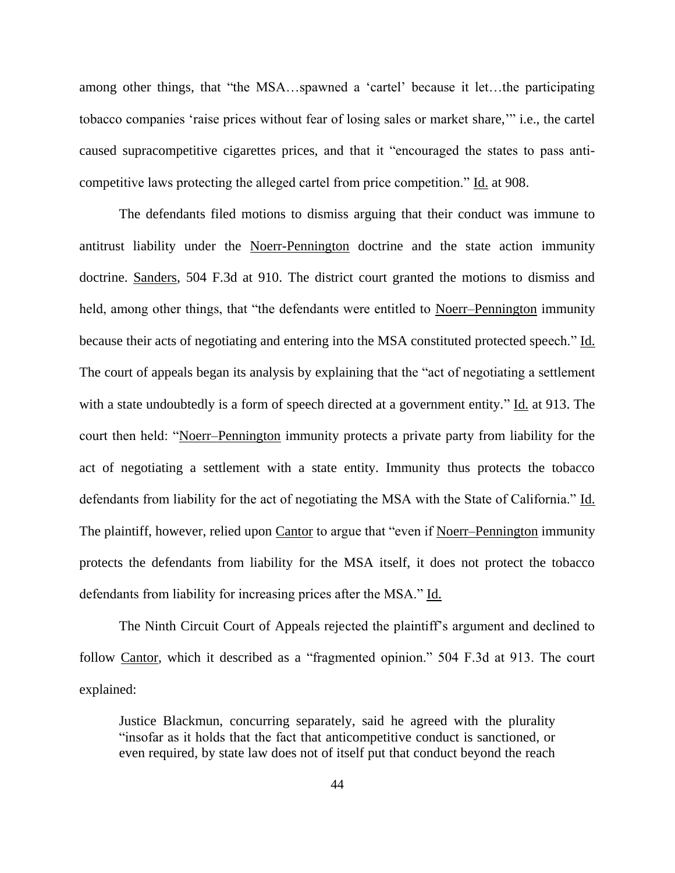among other things, that "the MSA…spawned a 'cartel' because it let…the participating tobacco companies 'raise prices without fear of losing sales or market share,'" i.e., the cartel caused supracompetitive cigarettes prices, and that it "encouraged the states to pass anticompetitive laws protecting the alleged cartel from price competition." Id. at 908.

The defendants filed motions to dismiss arguing that their conduct was immune to antitrust liability under the Noerr-Pennington doctrine and the state action immunity doctrine. Sanders, 504 F.3d at 910. The district court granted the motions to dismiss and held, among other things, that "the defendants were entitled to Noerr–Pennington immunity because their acts of negotiating and entering into the MSA constituted protected speech." Id. The court of appeals began its analysis by explaining that the "act of negotiating a settlement with a state undoubtedly is a form of speech directed at a government entity." Id. at 913. The court then held: "Noerr–Pennington immunity protects a private party from liability for the act of negotiating a settlement with a state entity. Immunity thus protects the tobacco defendants from liability for the act of negotiating the MSA with the State of California." Id. The plaintiff, however, relied upon Cantor to argue that "even if Noerr–Pennington immunity protects the defendants from liability for the MSA itself, it does not protect the tobacco defendants from liability for increasing prices after the MSA." Id.

The Ninth Circuit Court of Appeals rejected the plaintiff's argument and declined to follow Cantor, which it described as a "fragmented opinion." 504 F.3d at 913. The court explained:

Justice Blackmun, concurring separately, said he agreed with the plurality "insofar as it holds that the fact that anticompetitive conduct is sanctioned, or even required, by state law does not of itself put that conduct beyond the reach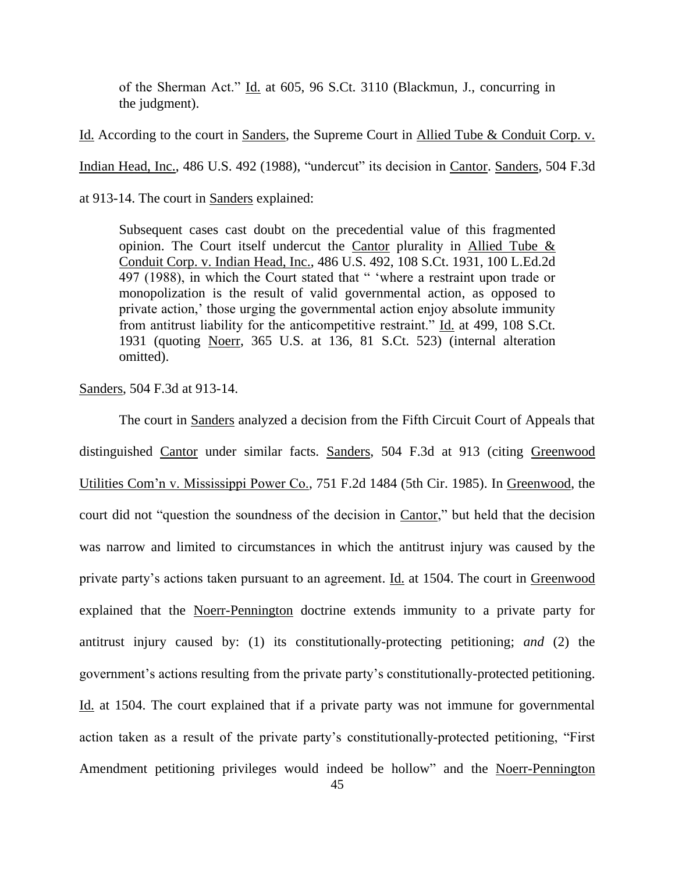of the Sherman Act." Id. at 605, 96 S.Ct. 3110 (Blackmun, J., concurring in the judgment).

Id. According to the court in Sanders, the Supreme Court in Allied Tube & Conduit Corp. v.

Indian Head, Inc., 486 U.S. 492 (1988), "undercut" its decision in Cantor. Sanders, 504 F.3d

at 913-14. The court in Sanders explained:

Subsequent cases cast doubt on the precedential value of this fragmented opinion. The Court itself undercut the Cantor plurality in Allied Tube & Conduit Corp. v. Indian Head, Inc., 486 U.S. 492, 108 S.Ct. 1931, 100 L.Ed.2d 497 (1988), in which the Court stated that " 'where a restraint upon trade or monopolization is the result of valid governmental action, as opposed to private action,' those urging the governmental action enjoy absolute immunity from antitrust liability for the anticompetitive restraint." Id. at 499, 108 S.Ct. 1931 (quoting Noerr, 365 U.S. at 136, 81 S.Ct. 523) (internal alteration omitted).

Sanders, 504 F.3d at 913-14.

The court in Sanders analyzed a decision from the Fifth Circuit Court of Appeals that distinguished Cantor under similar facts. Sanders, 504 F.3d at 913 (citing Greenwood Utilities Com'n v. Mississippi Power Co., 751 F.2d 1484 (5th Cir. 1985). In Greenwood, the court did not "question the soundness of the decision in Cantor," but held that the decision was narrow and limited to circumstances in which the antitrust injury was caused by the private party's actions taken pursuant to an agreement. Id. at 1504. The court in Greenwood explained that the Noerr-Pennington doctrine extends immunity to a private party for antitrust injury caused by: (1) its constitutionally-protecting petitioning; *and* (2) the government's actions resulting from the private party's constitutionally-protected petitioning. Id. at 1504. The court explained that if a private party was not immune for governmental action taken as a result of the private party's constitutionally-protected petitioning, "First Amendment petitioning privileges would indeed be hollow" and the Noerr-Pennington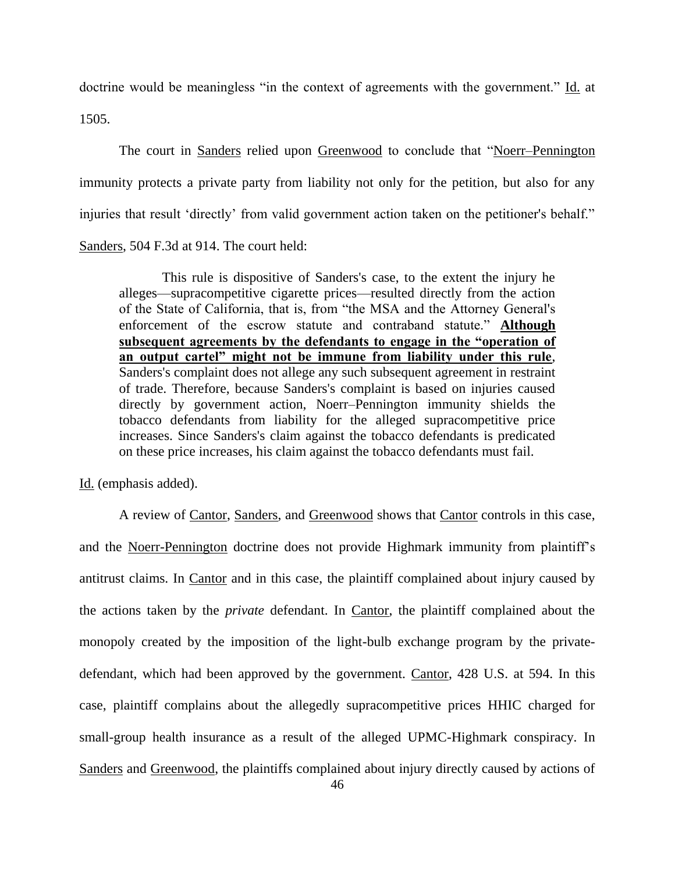doctrine would be meaningless "in the context of agreements with the government." Id. at 1505.

The court in <u>Sanders</u> relied upon Greenwood to conclude that "Noerr–Pennington immunity protects a private party from liability not only for the petition, but also for any injuries that result 'directly' from valid government action taken on the petitioner's behalf." Sanders, 504 F.3d at 914. The court held:

This rule is dispositive of Sanders's case, to the extent the injury he alleges—supracompetitive cigarette prices—resulted directly from the action of the State of California, that is, from "the MSA and the Attorney General's enforcement of the escrow statute and contraband statute." **Although subsequent agreements by the defendants to engage in the "operation of an output cartel" might not be immune from liability under this rule**, Sanders's complaint does not allege any such subsequent agreement in restraint of trade. Therefore, because Sanders's complaint is based on injuries caused directly by government action, Noerr–Pennington immunity shields the tobacco defendants from liability for the alleged supracompetitive price increases. Since Sanders's claim against the tobacco defendants is predicated on these price increases, his claim against the tobacco defendants must fail.

Id. (emphasis added).

A review of Cantor, Sanders, and Greenwood shows that Cantor controls in this case, and the Noerr-Pennington doctrine does not provide Highmark immunity from plaintiff's antitrust claims. In Cantor and in this case, the plaintiff complained about injury caused by the actions taken by the *private* defendant. In Cantor, the plaintiff complained about the monopoly created by the imposition of the light-bulb exchange program by the privatedefendant, which had been approved by the government. Cantor, 428 U.S. at 594. In this case, plaintiff complains about the allegedly supracompetitive prices HHIC charged for small-group health insurance as a result of the alleged UPMC-Highmark conspiracy. In Sanders and Greenwood, the plaintiffs complained about injury directly caused by actions of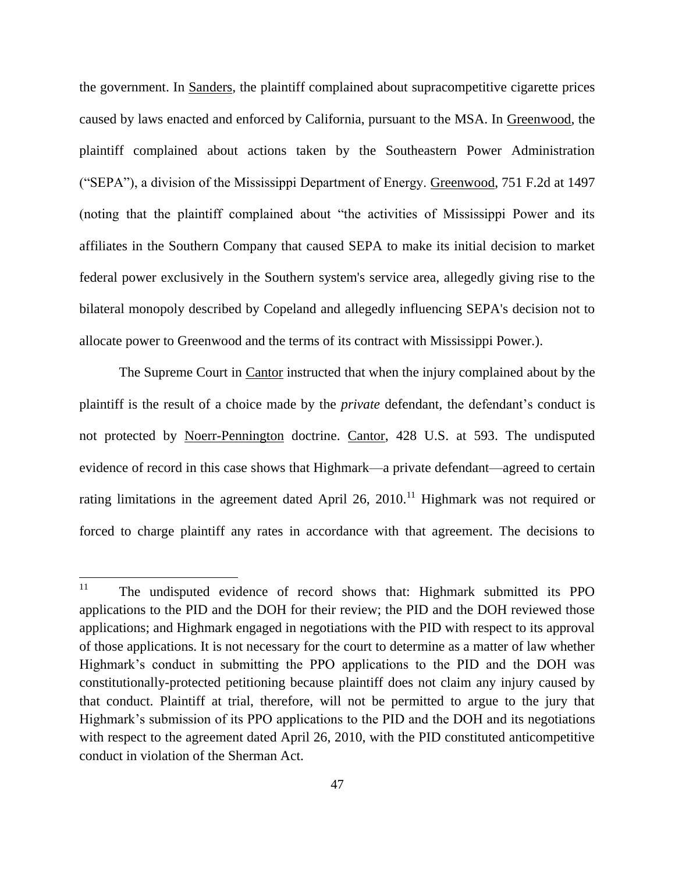the government. In Sanders, the plaintiff complained about supracompetitive cigarette prices caused by laws enacted and enforced by California, pursuant to the MSA. In Greenwood, the plaintiff complained about actions taken by the Southeastern Power Administration ("SEPA"), a division of the Mississippi Department of Energy. Greenwood, 751 F.2d at 1497 (noting that the plaintiff complained about "the activities of Mississippi Power and its affiliates in the Southern Company that caused SEPA to make its initial decision to market federal power exclusively in the Southern system's service area, allegedly giving rise to the bilateral monopoly described by Copeland and allegedly influencing SEPA's decision not to allocate power to Greenwood and the terms of its contract with Mississippi Power.).

The Supreme Court in Cantor instructed that when the injury complained about by the plaintiff is the result of a choice made by the *private* defendant, the defendant's conduct is not protected by Noerr-Pennington doctrine. Cantor, 428 U.S. at 593. The undisputed evidence of record in this case shows that Highmark—a private defendant—agreed to certain rating limitations in the agreement dated April 26, 2010.<sup>11</sup> Highmark was not required or forced to charge plaintiff any rates in accordance with that agreement. The decisions to

 $11\,$ The undisputed evidence of record shows that: Highmark submitted its PPO applications to the PID and the DOH for their review; the PID and the DOH reviewed those applications; and Highmark engaged in negotiations with the PID with respect to its approval of those applications. It is not necessary for the court to determine as a matter of law whether Highmark's conduct in submitting the PPO applications to the PID and the DOH was constitutionally-protected petitioning because plaintiff does not claim any injury caused by that conduct. Plaintiff at trial, therefore, will not be permitted to argue to the jury that Highmark's submission of its PPO applications to the PID and the DOH and its negotiations with respect to the agreement dated April 26, 2010, with the PID constituted anticompetitive conduct in violation of the Sherman Act.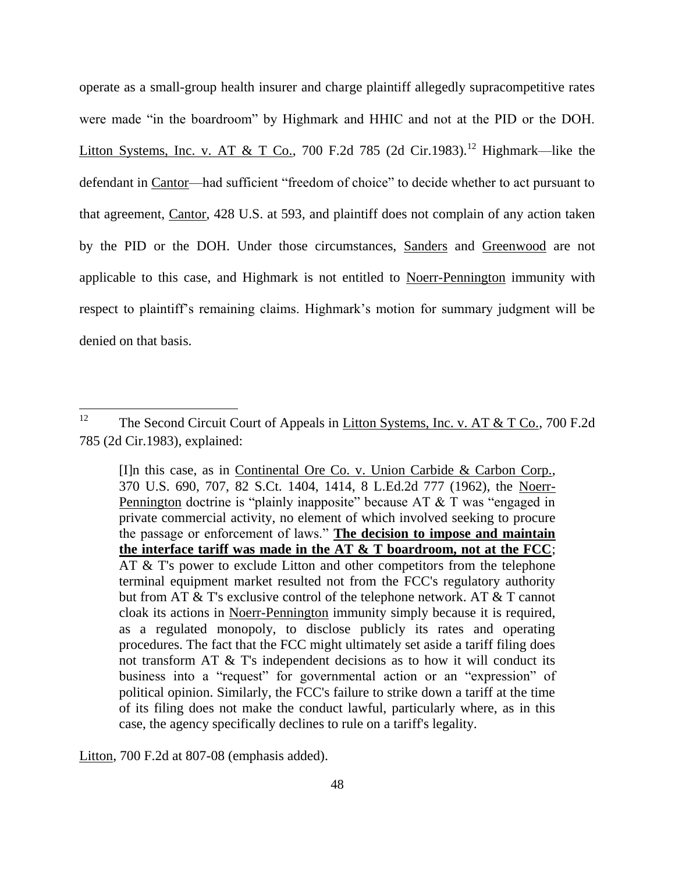operate as a small-group health insurer and charge plaintiff allegedly supracompetitive rates were made "in the boardroom" by Highmark and HHIC and not at the PID or the DOH. Litton Systems, Inc. v. AT & T Co., 700 F.2d 785 (2d Cir.1983).<sup>12</sup> Highmark—like the defendant in Cantor—had sufficient "freedom of choice" to decide whether to act pursuant to that agreement, Cantor, 428 U.S. at 593, and plaintiff does not complain of any action taken by the PID or the DOH. Under those circumstances, Sanders and Greenwood are not applicable to this case, and Highmark is not entitled to Noerr-Pennington immunity with respect to plaintiff's remaining claims. Highmark's motion for summary judgment will be denied on that basis.

Litton, 700 F.2d at 807-08 (emphasis added).

<sup>12</sup> The Second Circuit Court of Appeals in Litton Systems, Inc. v. AT & T Co., 700 F.2d 785 (2d Cir.1983), explained:

<sup>[</sup>I]n this case, as in Continental Ore Co. v. Union Carbide & Carbon Corp., 370 U.S. 690, 707, 82 S.Ct. 1404, 1414, 8 L.Ed.2d 777 (1962), the Noerr-Pennington doctrine is "plainly inapposite" because  $AT \& T$  was "engaged in private commercial activity, no element of which involved seeking to procure the passage or enforcement of laws." **The decision to impose and maintain the interface tariff was made in the AT & T boardroom, not at the FCC**; AT & T's power to exclude Litton and other competitors from the telephone terminal equipment market resulted not from the FCC's regulatory authority but from AT & T's exclusive control of the telephone network. AT & T cannot cloak its actions in Noerr-Pennington immunity simply because it is required, as a regulated monopoly, to disclose publicly its rates and operating procedures. The fact that the FCC might ultimately set aside a tariff filing does not transform AT & T's independent decisions as to how it will conduct its business into a "request" for governmental action or an "expression" of political opinion. Similarly, the FCC's failure to strike down a tariff at the time of its filing does not make the conduct lawful, particularly where, as in this case, the agency specifically declines to rule on a tariff's legality.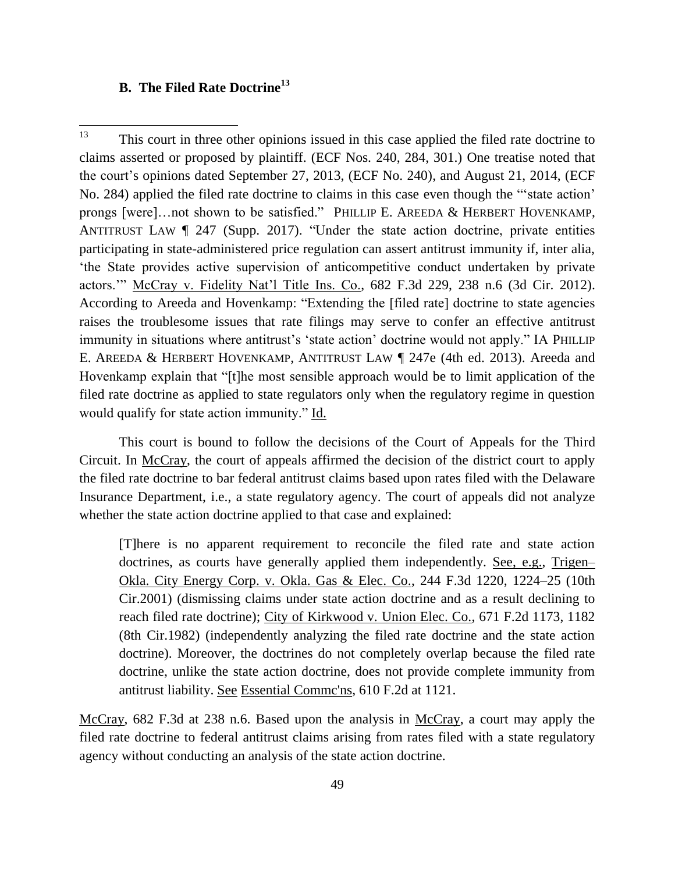## **B. The Filed Rate Doctrine<sup>13</sup>**

 $\overline{\phantom{a}}$ 

 $13$  This court in three other opinions issued in this case applied the filed rate doctrine to claims asserted or proposed by plaintiff. (ECF Nos. 240, 284, 301.) One treatise noted that the court's opinions dated September 27, 2013, (ECF No. 240), and August 21, 2014, (ECF No. 284) applied the filed rate doctrine to claims in this case even though the "'state action' prongs [were]…not shown to be satisfied." PHILLIP E. AREEDA & HERBERT HOVENKAMP, ANTITRUST LAW ¶ 247 (Supp. 2017). "Under the state action doctrine, private entities participating in state-administered price regulation can assert antitrust immunity if, inter alia, 'the State provides active supervision of anticompetitive conduct undertaken by private actors.'" McCray v. Fidelity Nat'l Title Ins. Co., 682 F.3d 229, 238 n.6 (3d Cir. 2012). According to Areeda and Hovenkamp: "Extending the [filed rate] doctrine to state agencies raises the troublesome issues that rate filings may serve to confer an effective antitrust immunity in situations where antitrust's 'state action' doctrine would not apply." IA PHILLIP E. AREEDA & HERBERT HOVENKAMP, ANTITRUST LAW ¶ 247e (4th ed. 2013). Areeda and Hovenkamp explain that "[t]he most sensible approach would be to limit application of the filed rate doctrine as applied to state regulators only when the regulatory regime in question would qualify for state action immunity." Id.

This court is bound to follow the decisions of the Court of Appeals for the Third Circuit. In <u>McCray</u>, the court of appeals affirmed the decision of the district court to apply the filed rate doctrine to bar federal antitrust claims based upon rates filed with the Delaware Insurance Department, i.e., a state regulatory agency. The court of appeals did not analyze whether the state action doctrine applied to that case and explained:

[T]here is no apparent requirement to reconcile the filed rate and state action doctrines, as courts have generally applied them independently. See, e.g., Trigen– Okla. City Energy Corp. v. Okla. Gas & Elec. Co., 244 F.3d 1220, 1224–25 (10th Cir.2001) (dismissing claims under state action doctrine and as a result declining to reach filed rate doctrine); City of Kirkwood v. Union Elec. Co., 671 F.2d 1173, 1182 (8th Cir.1982) (independently analyzing the filed rate doctrine and the state action doctrine). Moreover, the doctrines do not completely overlap because the filed rate doctrine, unlike the state action doctrine, does not provide complete immunity from antitrust liability. See Essential Commc'ns, 610 F.2d at 1121.

McCray, 682 F.3d at 238 n.6. Based upon the analysis in McCray, a court may apply the filed rate doctrine to federal antitrust claims arising from rates filed with a state regulatory agency without conducting an analysis of the state action doctrine.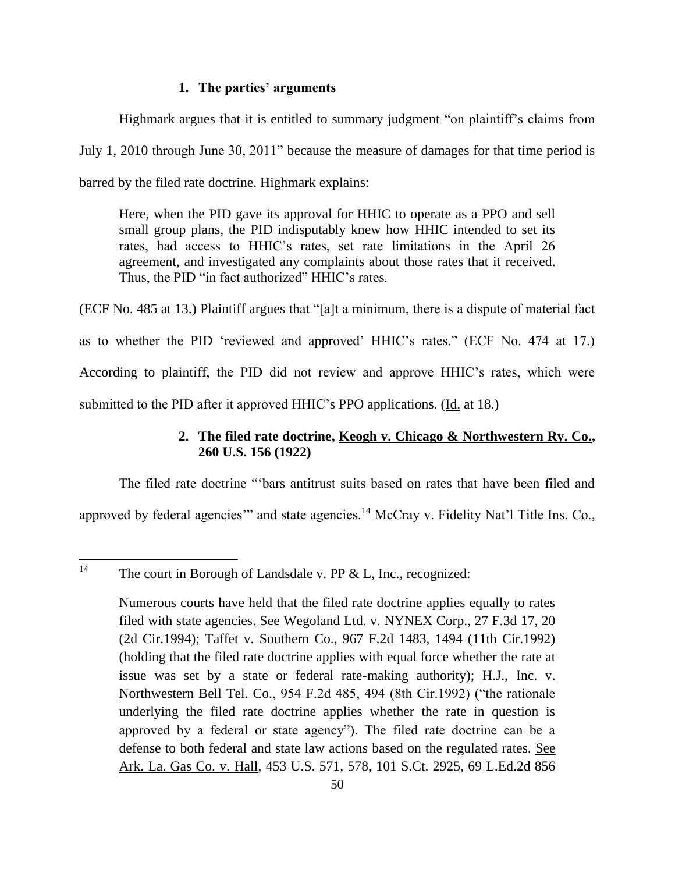### **1. The parties' arguments**

Highmark argues that it is entitled to summary judgment "on plaintiff's claims from July 1, 2010 through June 30, 2011" because the measure of damages for that time period is barred by the filed rate doctrine. Highmark explains:

Here, when the PID gave its approval for HHIC to operate as a PPO and sell small group plans, the PID indisputably knew how HHIC intended to set its rates, had access to HHIC's rates, set rate limitations in the April 26 agreement, and investigated any complaints about those rates that it received. Thus, the PID "in fact authorized" HHIC's rates.

(ECF No. 485 at 13.) Plaintiff argues that "[a]t a minimum, there is a dispute of material fact as to whether the PID 'reviewed and approved' HHIC's rates." (ECF No. 474 at 17.) According to plaintiff, the PID did not review and approve HHIC's rates, which were submitted to the PID after it approved HHIC's PPO applications. (Id. at 18.)

# **2. The filed rate doctrine, Keogh v. Chicago & Northwestern Ry. Co., 260 U.S. 156 (1922)**

The filed rate doctrine "'bars antitrust suits based on rates that have been filed and approved by federal agencies" and state agencies.<sup>14</sup> McCray v. Fidelity Nat'l Title Ins. Co.,

 $14$ The court in Borough of Landsdale v. PP  $< L$ , Inc., recognized:

> Numerous courts have held that the filed rate doctrine applies equally to rates filed with state agencies. See Wegoland Ltd. v. NYNEX Corp., 27 F.3d 17, 20 (2d Cir.1994); Taffet v. Southern Co., 967 F.2d 1483, 1494 (11th Cir.1992) (holding that the filed rate doctrine applies with equal force whether the rate at issue was set by a state or federal rate-making authority); H.J., Inc. v. Northwestern Bell Tel. Co., 954 F.2d 485, 494 (8th Cir.1992) ("the rationale" underlying the filed rate doctrine applies whether the rate in question is approved by a federal or state agency"). The filed rate doctrine can be a defense to both federal and state law actions based on the regulated rates. See Ark. La. Gas Co. v. Hall, 453 U.S. 571, 578, 101 S.Ct. 2925, 69 L.Ed.2d 856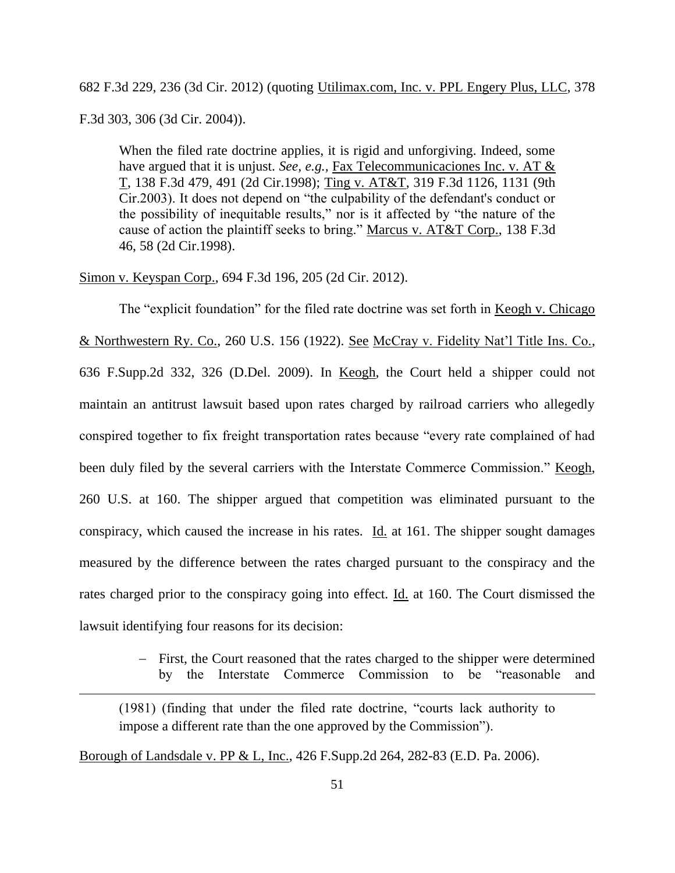682 F.3d 229, 236 (3d Cir. 2012) (quoting Utilimax.com, Inc. v. PPL Engery Plus, LLC, 378 F.3d 303, 306 (3d Cir. 2004)).

When the filed rate doctrine applies, it is rigid and unforgiving. Indeed, some have argued that it is unjust. *See, e.g.,* Fax Telecommunicaciones Inc. v. AT & T, 138 F.3d 479, 491 (2d Cir.1998); Ting v. AT&T, 319 F.3d 1126, 1131 (9th Cir.2003). It does not depend on "the culpability of the defendant's conduct or the possibility of inequitable results," nor is it affected by "the nature of the cause of action the plaintiff seeks to bring." Marcus v. AT&T Corp., 138 F.3d 46, 58 (2d Cir.1998).

Simon v. Keyspan Corp., 694 F.3d 196, 205 (2d Cir. 2012).

The "explicit foundation" for the filed rate doctrine was set forth in Keogh v. Chicago & Northwestern Ry. Co., 260 U.S. 156 (1922). See McCray v. Fidelity Nat'l Title Ins. Co., 636 F.Supp.2d 332, 326 (D.Del. 2009). In Keogh, the Court held a shipper could not maintain an antitrust lawsuit based upon rates charged by railroad carriers who allegedly conspired together to fix freight transportation rates because "every rate complained of had been duly filed by the several carriers with the Interstate Commerce Commission." Keogh, 260 U.S. at 160. The shipper argued that competition was eliminated pursuant to the conspiracy, which caused the increase in his rates.  $\underline{Id}$  at 161. The shipper sought damages measured by the difference between the rates charged pursuant to the conspiracy and the rates charged prior to the conspiracy going into effect. Id. at 160. The Court dismissed the lawsuit identifying four reasons for its decision:

> - First, the Court reasoned that the rates charged to the shipper were determined by the Interstate Commerce Commission to be "reasonable and

(1981) (finding that under the filed rate doctrine, "courts lack authority to impose a different rate than the one approved by the Commission").

Borough of Landsdale v. PP & L, Inc., 426 F.Supp.2d 264, 282-83 (E.D. Pa. 2006).

 $\overline{a}$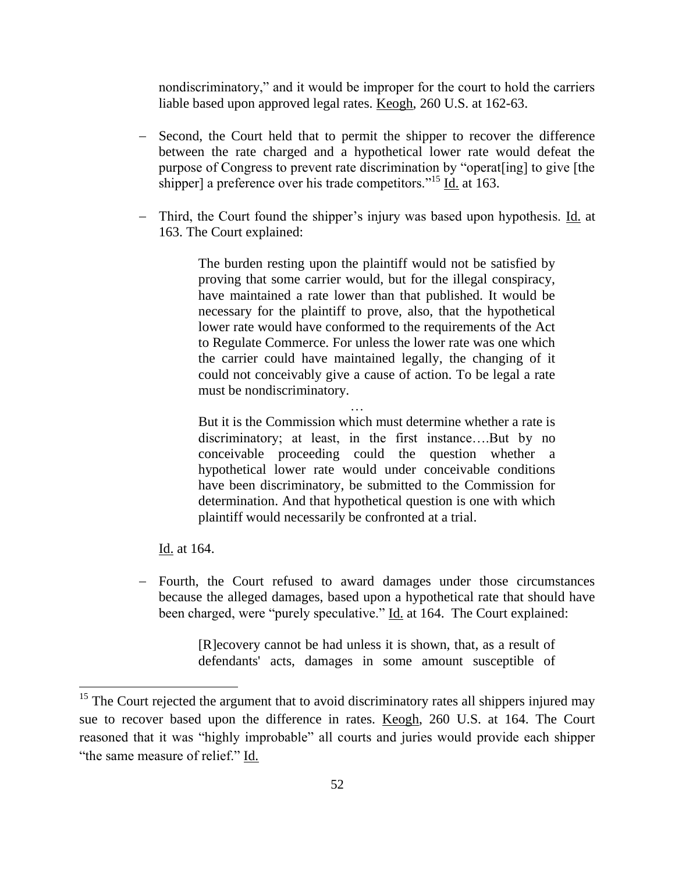nondiscriminatory," and it would be improper for the court to hold the carriers liable based upon approved legal rates. Keogh, 260 U.S. at 162-63.

- Second, the Court held that to permit the shipper to recover the difference between the rate charged and a hypothetical lower rate would defeat the purpose of Congress to prevent rate discrimination by "operat[ing] to give [the shipper] a preference over his trade competitors."<sup>15</sup> Id. at 163.
- Third, the Court found the shipper's injury was based upon hypothesis. Id. at 163. The Court explained:

The burden resting upon the plaintiff would not be satisfied by proving that some carrier would, but for the illegal conspiracy, have maintained a rate lower than that published. It would be necessary for the plaintiff to prove, also, that the hypothetical lower rate would have conformed to the requirements of the Act to Regulate Commerce. For unless the lower rate was one which the carrier could have maintained legally, the changing of it could not conceivably give a cause of action. To be legal a rate must be nondiscriminatory.

But it is the Commission which must determine whether a rate is discriminatory; at least, in the first instance….But by no conceivable proceeding could the question whether a hypothetical lower rate would under conceivable conditions have been discriminatory, be submitted to the Commission for determination. And that hypothetical question is one with which plaintiff would necessarily be confronted at a trial.

…

Id. at 164.

 $\overline{\phantom{a}}$ 

- Fourth, the Court refused to award damages under those circumstances because the alleged damages, based upon a hypothetical rate that should have been charged, were "purely speculative." Id. at 164. The Court explained:

> [R]ecovery cannot be had unless it is shown, that, as a result of defendants' acts, damages in some amount susceptible of

 $15$  The Court rejected the argument that to avoid discriminatory rates all shippers injured may sue to recover based upon the difference in rates. Keogh, 260 U.S. at 164. The Court reasoned that it was "highly improbable" all courts and juries would provide each shipper "the same measure of relief." Id.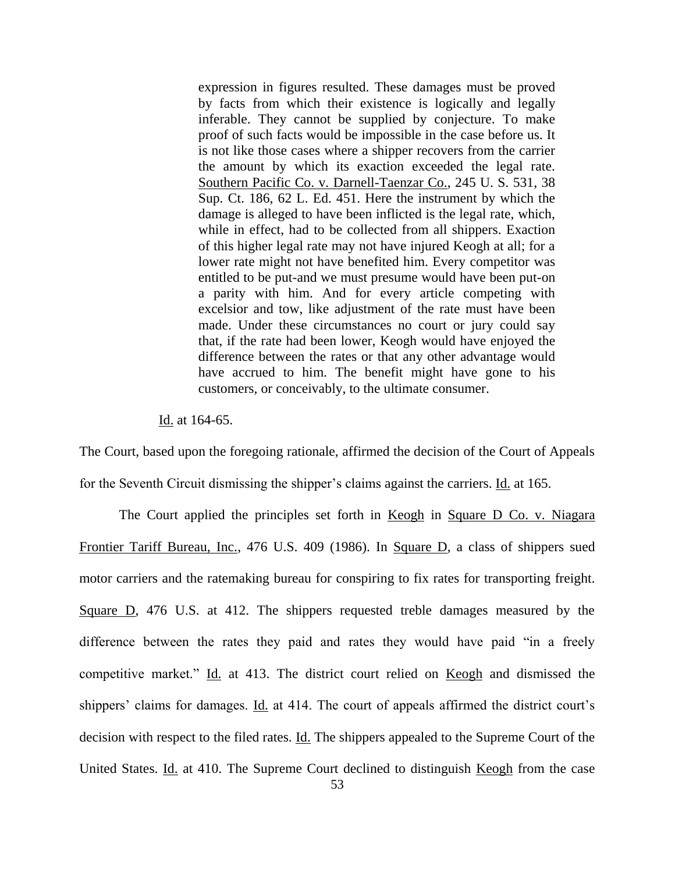expression in figures resulted. These damages must be proved by facts from which their existence is logically and legally inferable. They cannot be supplied by conjecture. To make proof of such facts would be impossible in the case before us. It is not like those cases where a shipper recovers from the carrier the amount by which its exaction exceeded the legal rate. Southern Pacific Co. v. Darnell-Taenzar Co., 245 U. S. 531, 38 Sup. Ct. 186, 62 L. Ed. 451. Here the instrument by which the damage is alleged to have been inflicted is the legal rate, which, while in effect, had to be collected from all shippers. Exaction of this higher legal rate may not have injured Keogh at all; for a lower rate might not have benefited him. Every competitor was entitled to be put-and we must presume would have been put-on a parity with him. And for every article competing with excelsior and tow, like adjustment of the rate must have been made. Under these circumstances no court or jury could say that, if the rate had been lower, Keogh would have enjoyed the difference between the rates or that any other advantage would have accrued to him. The benefit might have gone to his customers, or conceivably, to the ultimate consumer.

Id. at 164-65.

The Court, based upon the foregoing rationale, affirmed the decision of the Court of Appeals for the Seventh Circuit dismissing the shipper's claims against the carriers. Id. at 165.

The Court applied the principles set forth in Keogh in Square D Co. v. Niagara Frontier Tariff Bureau, Inc., 476 U.S. 409 (1986). In Square D, a class of shippers sued motor carriers and the ratemaking bureau for conspiring to fix rates for transporting freight. Square D, 476 U.S. at 412. The shippers requested treble damages measured by the difference between the rates they paid and rates they would have paid "in a freely competitive market." Id. at 413. The district court relied on Keogh and dismissed the shippers' claims for damages. Id. at 414. The court of appeals affirmed the district court's decision with respect to the filed rates. Id. The shippers appealed to the Supreme Court of the United States. Id. at 410. The Supreme Court declined to distinguish Keogh from the case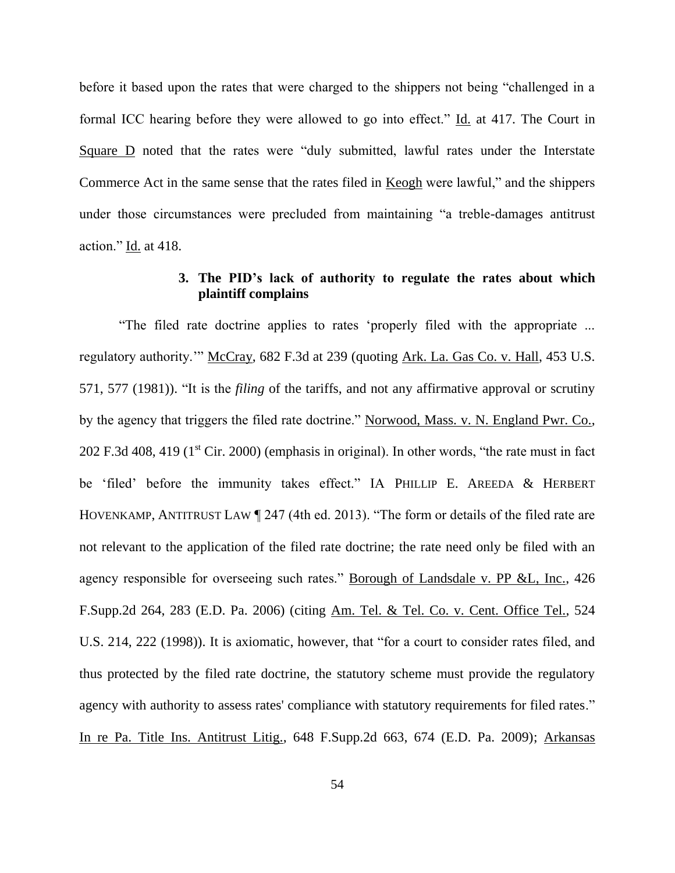before it based upon the rates that were charged to the shippers not being "challenged in a formal ICC hearing before they were allowed to go into effect." Id. at 417. The Court in Square D noted that the rates were "duly submitted, lawful rates under the Interstate Commerce Act in the same sense that the rates filed in Keogh were lawful," and the shippers under those circumstances were precluded from maintaining "a treble-damages antitrust action." Id. at 418.

# **3. The PID's lack of authority to regulate the rates about which plaintiff complains**

"The filed rate doctrine applies to rates 'properly filed with the appropriate ... regulatory authority." McCray, 682 F.3d at 239 (quoting Ark. La. Gas Co. v. Hall, 453 U.S. 571, 577 (1981)). "It is the *filing* of the tariffs, and not any affirmative approval or scrutiny by the agency that triggers the filed rate doctrine." Norwood, Mass. v. N. England Pwr. Co.,  $202$  F.3d 408, 419 (1<sup>st</sup> Cir. 2000) (emphasis in original). In other words, "the rate must in fact be 'filed' before the immunity takes effect." IA PHILLIP E. AREEDA & HERBERT HOVENKAMP, ANTITRUST LAW ¶ 247 (4th ed. 2013). "The form or details of the filed rate are not relevant to the application of the filed rate doctrine; the rate need only be filed with an agency responsible for overseeing such rates." Borough of Landsdale v. PP &L, Inc., 426 F.Supp.2d 264, 283 (E.D. Pa. 2006) (citing Am. Tel. & Tel. Co. v. Cent. Office Tel., 524 U.S. 214, 222 (1998)). It is axiomatic, however, that "for a court to consider rates filed, and thus protected by the filed rate doctrine, the statutory scheme must provide the regulatory agency with authority to assess rates' compliance with statutory requirements for filed rates." In re Pa. Title Ins. Antitrust Litig., 648 F.Supp.2d 663, 674 (E.D. Pa. 2009); Arkansas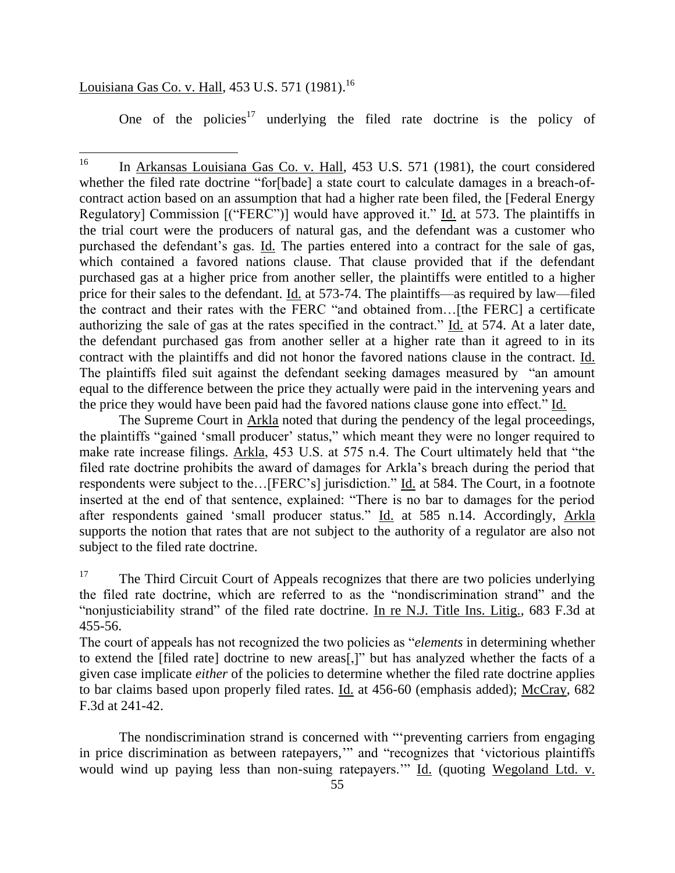# <u>Louisiana Gas Co. v. Hall,</u> 453 U.S. 571 (1981).<sup>16</sup>

One of the policies<sup>17</sup> underlying the filed rate doctrine is the policy of

The Supreme Court in Arkla noted that during the pendency of the legal proceedings, the plaintiffs "gained 'small producer' status," which meant they were no longer required to make rate increase filings. Arkla, 453 U.S. at 575 n.4. The Court ultimately held that "the filed rate doctrine prohibits the award of damages for Arkla's breach during the period that respondents were subject to the…[FERC's] jurisdiction." Id. at 584. The Court, in a footnote inserted at the end of that sentence, explained: "There is no bar to damages for the period after respondents gained 'small producer status." Id. at 585 n.14. Accordingly, Arkla supports the notion that rates that are not subject to the authority of a regulator are also not subject to the filed rate doctrine.

<sup>17</sup> The Third Circuit Court of Appeals recognizes that there are two policies underlying the filed rate doctrine, which are referred to as the "nondiscrimination strand" and the "nonjusticiability strand" of the filed rate doctrine. In re N.J. Title Ins. Litig., 683 F.3d at 455-56.

The court of appeals has not recognized the two policies as "*elements* in determining whether to extend the [filed rate] doctrine to new areas[,]" but has analyzed whether the facts of a given case implicate *either* of the policies to determine whether the filed rate doctrine applies to bar claims based upon properly filed rates. Id. at 456-60 (emphasis added); McCray, 682 F.3d at 241-42.

The nondiscrimination strand is concerned with "'preventing carriers from engaging in price discrimination as between ratepayers,'" and "recognizes that 'victorious plaintiffs would wind up paying less than non-suing ratepayers.'" Id. (quoting Wegoland Ltd. v.

<sup>16</sup> In Arkansas Louisiana Gas Co. v. Hall, 453 U.S. 571 (1981), the court considered whether the filed rate doctrine "for [bade] a state court to calculate damages in a breach-ofcontract action based on an assumption that had a higher rate been filed, the [Federal Energy Regulatory] Commission [("FERC")] would have approved it." Id. at 573. The plaintiffs in the trial court were the producers of natural gas, and the defendant was a customer who purchased the defendant's gas. Id. The parties entered into a contract for the sale of gas, which contained a favored nations clause. That clause provided that if the defendant purchased gas at a higher price from another seller, the plaintiffs were entitled to a higher price for their sales to the defendant. Id. at 573-74. The plaintiffs—as required by law—filed the contract and their rates with the FERC "and obtained from…[the FERC] a certificate authorizing the sale of gas at the rates specified in the contract." Id. at 574. At a later date, the defendant purchased gas from another seller at a higher rate than it agreed to in its contract with the plaintiffs and did not honor the favored nations clause in the contract. Id. The plaintiffs filed suit against the defendant seeking damages measured by "an amount equal to the difference between the price they actually were paid in the intervening years and the price they would have been paid had the favored nations clause gone into effect." Id.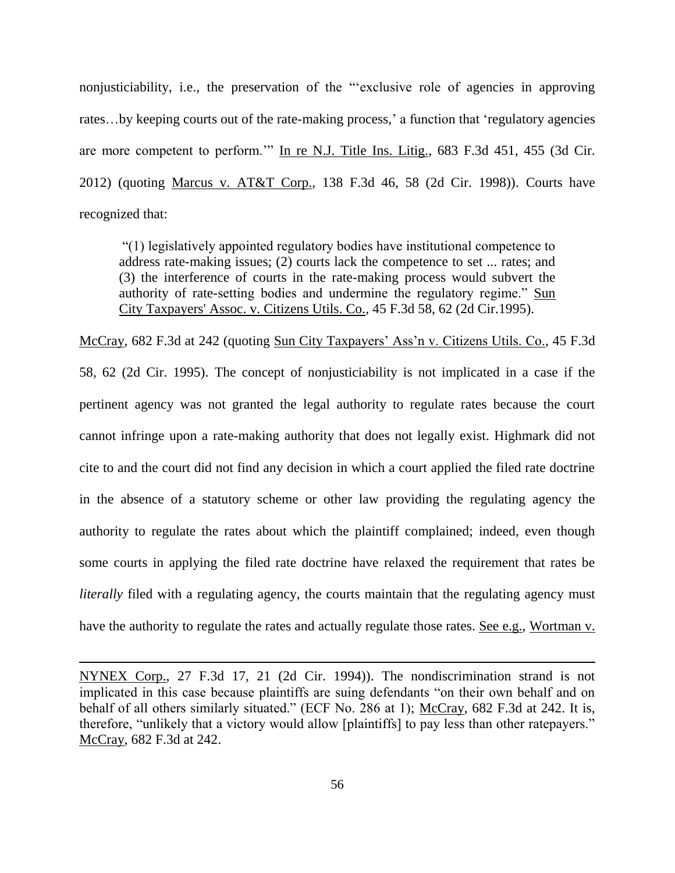nonjusticiability, i.e., the preservation of the "'exclusive role of agencies in approving rates…by keeping courts out of the rate-making process,' a function that 'regulatory agencies are more competent to perform.'" In re N.J. Title Ins. Litig., 683 F.3d 451, 455 (3d Cir. 2012) (quoting Marcus v. AT&T Corp., 138 F.3d 46, 58 (2d Cir. 1998)). Courts have recognized that:

"(1) legislatively appointed regulatory bodies have institutional competence to address rate-making issues; (2) courts lack the competence to set ... rates; and (3) the interference of courts in the rate-making process would subvert the authority of rate-setting bodies and undermine the regulatory regime." Sun City Taxpayers' Assoc. v. Citizens Utils. Co., 45 F.3d 58, 62 (2d Cir.1995).

McCray, 682 F.3d at 242 (quoting Sun City Taxpayers' Ass'n v. Citizens Utils. Co., 45 F.3d 58, 62 (2d Cir. 1995). The concept of nonjusticiability is not implicated in a case if the pertinent agency was not granted the legal authority to regulate rates because the court cannot infringe upon a rate-making authority that does not legally exist. Highmark did not cite to and the court did not find any decision in which a court applied the filed rate doctrine in the absence of a statutory scheme or other law providing the regulating agency the authority to regulate the rates about which the plaintiff complained; indeed, even though some courts in applying the filed rate doctrine have relaxed the requirement that rates be *literally* filed with a regulating agency, the courts maintain that the regulating agency must have the authority to regulate the rates and actually regulate those rates. See e.g., Wortman v.

NYNEX Corp., 27 F.3d 17, 21 (2d Cir. 1994)). The nondiscrimination strand is not implicated in this case because plaintiffs are suing defendants "on their own behalf and on behalf of all others similarly situated." (ECF No. 286 at 1); McCray, 682 F.3d at 242. It is, therefore, "unlikely that a victory would allow [plaintiffs] to pay less than other ratepayers." McCray, 682 F.3d at 242.

 $\overline{a}$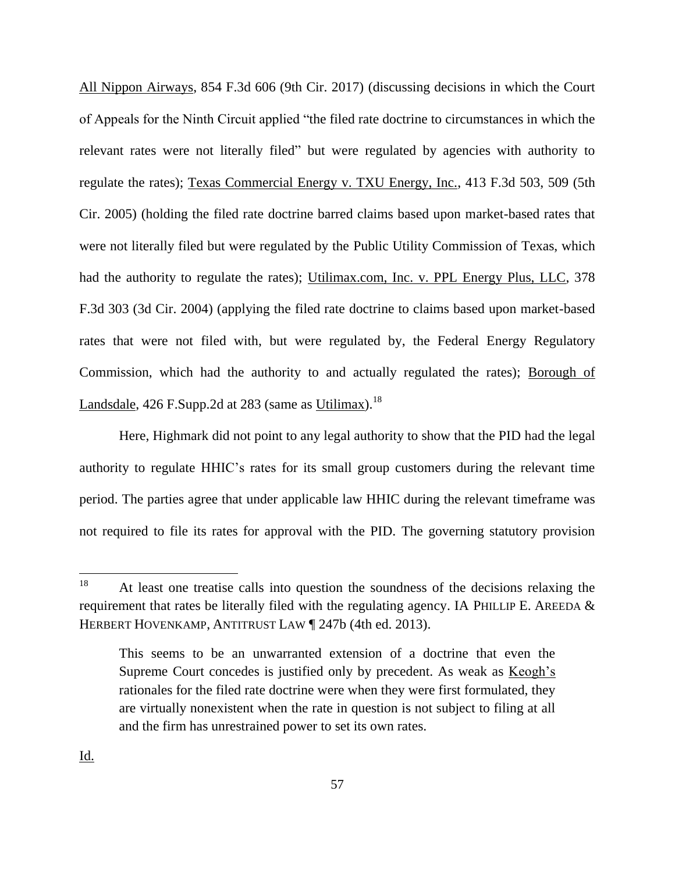All Nippon Airways, 854 F.3d 606 (9th Cir. 2017) (discussing decisions in which the Court of Appeals for the Ninth Circuit applied "the filed rate doctrine to circumstances in which the relevant rates were not literally filed" but were regulated by agencies with authority to regulate the rates); Texas Commercial Energy v. TXU Energy, Inc., 413 F.3d 503, 509 (5th Cir. 2005) (holding the filed rate doctrine barred claims based upon market-based rates that were not literally filed but were regulated by the Public Utility Commission of Texas, which had the authority to regulate the rates); Utilimax.com, Inc. v. PPL Energy Plus, LLC, 378 F.3d 303 (3d Cir. 2004) (applying the filed rate doctrine to claims based upon market-based rates that were not filed with, but were regulated by, the Federal Energy Regulatory Commission, which had the authority to and actually regulated the rates); Borough of Landsdale, 426 F.Supp.2d at 283 (same as Utilimax).<sup>18</sup>

Here, Highmark did not point to any legal authority to show that the PID had the legal authority to regulate HHIC's rates for its small group customers during the relevant time period. The parties agree that under applicable law HHIC during the relevant timeframe was not required to file its rates for approval with the PID. The governing statutory provision

<sup>18</sup> At least one treatise calls into question the soundness of the decisions relaxing the requirement that rates be literally filed with the regulating agency. IA PHILLIP E. AREEDA  $&$ HERBERT HOVENKAMP, ANTITRUST LAW ¶ 247b (4th ed. 2013).

This seems to be an unwarranted extension of a doctrine that even the Supreme Court concedes is justified only by precedent. As weak as Keogh's rationales for the filed rate doctrine were when they were first formulated, they are virtually nonexistent when the rate in question is not subject to filing at all and the firm has unrestrained power to set its own rates.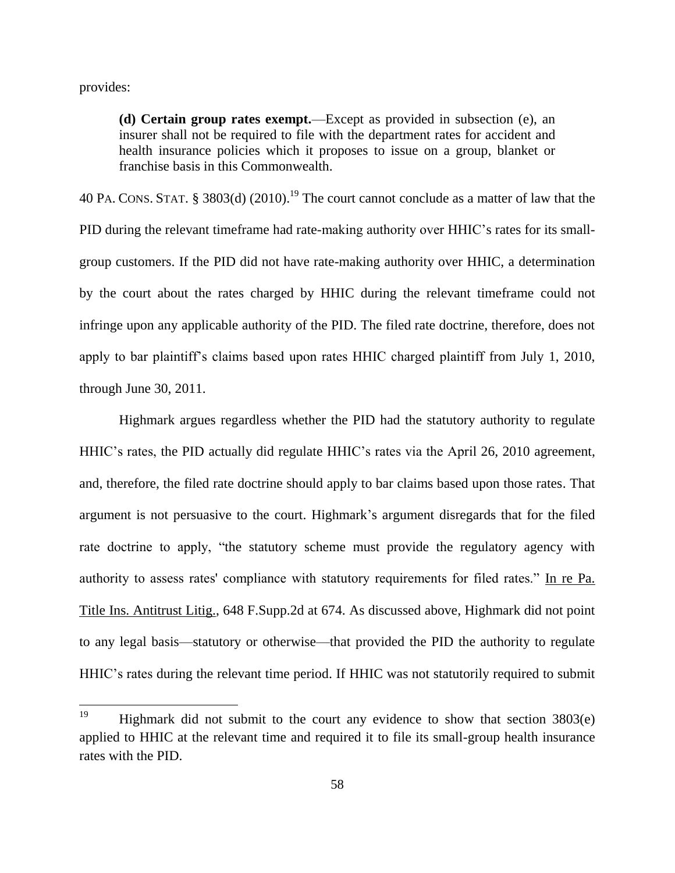provides:

**(d) Certain group rates exempt.**—Except as provided in subsection (e), an insurer shall not be required to file with the department rates for accident and health insurance policies which it proposes to issue on a group, blanket or franchise basis in this Commonwealth.

40 PA. CONS. STAT. § 3803(d)  $(2010)$ .<sup>19</sup> The court cannot conclude as a matter of law that the PID during the relevant timeframe had rate-making authority over HHIC's rates for its smallgroup customers. If the PID did not have rate-making authority over HHIC, a determination by the court about the rates charged by HHIC during the relevant timeframe could not infringe upon any applicable authority of the PID. The filed rate doctrine, therefore, does not apply to bar plaintiff's claims based upon rates HHIC charged plaintiff from July 1, 2010, through June 30, 2011.

Highmark argues regardless whether the PID had the statutory authority to regulate HHIC's rates, the PID actually did regulate HHIC's rates via the April 26, 2010 agreement, and, therefore, the filed rate doctrine should apply to bar claims based upon those rates. That argument is not persuasive to the court. Highmark's argument disregards that for the filed rate doctrine to apply, "the statutory scheme must provide the regulatory agency with authority to assess rates' compliance with statutory requirements for filed rates." In re Pa. Title Ins. Antitrust Litig., 648 F.Supp.2d at 674. As discussed above, Highmark did not point to any legal basis—statutory or otherwise—that provided the PID the authority to regulate HHIC's rates during the relevant time period. If HHIC was not statutorily required to submit

<sup>19</sup> Highmark did not submit to the court any evidence to show that section  $3803(e)$ applied to HHIC at the relevant time and required it to file its small-group health insurance rates with the PID.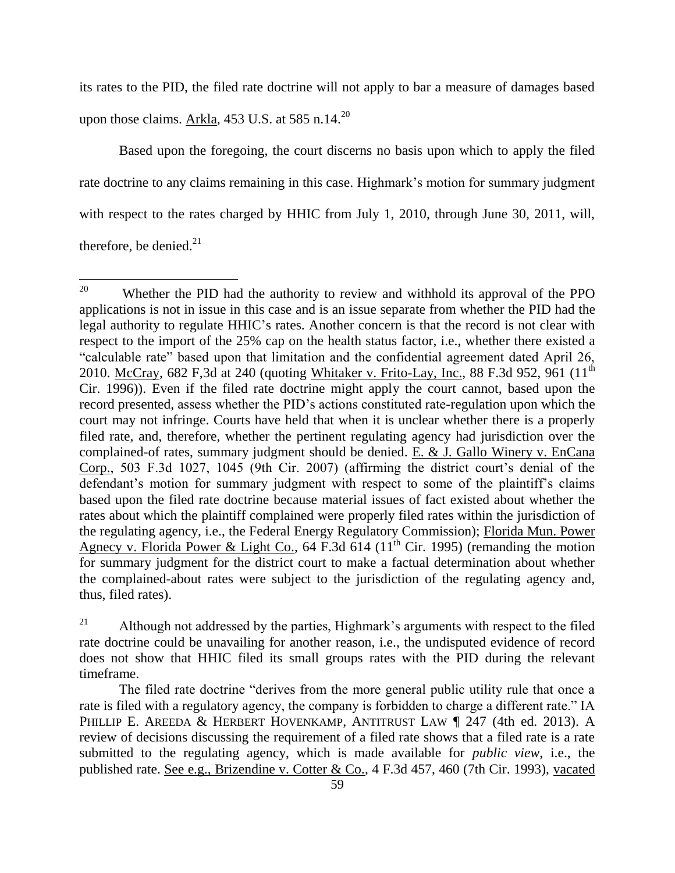its rates to the PID, the filed rate doctrine will not apply to bar a measure of damages based upon those claims. Arkla,  $453$  U.S. at  $585$  n.14.<sup>20</sup>

Based upon the foregoing, the court discerns no basis upon which to apply the filed rate doctrine to any claims remaining in this case. Highmark's motion for summary judgment with respect to the rates charged by HHIC from July 1, 2010, through June 30, 2011, will, therefore, be denied.<sup>21</sup>

<sup>20</sup> Whether the PID had the authority to review and withhold its approval of the PPO applications is not in issue in this case and is an issue separate from whether the PID had the legal authority to regulate HHIC's rates. Another concern is that the record is not clear with respect to the import of the 25% cap on the health status factor, i.e., whether there existed a "calculable rate" based upon that limitation and the confidential agreement dated April 26, 2010. McCray,  $682$  F,3d at 240 (quoting Whitaker v. Frito-Lay, Inc., 88 F.3d 952, 961 (11<sup>th</sup>) Cir. 1996)). Even if the filed rate doctrine might apply the court cannot, based upon the record presented, assess whether the PID's actions constituted rate-regulation upon which the court may not infringe. Courts have held that when it is unclear whether there is a properly filed rate, and, therefore, whether the pertinent regulating agency had jurisdiction over the complained-of rates, summary judgment should be denied. E. & J. Gallo Winery v. EnCana Corp., 503 F.3d 1027, 1045 (9th Cir. 2007) (affirming the district court's denial of the defendant's motion for summary judgment with respect to some of the plaintiff's claims based upon the filed rate doctrine because material issues of fact existed about whether the rates about which the plaintiff complained were properly filed rates within the jurisdiction of the regulating agency, i.e., the Federal Energy Regulatory Commission); Florida Mun. Power Agnecy v. Florida Power & Light Co., 64 F.3d 614 ( $11<sup>th</sup>$  Cir. 1995) (remanding the motion for summary judgment for the district court to make a factual determination about whether the complained-about rates were subject to the jurisdiction of the regulating agency and, thus, filed rates).

 $21$  Although not addressed by the parties, Highmark's arguments with respect to the filed rate doctrine could be unavailing for another reason, i.e., the undisputed evidence of record does not show that HHIC filed its small groups rates with the PID during the relevant timeframe.

The filed rate doctrine "derives from the more general public utility rule that once a rate is filed with a regulatory agency, the company is forbidden to charge a different rate." IA PHILLIP E. AREEDA & HERBERT HOVENKAMP, ANTITRUST LAW | 247 (4th ed. 2013). A review of decisions discussing the requirement of a filed rate shows that a filed rate is a rate submitted to the regulating agency, which is made available for *public view*, i.e., the published rate. See e.g., Brizendine v. Cotter & Co., 4 F.3d 457, 460 (7th Cir. 1993), vacated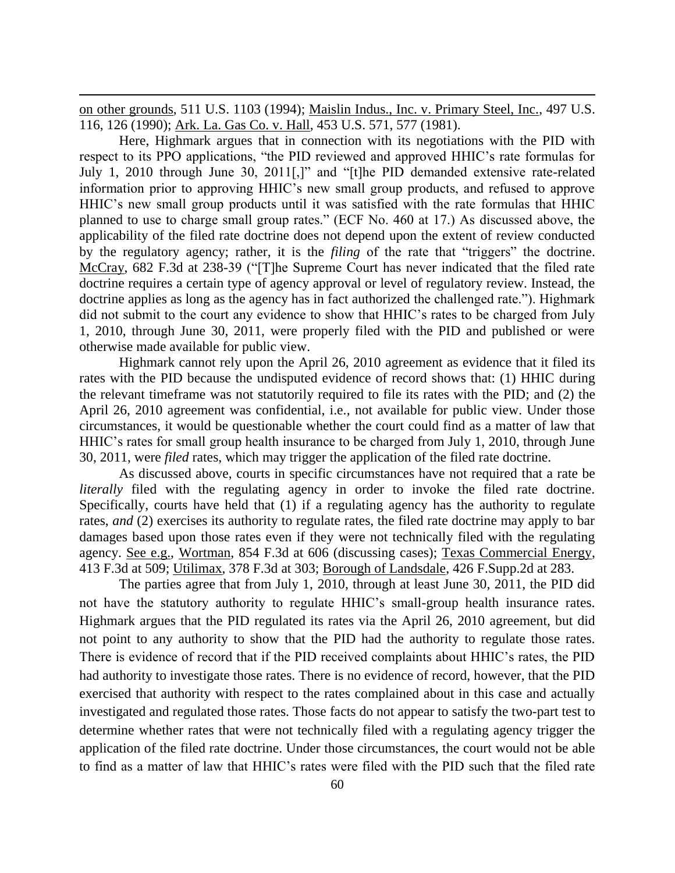on other grounds, 511 U.S. 1103 (1994); Maislin Indus., Inc. v. Primary Steel, Inc., 497 U.S. 116, 126 (1990); Ark. La. Gas Co. v. Hall, 453 U.S. 571, 577 (1981).

 $\overline{\phantom{a}}$ 

Here, Highmark argues that in connection with its negotiations with the PID with respect to its PPO applications, "the PID reviewed and approved HHIC's rate formulas for July 1, 2010 through June 30, 2011[,]" and "[t]he PID demanded extensive rate-related information prior to approving HHIC's new small group products, and refused to approve HHIC's new small group products until it was satisfied with the rate formulas that HHIC planned to use to charge small group rates." (ECF No. 460 at 17.) As discussed above, the applicability of the filed rate doctrine does not depend upon the extent of review conducted by the regulatory agency; rather, it is the *filing* of the rate that "triggers" the doctrine. McCray, 682 F.3d at 238-39 ("[T]he Supreme Court has never indicated that the filed rate doctrine requires a certain type of agency approval or level of regulatory review. Instead, the doctrine applies as long as the agency has in fact authorized the challenged rate."). Highmark did not submit to the court any evidence to show that HHIC's rates to be charged from July 1, 2010, through June 30, 2011, were properly filed with the PID and published or were otherwise made available for public view.

Highmark cannot rely upon the April 26, 2010 agreement as evidence that it filed its rates with the PID because the undisputed evidence of record shows that: (1) HHIC during the relevant timeframe was not statutorily required to file its rates with the PID; and (2) the April 26, 2010 agreement was confidential, i.e., not available for public view. Under those circumstances, it would be questionable whether the court could find as a matter of law that HHIC's rates for small group health insurance to be charged from July 1, 2010, through June 30, 2011, were *filed* rates, which may trigger the application of the filed rate doctrine.

As discussed above, courts in specific circumstances have not required that a rate be *literally* filed with the regulating agency in order to invoke the filed rate doctrine. Specifically, courts have held that (1) if a regulating agency has the authority to regulate rates, *and* (2) exercises its authority to regulate rates, the filed rate doctrine may apply to bar damages based upon those rates even if they were not technically filed with the regulating agency. See e.g., Wortman, 854 F.3d at 606 (discussing cases); Texas Commercial Energy, 413 F.3d at 509; Utilimax, 378 F.3d at 303; Borough of Landsdale, 426 F.Supp.2d at 283.

The parties agree that from July 1, 2010, through at least June 30, 2011, the PID did not have the statutory authority to regulate HHIC's small-group health insurance rates. Highmark argues that the PID regulated its rates via the April 26, 2010 agreement, but did not point to any authority to show that the PID had the authority to regulate those rates. There is evidence of record that if the PID received complaints about HHIC's rates, the PID had authority to investigate those rates. There is no evidence of record, however, that the PID exercised that authority with respect to the rates complained about in this case and actually investigated and regulated those rates. Those facts do not appear to satisfy the two-part test to determine whether rates that were not technically filed with a regulating agency trigger the application of the filed rate doctrine. Under those circumstances, the court would not be able to find as a matter of law that HHIC's rates were filed with the PID such that the filed rate